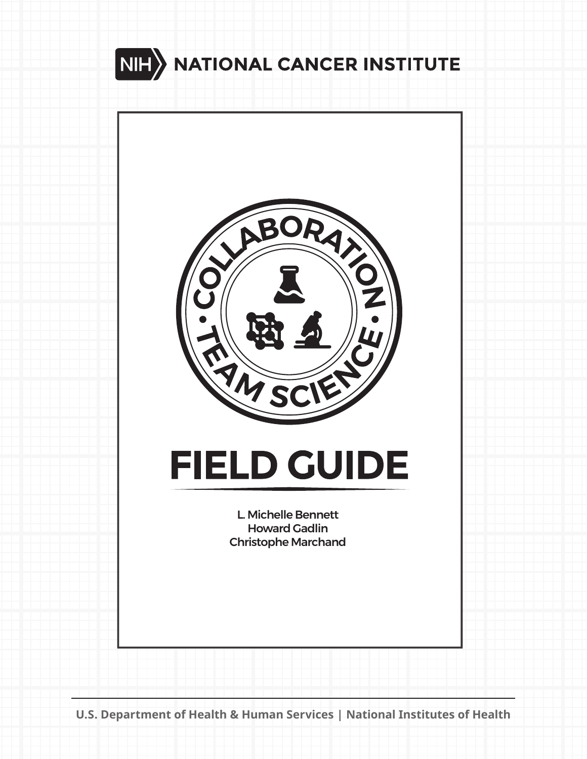



# **FIELD GUIDE**

L. Michelle Bennett Howard Gadlin Christophe Marchand

**U.S. Department of Health & Human Services | National Institutes of Health**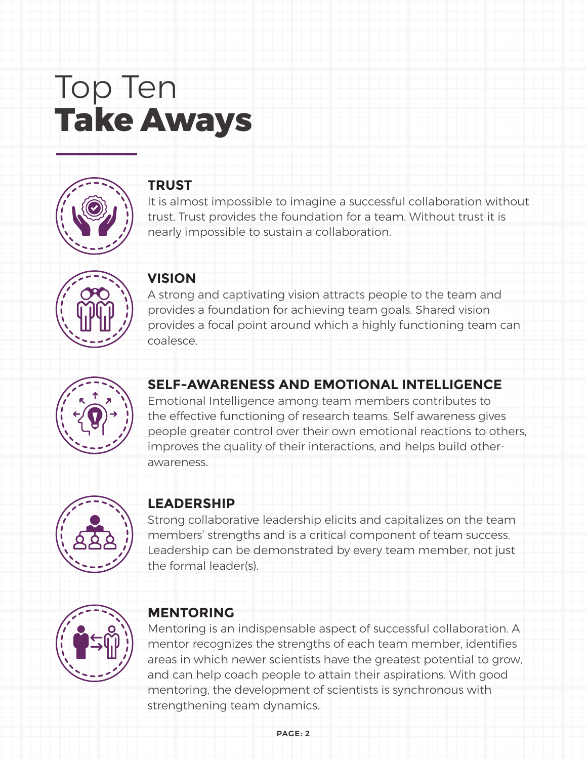# Top Ten **Take Aways**



### **TRUST**

It is almost impossible to imagine a successful collaboration without trust. Trust provides the foundation for a team. Without trust it is nearly impossible to sustain a collaboration.



### **VISION**

A strong and captivating vision attracts people to the team and provides a foundation for achieving team goals. Shared vision provides a focal point around which a highly functioning team can coalesce.



### **SELF-AWARENESS AND EMOTIONAL INTELLIGENCE**

Emotional Intelligence among team members contributes to the effective functioning of research teams. Self awareness gives people greater control over their own emotional reactions to others, improves the quality of their interactions, and helps build otherawareness.



### **LEADERSHIP**

Strong collaborative leadership elicits and capitalizes on the team members' strengths and is a critical component of team success. Leadership can be demonstrated by every team member, not just the formal leader(s).



### **MENTORING**

Mentoring is an indispensable aspect of successful collaboration. A mentor recognizes the strengths of each team member, identifies areas in which newer scientists have the greatest potential to grow, and can help coach people to attain their aspirations. With good mentoring, the development of scientists is synchronous with strengthening team dynamics.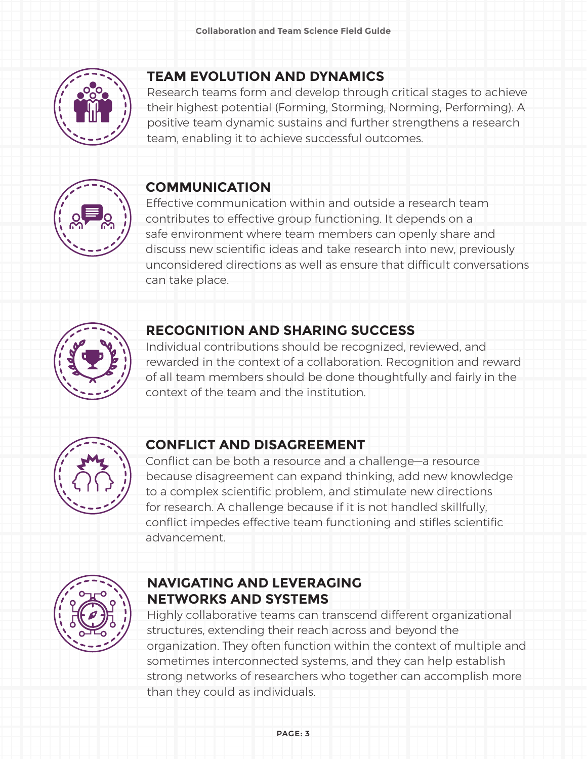

### **TEAM EVOLUTION AND DYNAMICS**

Research teams form and develop through critical stages to achieve their highest potential (Forming, Storming, Norming, Performing). A positive team dynamic sustains and further strengthens a research team, enabling it to achieve successful outcomes.



### **COMMUNICATION**

Effective communication within and outside a research team contributes to effective group functioning. It depends on a safe environment where team members can openly share and discuss new scientific ideas and take research into new, previously unconsidered directions as well as ensure that difficult conversations can take place.



### **RECOGNITION AND SHARING SUCCESS**

Individual contributions should be recognized, reviewed, and rewarded in the context of a collaboration. Recognition and reward of all team members should be done thoughtfully and fairly in the context of the team and the institution.



### **CONFLICT AND DISAGREEMENT**

Conflict can be both a resource and a challenge—a resource because disagreement can expand thinking, add new knowledge to a complex scientific problem, and stimulate new directions for research. A challenge because if it is not handled skillfully, conflict impedes effective team functioning and stifles scientific advancement.



### **NAVIGATING AND LEVERAGING NETWORKS AND SYSTEMS**

Highly collaborative teams can transcend different organizational structures, extending their reach across and beyond the organization. They often function within the context of multiple and sometimes interconnected systems, and they can help establish strong networks of researchers who together can accomplish more than they could as individuals.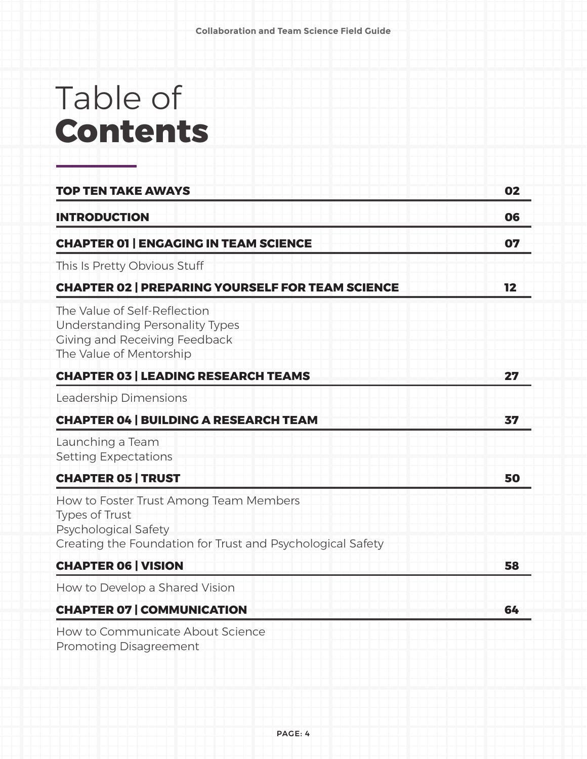# Table of **Contents**

| <b>TOP TEN TAKE AWAYS</b>                                                                                                                             | 02 |
|-------------------------------------------------------------------------------------------------------------------------------------------------------|----|
| <b>INTRODUCTION</b>                                                                                                                                   | 06 |
| <b>CHAPTER 01   ENGAGING IN TEAM SCIENCE</b>                                                                                                          | 07 |
| This Is Pretty Obvious Stuff                                                                                                                          |    |
| <b>CHAPTER 02   PREPARING YOURSELF FOR TEAM SCIENCE</b>                                                                                               | 12 |
| The Value of Self-Reflection<br><b>Understanding Personality Types</b><br>Giving and Receiving Feedback<br>The Value of Mentorship                    |    |
| <b>CHAPTER 03   LEADING RESEARCH TEAMS</b>                                                                                                            | 27 |
| Leadership Dimensions                                                                                                                                 |    |
| <b>CHAPTER 04   BUILDING A RESEARCH TEAM</b>                                                                                                          | 37 |
| Launching a Team<br><b>Setting Expectations</b>                                                                                                       |    |
| <b>CHAPTER 05   TRUST</b>                                                                                                                             | 50 |
| How to Foster Trust Among Team Members<br><b>Types of Trust</b><br>Psychological Safety<br>Creating the Foundation for Trust and Psychological Safety |    |
| <b>CHAPTER 06   VISION</b>                                                                                                                            | 58 |
| How to Develop a Shared Vision                                                                                                                        |    |
| <b>CHAPTER 07   COMMUNICATION</b>                                                                                                                     | 64 |
| How to Communicate About Science                                                                                                                      |    |

Promoting Disagreement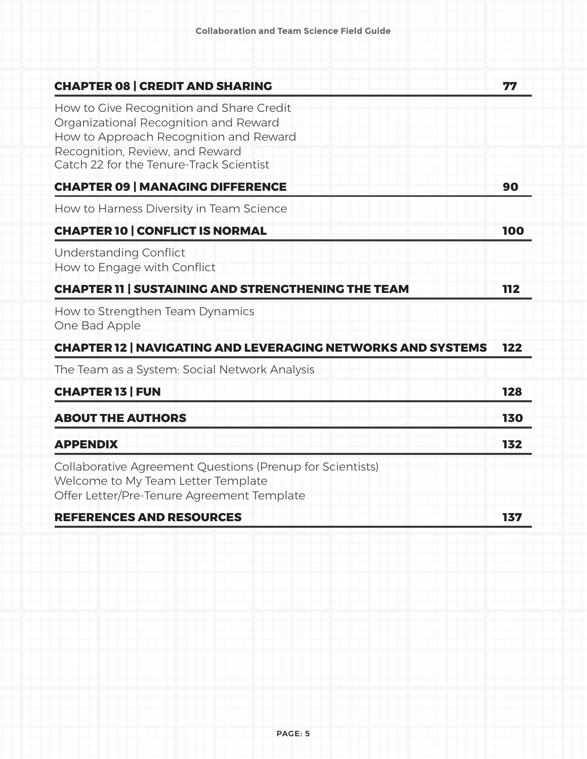| <b>CHAPTER 08   CREDIT AND SHARING</b>                                                                                                                                                                    | 77  |
|-----------------------------------------------------------------------------------------------------------------------------------------------------------------------------------------------------------|-----|
| How to Give Recognition and Share Credit<br>Organizational Recognition and Reward<br>How to Approach Recognition and Reward<br>Recognition, Review, and Reward<br>Catch 22 for the Tenure-Track Scientist |     |
| <b>CHAPTER 09   MANAGING DIFFERENCE</b>                                                                                                                                                                   | 90  |
| How to Harness Diversity in Team Science                                                                                                                                                                  |     |
| <b>CHAPTER 10   CONFLICT IS NORMAL</b>                                                                                                                                                                    | 100 |
| <b>Understanding Conflict</b><br>How to Engage with Conflict                                                                                                                                              |     |
| <b>CHAPTER 11   SUSTAINING AND STRENGTHENING THE TEAM</b>                                                                                                                                                 | 112 |
| How to Strengthen Team Dynamics<br>One Bad Apple                                                                                                                                                          |     |
| <b>CHAPTER 12   NAVIGATING AND LEVERAGING NETWORKS AND SYSTEMS</b>                                                                                                                                        | 122 |
| The Team as a System: Social Network Analysis                                                                                                                                                             |     |
| <b>CHAPTER 13   FUN</b>                                                                                                                                                                                   | 128 |
| <b>ABOUT THE AUTHORS</b>                                                                                                                                                                                  | 130 |
| <b>APPENDIX</b>                                                                                                                                                                                           | 132 |
| Collaborative Agreement Questions (Prenup for Scientists)<br>Welcome to My Team Letter Template<br>Offer Letter/Pre-Tenure Agreement Template                                                             |     |
| BEFFRENAFA AND BEAGURAFA                                                                                                                                                                                  | ュラロ |

#### REFERENCES AND RESOURCES **137**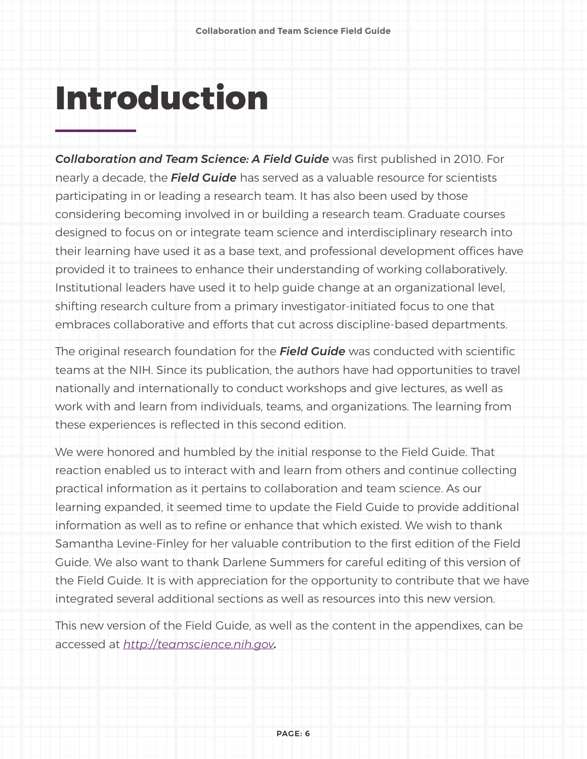# **Introduction**

*Collaboration and Team Science: A Field Guide* was first published in 2010. For nearly a decade, the *Field Guide* has served as a valuable resource for scientists participating in or leading a research team. It has also been used by those considering becoming involved in or building a research team. Graduate courses designed to focus on or integrate team science and interdisciplinary research into their learning have used it as a base text, and professional development offices have provided it to trainees to enhance their understanding of working collaboratively. Institutional leaders have used it to help guide change at an organizational level, shifting research culture from a primary investigator-initiated focus to one that embraces collaborative and efforts that cut across discipline-based departments.

The original research foundation for the *Field Guide* was conducted with scientific teams at the NIH. Since its publication, the authors have had opportunities to travel nationally and internationally to conduct workshops and give lectures, as well as work with and learn from individuals, teams, and organizations. The learning from these experiences is reflected in this second edition.

We were honored and humbled by the initial response to the Field Guide. That reaction enabled us to interact with and learn from others and continue collecting practical information as it pertains to collaboration and team science. As our learning expanded, it seemed time to update the Field Guide to provide additional information as well as to refine or enhance that which existed. We wish to thank Samantha Levine-Finley for her valuable contribution to the first edition of the Field Guide. We also want to thank Darlene Summers for careful editing of this version of the Field Guide. It is with appreciation for the opportunity to contribute that we have integrated several additional sections as well as resources into this new version.

This new version of the Field Guide, as well as the content in the appendixes, can be accessed at *<http://teamscience.nih.gov>.*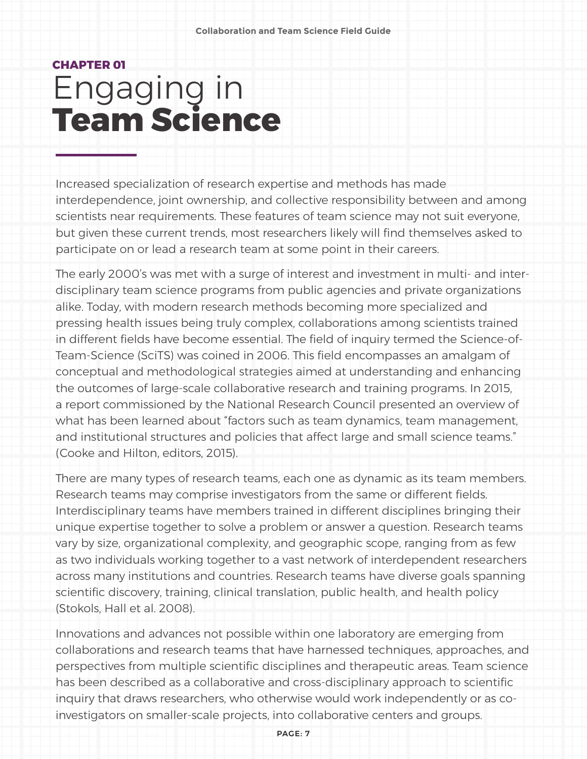## **CHAPTER 01** Engaging in **Team Science**

Increased specialization of research expertise and methods has made interdependence, joint ownership, and collective responsibility between and among scientists near requirements. These features of team science may not suit everyone, but given these current trends, most researchers likely will find themselves asked to participate on or lead a research team at some point in their careers.

The early 2000's was met with a surge of interest and investment in multi- and interdisciplinary team science programs from public agencies and private organizations alike. Today, with modern research methods becoming more specialized and pressing health issues being truly complex, collaborations among scientists trained in different fields have become essential. The field of inquiry termed the Science-of-Team-Science (SciTS) was coined in 2006. This field encompasses an amalgam of conceptual and methodological strategies aimed at understanding and enhancing the outcomes of large-scale collaborative research and training programs. In 2015, a report commissioned by the National Research Council presented an overview of what has been learned about "factors such as team dynamics, team management, and institutional structures and policies that affect large and small science teams." (Cooke and Hilton, editors, 2015).

There are many types of research teams, each one as dynamic as its team members. Research teams may comprise investigators from the same or different fields. Interdisciplinary teams have members trained in different disciplines bringing their unique expertise together to solve a problem or answer a question. Research teams vary by size, organizational complexity, and geographic scope, ranging from as few as two individuals working together to a vast network of interdependent researchers across many institutions and countries. Research teams have diverse goals spanning scientific discovery, training, clinical translation, public health, and health policy (Stokols, Hall et al. 2008).

Innovations and advances not possible within one laboratory are emerging from collaborations and research teams that have harnessed techniques, approaches, and perspectives from multiple scientific disciplines and therapeutic areas. Team science has been described as a collaborative and cross-disciplinary approach to scientific inquiry that draws researchers, who otherwise would work independently or as coinvestigators on smaller-scale projects, into collaborative centers and groups.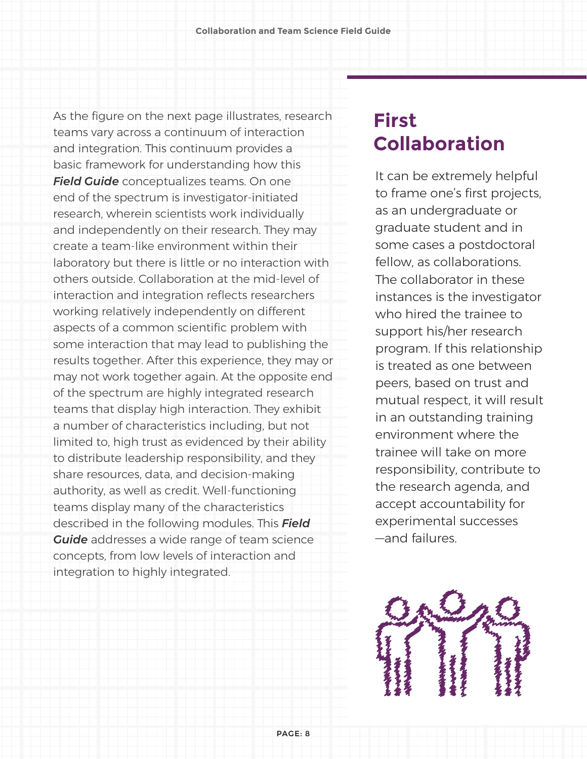As the figure on the next page illustrates, research teams vary across a continuum of interaction and integration. This continuum provides a basic framework for understanding how this *Field Guide* conceptualizes teams. On one end of the spectrum is investigator-initiated research, wherein scientists work individually and independently on their research. They may create a team-like environment within their laboratory but there is little or no interaction with others outside. Collaboration at the mid-level of interaction and integration reflects researchers working relatively independently on different aspects of a common scientific problem with some interaction that may lead to publishing the results together. After this experience, they may or may not work together again. At the opposite end of the spectrum are highly integrated research teams that display high interaction. They exhibit a number of characteristics including, but not limited to, high trust as evidenced by their ability to distribute leadership responsibility, and they share resources, data, and decision-making authority, as well as credit. Well-functioning teams display many of the characteristics described in the following modules. This *Field Guide* addresses a wide range of team science concepts, from low levels of interaction and integration to highly integrated.

### **First Collaboration**

It can be extremely helpful to frame one's first projects, as an undergraduate or graduate student and in some cases a postdoctoral fellow, as collaborations. The collaborator in these instances is the investigator who hired the trainee to support his/her research program. If this relationship is treated as one between peers, based on trust and mutual respect, it will result in an outstanding training environment where the trainee will take on more responsibility, contribute to the research agenda, and accept accountability for experimental successes —and failures.

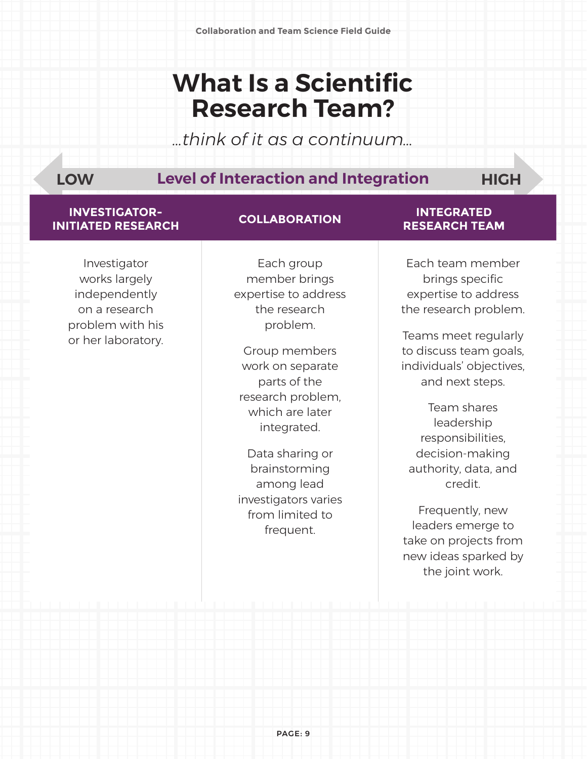## **What Is a Scientific Research Team?**

*…think of it as a continuum…*

### **Level of Interaction and Integration LOW HIGH**

### **INVESTIGATOR-INITIATED RESEARCH COLLABORATION INTEGRATED**

Investigator works largely independently on a research problem with his or her laboratory.

Each group member brings expertise to address the research problem.

Group members work on separate parts of the research problem, which are later integrated.

Data sharing or brainstorming among lead investigators varies from limited to frequent.

### **RESEARCH TEAM**

Each team member brings specific expertise to address the research problem.

Teams meet regularly to discuss team goals, individuals' objectives, and next steps.

Team shares leadership responsibilities, decision-making authority, data, and credit.

Frequently, new leaders emerge to take on projects from new ideas sparked by the joint work.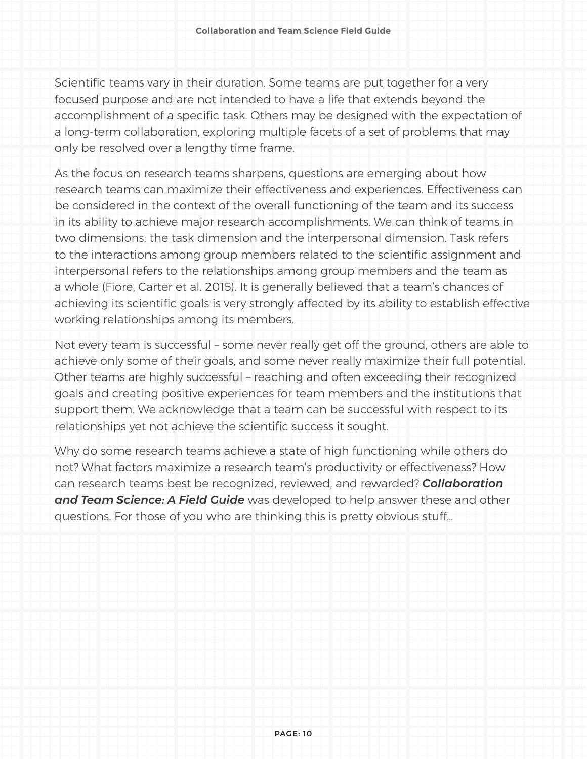Scientific teams vary in their duration. Some teams are put together for a very focused purpose and are not intended to have a life that extends beyond the accomplishment of a specific task. Others may be designed with the expectation of a long-term collaboration, exploring multiple facets of a set of problems that may only be resolved over a lengthy time frame.

As the focus on research teams sharpens, questions are emerging about how research teams can maximize their effectiveness and experiences. Effectiveness can be considered in the context of the overall functioning of the team and its success in its ability to achieve major research accomplishments. We can think of teams in two dimensions: the task dimension and the interpersonal dimension. Task refers to the interactions among group members related to the scientific assignment and interpersonal refers to the relationships among group members and the team as a whole (Fiore, Carter et al. 2015). It is generally believed that a team's chances of achieving its scientific goals is very strongly affected by its ability to establish effective working relationships among its members.

Not every team is successful – some never really get off the ground, others are able to achieve only some of their goals, and some never really maximize their full potential. Other teams are highly successful – reaching and often exceeding their recognized goals and creating positive experiences for team members and the institutions that support them. We acknowledge that a team can be successful with respect to its relationships yet not achieve the scientific success it sought.

Why do some research teams achieve a state of high functioning while others do not? What factors maximize a research team's productivity or effectiveness? How can research teams best be recognized, reviewed, and rewarded? *Collaboration and Team Science: A Field Guide* was developed to help answer these and other questions. For those of you who are thinking this is pretty obvious stuff…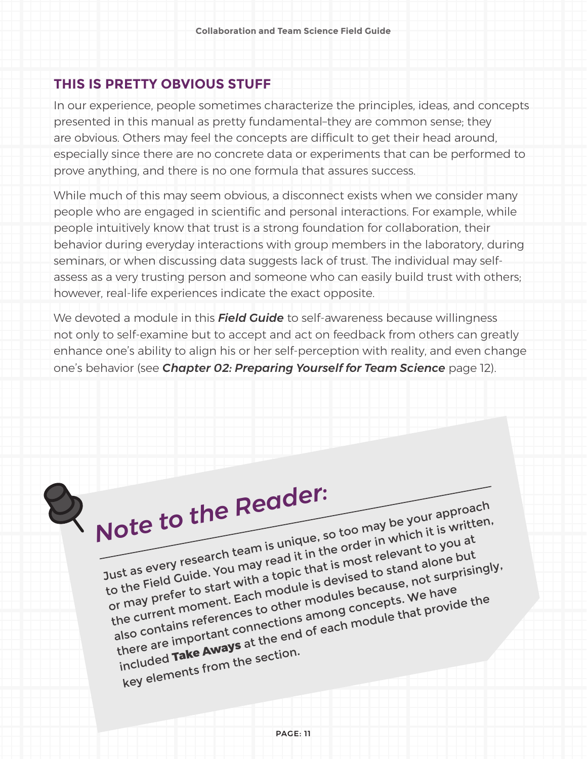### **THIS IS PRETTY OBVIOUS STUFF**

In our experience, people sometimes characterize the principles, ideas, and concepts presented in this manual as pretty fundamental–they are common sense; they are obvious. Others may feel the concepts are difficult to get their head around, especially since there are no concrete data or experiments that can be performed to prove anything, and there is no one formula that assures success.

While much of this may seem obvious, a disconnect exists when we consider many people who are engaged in scientific and personal interactions. For example, while people intuitively know that trust is a strong foundation for collaboration, their behavior during everyday interactions with group members in the laboratory, during seminars, or when discussing data suggests lack of trust. The individual may selfassess as a very trusting person and someone who can easily build trust with others; however, real-life experiences indicate the exact opposite.

We devoted a module in this *Field Guide* to self-awareness because willingness not only to self-examine but to accept and act on feedback from others can greatly enhance one's ability to align his or her self-perception with reality, and even change one's behavior (see *Chapter 02: Preparing Yourself for Team Science* page 12).



 $Q_{\text{Note to the Reader:}}$ 

m

Jote to the Reuu Sample your approach to the Field Guide. You may read it in the order in which it is written, or may prefer to start with a topic that is most relevant to you at the current moment. Each module is devised to stand alone but also contains references to other modules because, not surprisingly, there are important connections among concepts. We have included **Take Aways** at the end of each module that provide the key elements from the section.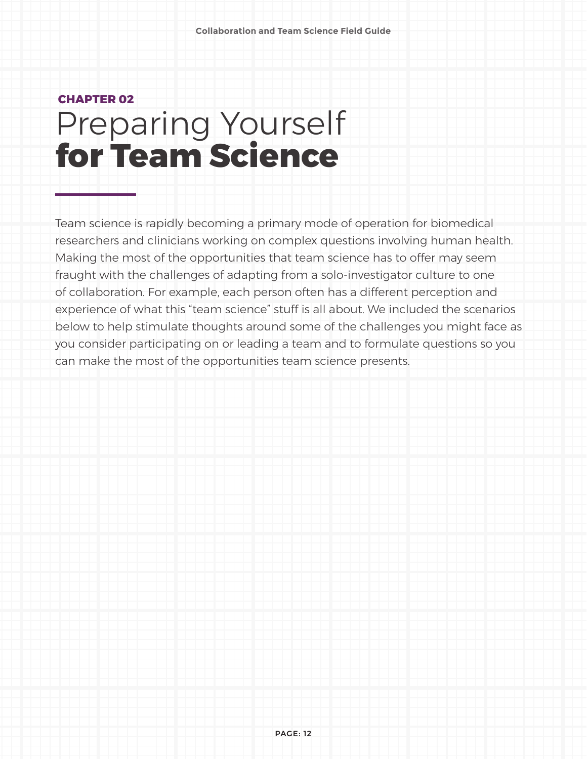## Preparing Yourself **CHAPTER 02 for Team Science**

Team science is rapidly becoming a primary mode of operation for biomedical researchers and clinicians working on complex questions involving human health. Making the most of the opportunities that team science has to offer may seem fraught with the challenges of adapting from a solo-investigator culture to one of collaboration. For example, each person often has a different perception and experience of what this "team science" stuff is all about. We included the scenarios below to help stimulate thoughts around some of the challenges you might face as you consider participating on or leading a team and to formulate questions so you can make the most of the opportunities team science presents.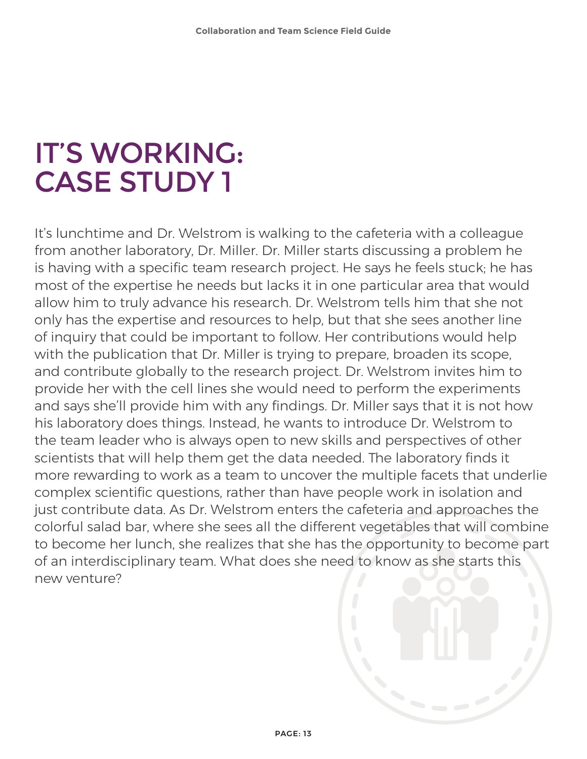## IT'S WORKING: CASE STUDY 1

It's lunchtime and Dr. Welstrom is walking to the cafeteria with a colleague from another laboratory, Dr. Miller. Dr. Miller starts discussing a problem he is having with a specific team research project. He says he feels stuck; he has most of the expertise he needs but lacks it in one particular area that would allow him to truly advance his research. Dr. Welstrom tells him that she not only has the expertise and resources to help, but that she sees another line of inquiry that could be important to follow. Her contributions would help with the publication that Dr. Miller is trying to prepare, broaden its scope, and contribute globally to the research project. Dr. Welstrom invites him to provide her with the cell lines she would need to perform the experiments and says she'll provide him with any findings. Dr. Miller says that it is not how his laboratory does things. Instead, he wants to introduce Dr. Welstrom to the team leader who is always open to new skills and perspectives of other scientists that will help them get the data needed. The laboratory finds it more rewarding to work as a team to uncover the multiple facets that underlie complex scientific questions, rather than have people work in isolation and just contribute data. As Dr. Welstrom enters the cafeteria and approaches the colorful salad bar, where she sees all the different vegetables that will combine to become her lunch, she realizes that she has the opportunity to become part of an interdisciplinary team. What does she need to know as she starts this new venture?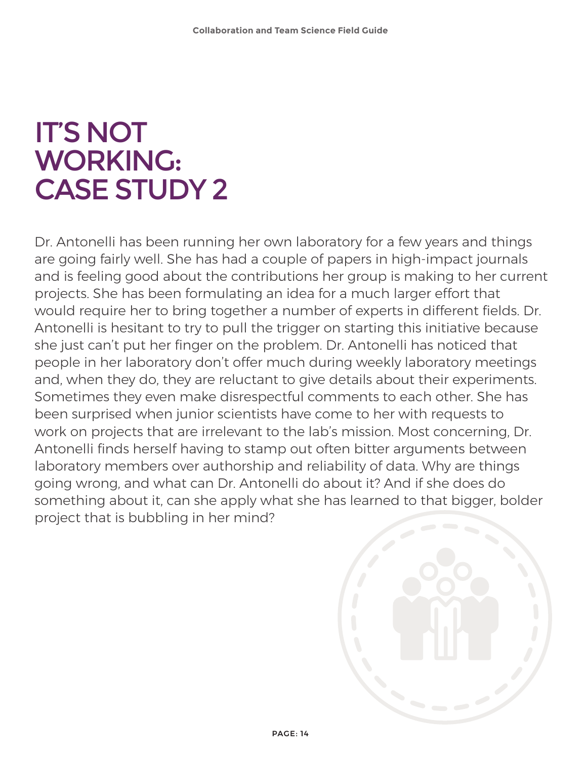## IT'S NOT WORKING: CASE STUDY 2

Dr. Antonelli has been running her own laboratory for a few years and things are going fairly well. She has had a couple of papers in high-impact journals and is feeling good about the contributions her group is making to her current projects. She has been formulating an idea for a much larger effort that would require her to bring together a number of experts in different fields. Dr. Antonelli is hesitant to try to pull the trigger on starting this initiative because she just can't put her finger on the problem. Dr. Antonelli has noticed that people in her laboratory don't offer much during weekly laboratory meetings and, when they do, they are reluctant to give details about their experiments. Sometimes they even make disrespectful comments to each other. She has been surprised when junior scientists have come to her with requests to work on projects that are irrelevant to the lab's mission. Most concerning, Dr. Antonelli finds herself having to stamp out often bitter arguments between laboratory members over authorship and reliability of data. Why are things going wrong, and what can Dr. Antonelli do about it? And if she does do something about it, can she apply what she has learned to that bigger, bolder project that is bubbling in her mind?

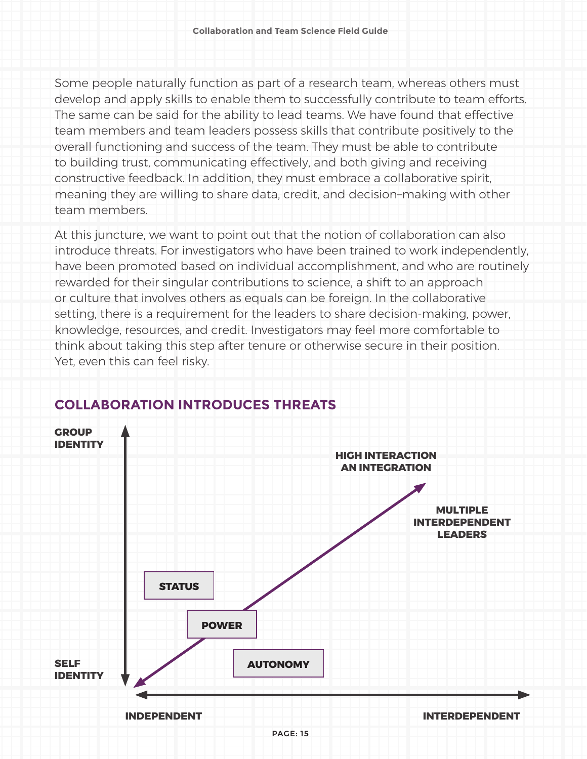Some people naturally function as part of a research team, whereas others must develop and apply skills to enable them to successfully contribute to team efforts. The same can be said for the ability to lead teams. We have found that effective team members and team leaders possess skills that contribute positively to the overall functioning and success of the team. They must be able to contribute to building trust, communicating effectively, and both giving and receiving constructive feedback. In addition, they must embrace a collaborative spirit, meaning they are willing to share data, credit, and decision–making with other team members.

At this juncture, we want to point out that the notion of collaboration can also introduce threats. For investigators who have been trained to work independently, have been promoted based on individual accomplishment, and who are routinely rewarded for their singular contributions to science, a shift to an approach or culture that involves others as equals can be foreign. In the collaborative setting, there is a requirement for the leaders to share decision-making, power, knowledge, resources, and credit. Investigators may feel more comfortable to think about taking this step after tenure or otherwise secure in their position. Yet, even this can feel risky.



### **COLLABORATION INTRODUCES THREATS**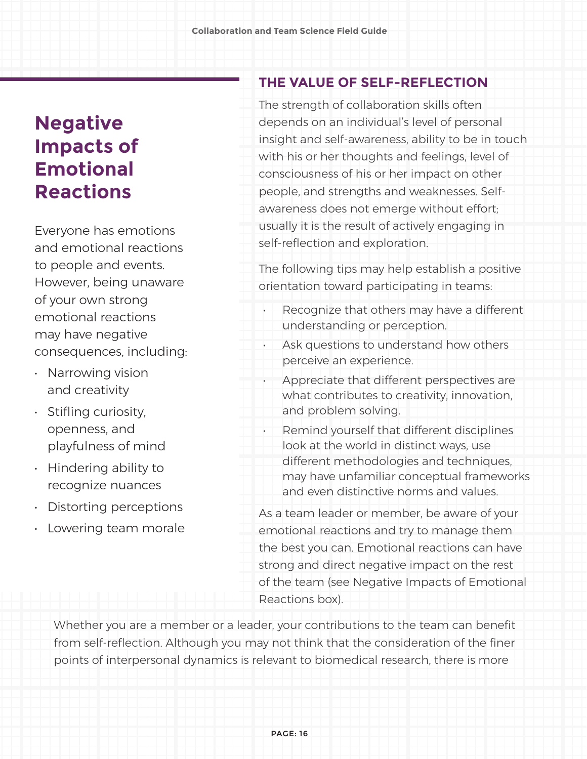### **Negative Impacts of Emotional Reactions**

Everyone has emotions and emotional reactions to people and events. However, being unaware of your own strong emotional reactions may have negative consequences, including:

- Narrowing vision and creativity
- Stifling curiosity, openness, and playfulness of mind
- Hindering ability to recognize nuances
- Distorting perceptions
- Lowering team morale

### **THE VALUE OF SELF-REFLECTION**

The strength of collaboration skills often depends on an individual's level of personal insight and self-awareness, ability to be in touch with his or her thoughts and feelings, level of consciousness of his or her impact on other people, and strengths and weaknesses. Selfawareness does not emerge without effort; usually it is the result of actively engaging in self-reflection and exploration.

The following tips may help establish a positive orientation toward participating in teams:

- Recognize that others may have a different understanding or perception.
- Ask questions to understand how others perceive an experience.
- Appreciate that different perspectives are what contributes to creativity, innovation, and problem solving.
- Remind yourself that different disciplines look at the world in distinct ways, use different methodologies and techniques, may have unfamiliar conceptual frameworks and even distinctive norms and values.
- As a team leader or member, be aware of your emotional reactions and try to manage them the best you can. Emotional reactions can have strong and direct negative impact on the rest of the team (see Negative Impacts of Emotional Reactions box).

Whether you are a member or a leader, your contributions to the team can benefit from self-reflection. Although you may not think that the consideration of the finer points of interpersonal dynamics is relevant to biomedical research, there is more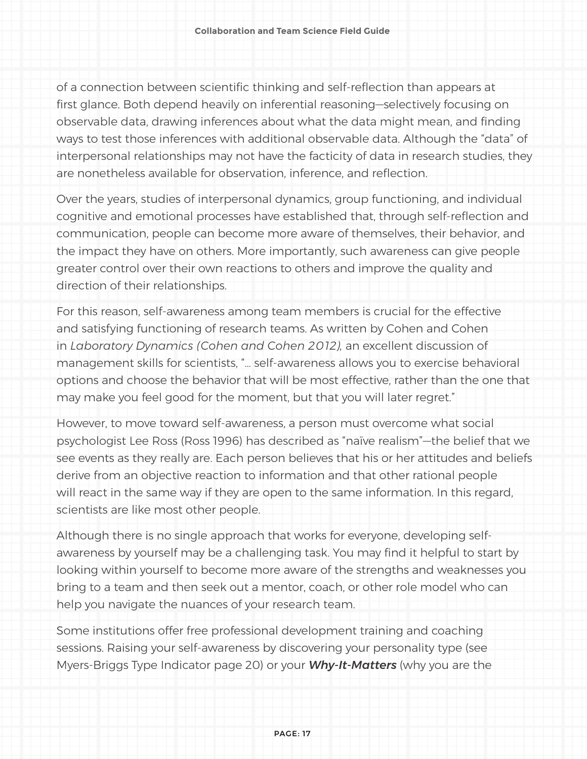of a connection between scientific thinking and self-reflection than appears at first glance. Both depend heavily on inferential reasoning—selectively focusing on observable data, drawing inferences about what the data might mean, and finding ways to test those inferences with additional observable data. Although the "data" of interpersonal relationships may not have the facticity of data in research studies, they are nonetheless available for observation, inference, and reflection.

Over the years, studies of interpersonal dynamics, group functioning, and individual cognitive and emotional processes have established that, through self-reflection and communication, people can become more aware of themselves, their behavior, and the impact they have on others. More importantly, such awareness can give people greater control over their own reactions to others and improve the quality and direction of their relationships.

For this reason, self-awareness among team members is crucial for the effective and satisfying functioning of research teams. As written by Cohen and Cohen in *Laboratory Dynamics (Cohen and Cohen 2012),* an excellent discussion of management skills for scientists, "… self-awareness allows you to exercise behavioral options and choose the behavior that will be most effective, rather than the one that may make you feel good for the moment, but that you will later regret."

However, to move toward self-awareness, a person must overcome what social psychologist Lee Ross (Ross 1996) has described as "naïve realism"—the belief that we see events as they really are. Each person believes that his or her attitudes and beliefs derive from an objective reaction to information and that other rational people will react in the same way if they are open to the same information. In this regard, scientists are like most other people.

Although there is no single approach that works for everyone, developing selfawareness by yourself may be a challenging task. You may find it helpful to start by looking within yourself to become more aware of the strengths and weaknesses you bring to a team and then seek out a mentor, coach, or other role model who can help you navigate the nuances of your research team.

Some institutions offer free professional development training and coaching sessions. Raising your self-awareness by discovering your personality type (see Myers-Briggs Type Indicator page 20) or your *Why-It-Matters* (why you are the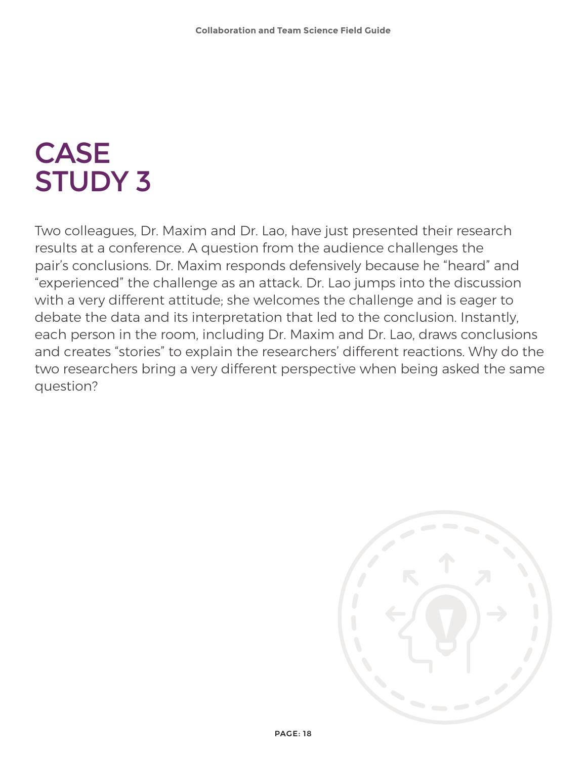## CASE STUDY 3

Two colleagues, Dr. Maxim and Dr. Lao, have just presented their research results at a conference. A question from the audience challenges the pair's conclusions. Dr. Maxim responds defensively because he "heard" and "experienced" the challenge as an attack. Dr. Lao jumps into the discussion with a very different attitude; she welcomes the challenge and is eager to debate the data and its interpretation that led to the conclusion. Instantly, each person in the room, including Dr. Maxim and Dr. Lao, draws conclusions and creates "stories" to explain the researchers' different reactions. Why do the two researchers bring a very different perspective when being asked the same question?

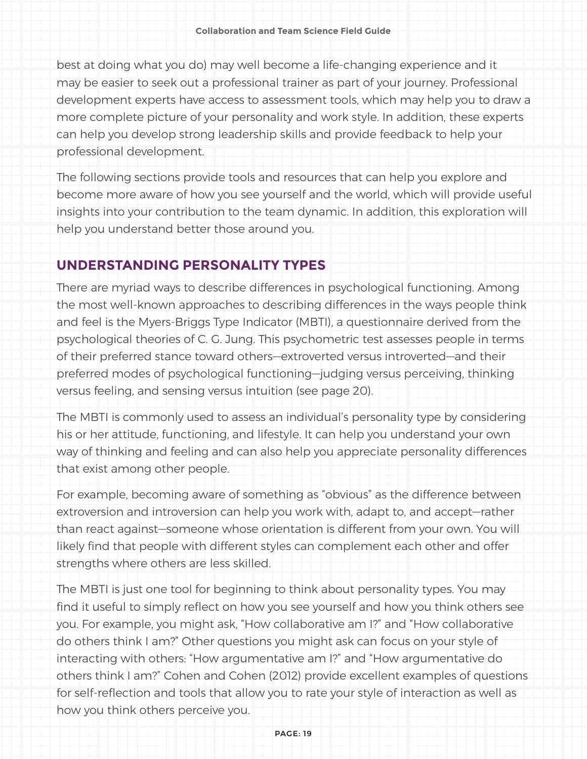best at doing what you do) may well become a life-changing experience and it may be easier to seek out a professional trainer as part of your journey. Professional development experts have access to assessment tools, which may help you to draw a more complete picture of your personality and work style. In addition, these experts can help you develop strong leadership skills and provide feedback to help your professional development.

The following sections provide tools and resources that can help you explore and become more aware of how you see yourself and the world, which will provide useful insights into your contribution to the team dynamic. In addition, this exploration will help you understand better those around you.

### **UNDERSTANDING PERSONALITY TYPES**

There are myriad ways to describe differences in psychological functioning. Among the most well-known approaches to describing differences in the ways people think and feel is the Myers-Briggs Type Indicator (MBTI), a questionnaire derived from the psychological theories of C. G. Jung. This psychometric test assesses people in terms of their preferred stance toward others—extroverted versus introverted—and their preferred modes of psychological functioning—judging versus perceiving, thinking versus feeling, and sensing versus intuition (see page 20).

The MBTI is commonly used to assess an individual's personality type by considering his or her attitude, functioning, and lifestyle. It can help you understand your own way of thinking and feeling and can also help you appreciate personality differences that exist among other people.

For example, becoming aware of something as "obvious" as the difference between extroversion and introversion can help you work with, adapt to, and accept—rather than react against—someone whose orientation is different from your own. You will likely find that people with different styles can complement each other and offer strengths where others are less skilled.

The MBTI is just one tool for beginning to think about personality types. You may find it useful to simply reflect on how you see yourself and how you think others see you. For example, you might ask, "How collaborative am I?" and "How collaborative do others think I am?" Other questions you might ask can focus on your style of interacting with others: "How argumentative am I?" and "How argumentative do others think I am?" Cohen and Cohen (2012) provide excellent examples of questions for self-reflection and tools that allow you to rate your style of interaction as well as how you think others perceive you.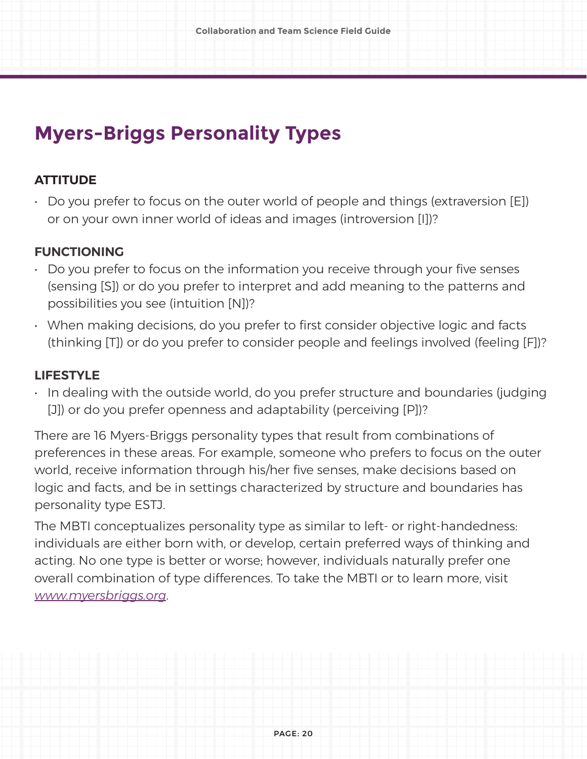### **Myers-Briggs Personality Types**

### **ATTITUDE**

 $\cdot$  Do you prefer to focus on the outer world of people and things (extraversion [E]) or on your own inner world of ideas and images (introversion [I])?

### **FUNCTIONING**

- Do you prefer to focus on the information you receive through your five senses (sensing [S]) or do you prefer to interpret and add meaning to the patterns and possibilities you see (intuition [N])?
- When making decisions, do you prefer to first consider objective logic and facts (thinking [T]) or do you prefer to consider people and feelings involved (feeling [F])?

### **LIFESTYLE**

• In dealing with the outside world, do you prefer structure and boundaries (judging [J]) or do you prefer openness and adaptability (perceiving [P])?

There are 16 Myers-Briggs personality types that result from combinations of preferences in these areas. For example, someone who prefers to focus on the outer world, receive information through his/her five senses, make decisions based on logic and facts, and be in settings characterized by structure and boundaries has personality type ESTJ.

The MBTI conceptualizes personality type as similar to left- or right-handedness: individuals are either born with, or develop, certain preferred ways of thinking and acting. No one type is better or worse; however, individuals naturally prefer one overall combination of type differences. To take the MBTI or to learn more, visit *[www.myersbriggs.org](http://www.myersbriggs.org)*.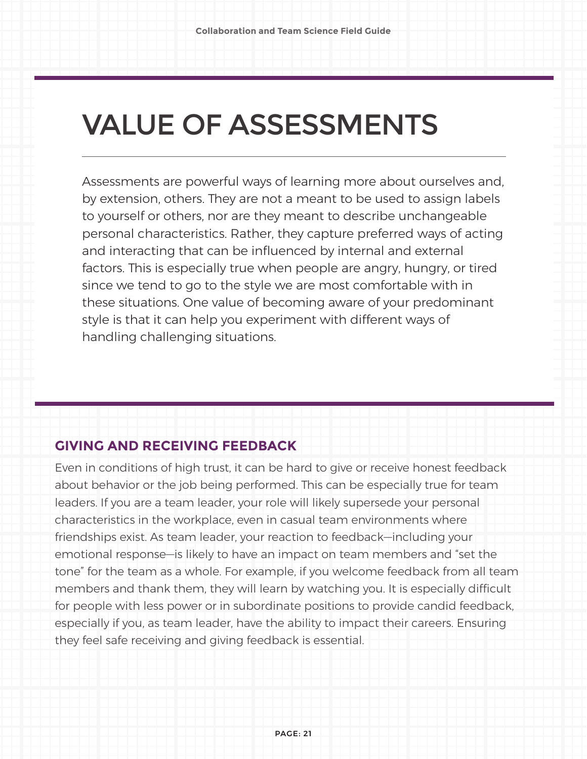# VALUE OF ASSESSMENTS

Assessments are powerful ways of learning more about ourselves and, by extension, others. They are not a meant to be used to assign labels to yourself or others, nor are they meant to describe unchangeable personal characteristics. Rather, they capture preferred ways of acting and interacting that can be influenced by internal and external factors. This is especially true when people are angry, hungry, or tired since we tend to go to the style we are most comfortable with in these situations. One value of becoming aware of your predominant style is that it can help you experiment with different ways of handling challenging situations.

### **GIVING AND RECEIVING FEEDBACK**

Even in conditions of high trust, it can be hard to give or receive honest feedback about behavior or the job being performed. This can be especially true for team leaders. If you are a team leader, your role will likely supersede your personal characteristics in the workplace, even in casual team environments where friendships exist. As team leader, your reaction to feedback—including your emotional response—is likely to have an impact on team members and "set the tone" for the team as a whole. For example, if you welcome feedback from all team members and thank them, they will learn by watching you. It is especially difficult for people with less power or in subordinate positions to provide candid feedback, especially if you, as team leader, have the ability to impact their careers. Ensuring they feel safe receiving and giving feedback is essential.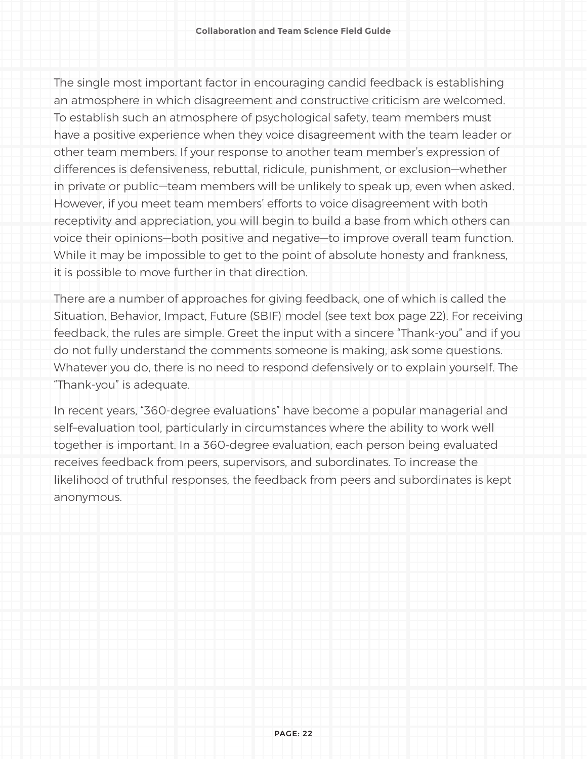The single most important factor in encouraging candid feedback is establishing an atmosphere in which disagreement and constructive criticism are welcomed. To establish such an atmosphere of psychological safety, team members must have a positive experience when they voice disagreement with the team leader or other team members. If your response to another team member's expression of differences is defensiveness, rebuttal, ridicule, punishment, or exclusion—whether in private or public—team members will be unlikely to speak up, even when asked. However, if you meet team members' efforts to voice disagreement with both receptivity and appreciation, you will begin to build a base from which others can voice their opinions—both positive and negative—to improve overall team function. While it may be impossible to get to the point of absolute honesty and frankness, it is possible to move further in that direction.

There are a number of approaches for giving feedback, one of which is called the Situation, Behavior, Impact, Future (SBIF) model (see text box page 22). For receiving feedback, the rules are simple. Greet the input with a sincere "Thank-you" and if you do not fully understand the comments someone is making, ask some questions. Whatever you do, there is no need to respond defensively or to explain yourself. The "Thank-you" is adequate.

In recent years, "360-degree evaluations" have become a popular managerial and self–evaluation tool, particularly in circumstances where the ability to work well together is important. In a 360-degree evaluation, each person being evaluated receives feedback from peers, supervisors, and subordinates. To increase the likelihood of truthful responses, the feedback from peers and subordinates is kept anonymous.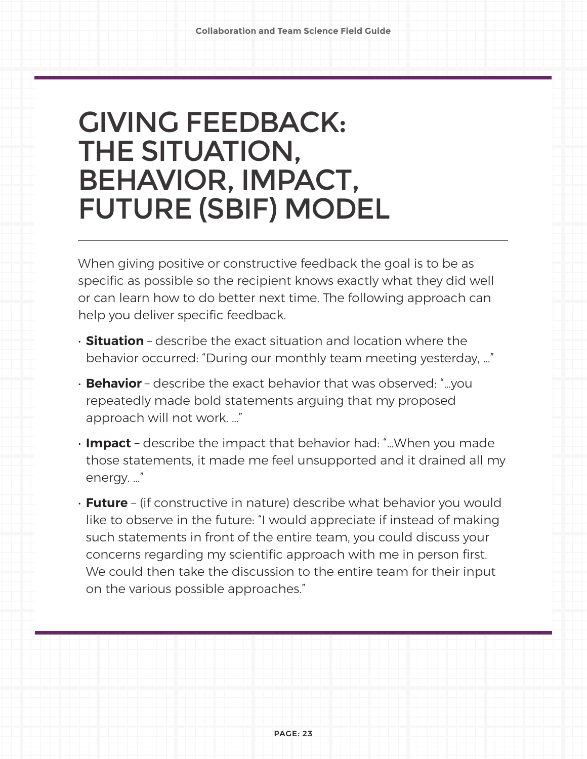## GIVING FEEDBACK: THE SITUATION, BEHAVIOR, IMPACT, FUTURE (SBIF) MODEL

When giving positive or constructive feedback the goal is to be as specific as possible so the recipient knows exactly what they did well or can learn how to do better next time. The following approach can help you deliver specific feedback.

- **Situation**  describe the exact situation and location where the behavior occurred: "During our monthly team meeting yesterday, …"
- **Behavior**  describe the exact behavior that was observed: "…you repeatedly made bold statements arguing that my proposed approach will not work. …"
- **Impact** describe the impact that behavior had: "…When you made those statements, it made me feel unsupported and it drained all my energy. …"
- **Future** (if constructive in nature) describe what behavior you would like to observe in the future: "I would appreciate if instead of making such statements in front of the entire team, you could discuss your concerns regarding my scientific approach with me in person first. We could then take the discussion to the entire team for their input on the various possible approaches."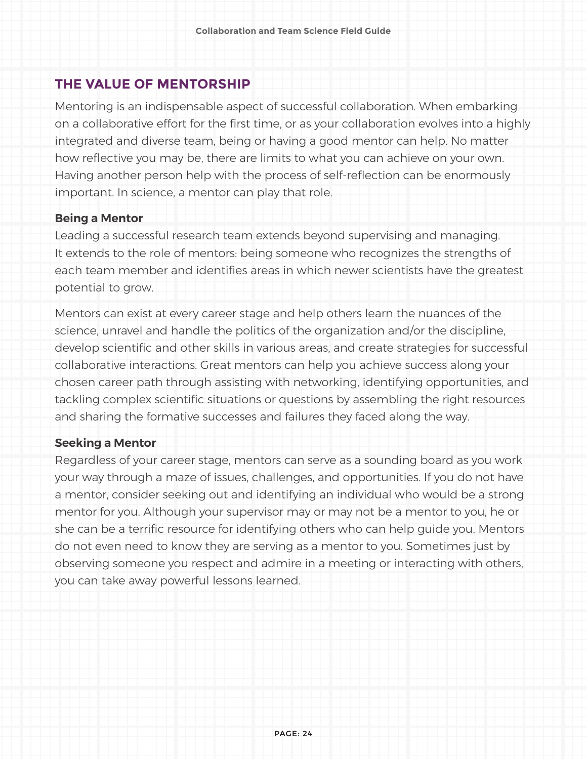### **THE VALUE OF MENTORSHIP**

Mentoring is an indispensable aspect of successful collaboration. When embarking on a collaborative effort for the first time, or as your collaboration evolves into a highly integrated and diverse team, being or having a good mentor can help. No matter how reflective you may be, there are limits to what you can achieve on your own. Having another person help with the process of self-reflection can be enormously important. In science, a mentor can play that role.

#### **Being a Mentor**

Leading a successful research team extends beyond supervising and managing. It extends to the role of mentors: being someone who recognizes the strengths of each team member and identifies areas in which newer scientists have the greatest potential to grow.

Mentors can exist at every career stage and help others learn the nuances of the science, unravel and handle the politics of the organization and/or the discipline, develop scientific and other skills in various areas, and create strategies for successful collaborative interactions. Great mentors can help you achieve success along your chosen career path through assisting with networking, identifying opportunities, and tackling complex scientific situations or questions by assembling the right resources and sharing the formative successes and failures they faced along the way.

#### **Seeking a Mentor**

Regardless of your career stage, mentors can serve as a sounding board as you work your way through a maze of issues, challenges, and opportunities. If you do not have a mentor, consider seeking out and identifying an individual who would be a strong mentor for you. Although your supervisor may or may not be a mentor to you, he or she can be a terrific resource for identifying others who can help guide you. Mentors do not even need to know they are serving as a mentor to you. Sometimes just by observing someone you respect and admire in a meeting or interacting with others, you can take away powerful lessons learned.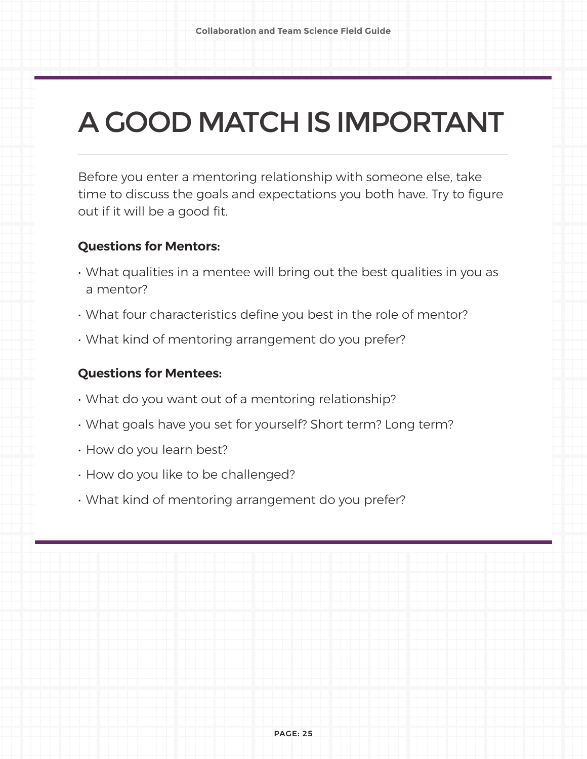# A GOOD MATCH IS IMPORTANT

Before you enter a mentoring relationship with someone else, take time to discuss the goals and expectations you both have. Try to figure out if it will be a good fit.

### **Questions for Mentors:**

- What qualities in a mentee will bring out the best qualities in you as a mentor?
- What four characteristics define you best in the role of mentor?
- What kind of mentoring arrangement do you prefer?

### **Questions for Mentees:**

- What do you want out of a mentoring relationship?
- What goals have you set for yourself? Short term? Long term?
- How do you learn best?
- How do you like to be challenged?
- What kind of mentoring arrangement do you prefer?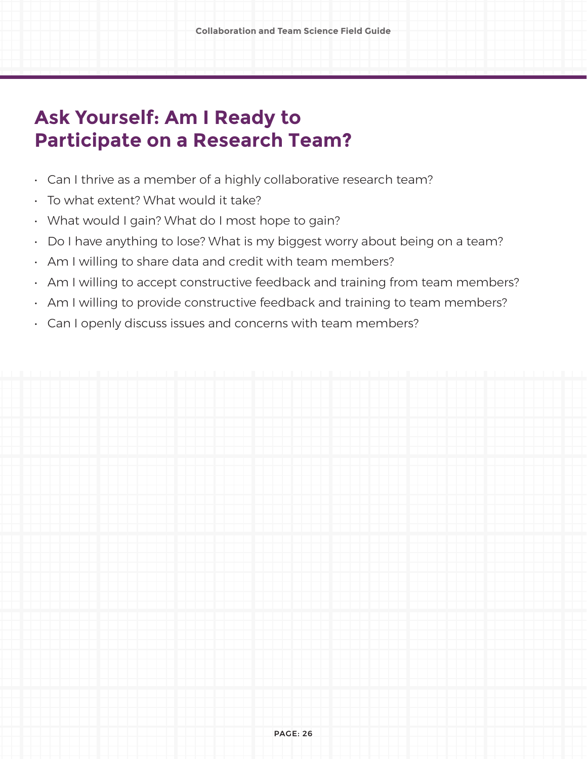### **Ask Yourself: Am I Ready to Participate on a Research Team?**

- Can I thrive as a member of a highly collaborative research team?
- To what extent? What would it take?
- What would I gain? What do I most hope to gain?
- Do I have anything to lose? What is my biggest worry about being on a team?
- Am I willing to share data and credit with team members?
- Am I willing to accept constructive feedback and training from team members?
- Am I willing to provide constructive feedback and training to team members?
- Can I openly discuss issues and concerns with team members?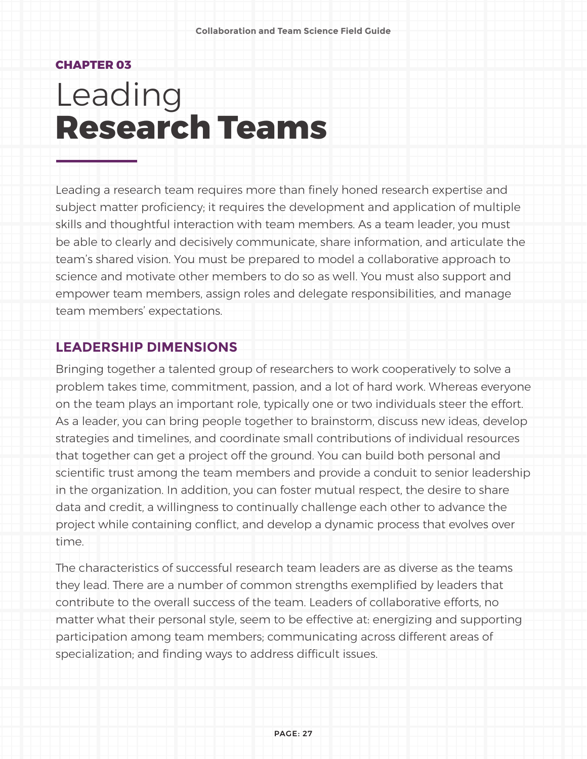#### **CHAPTER 03**

# Leading **Research Teams**

Leading a research team requires more than finely honed research expertise and subject matter proficiency; it requires the development and application of multiple skills and thoughtful interaction with team members. As a team leader, you must be able to clearly and decisively communicate, share information, and articulate the team's shared vision. You must be prepared to model a collaborative approach to science and motivate other members to do so as well. You must also support and empower team members, assign roles and delegate responsibilities, and manage team members' expectations.

### **LEADERSHIP DIMENSIONS**

Bringing together a talented group of researchers to work cooperatively to solve a problem takes time, commitment, passion, and a lot of hard work. Whereas everyone on the team plays an important role, typically one or two individuals steer the effort. As a leader, you can bring people together to brainstorm, discuss new ideas, develop strategies and timelines, and coordinate small contributions of individual resources that together can get a project off the ground. You can build both personal and scientific trust among the team members and provide a conduit to senior leadership in the organization. In addition, you can foster mutual respect, the desire to share data and credit, a willingness to continually challenge each other to advance the project while containing conflict, and develop a dynamic process that evolves over time.

The characteristics of successful research team leaders are as diverse as the teams they lead. There are a number of common strengths exemplified by leaders that contribute to the overall success of the team. Leaders of collaborative efforts, no matter what their personal style, seem to be effective at: energizing and supporting participation among team members; communicating across different areas of specialization; and finding ways to address difficult issues.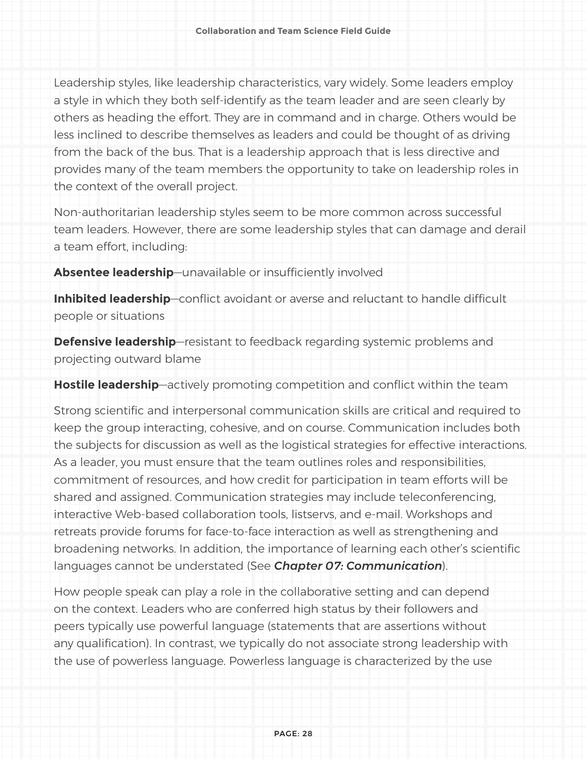Leadership styles, like leadership characteristics, vary widely. Some leaders employ a style in which they both self-identify as the team leader and are seen clearly by others as heading the effort. They are in command and in charge. Others would be less inclined to describe themselves as leaders and could be thought of as driving from the back of the bus. That is a leadership approach that is less directive and provides many of the team members the opportunity to take on leadership roles in the context of the overall project.

Non-authoritarian leadership styles seem to be more common across successful team leaders. However, there are some leadership styles that can damage and derail a team effort, including:

**Absentee leadership**—unavailable or insufficiently involved

**Inhibited leadership**—conflict avoidant or averse and reluctant to handle difficult people or situations

**Defensive leadership**—resistant to feedback regarding systemic problems and projecting outward blame

**Hostile leadership**—actively promoting competition and conflict within the team

Strong scientific and interpersonal communication skills are critical and required to keep the group interacting, cohesive, and on course. Communication includes both the subjects for discussion as well as the logistical strategies for effective interactions. As a leader, you must ensure that the team outlines roles and responsibilities, commitment of resources, and how credit for participation in team efforts will be shared and assigned. Communication strategies may include teleconferencing, interactive Web-based collaboration tools, listservs, and e-mail. Workshops and retreats provide forums for face-to-face interaction as well as strengthening and broadening networks. In addition, the importance of learning each other's scientific languages cannot be understated (See *Chapter 07: Communication*).

How people speak can play a role in the collaborative setting and can depend on the context. Leaders who are conferred high status by their followers and peers typically use powerful language (statements that are assertions without any qualification). In contrast, we typically do not associate strong leadership with the use of powerless language. Powerless language is characterized by the use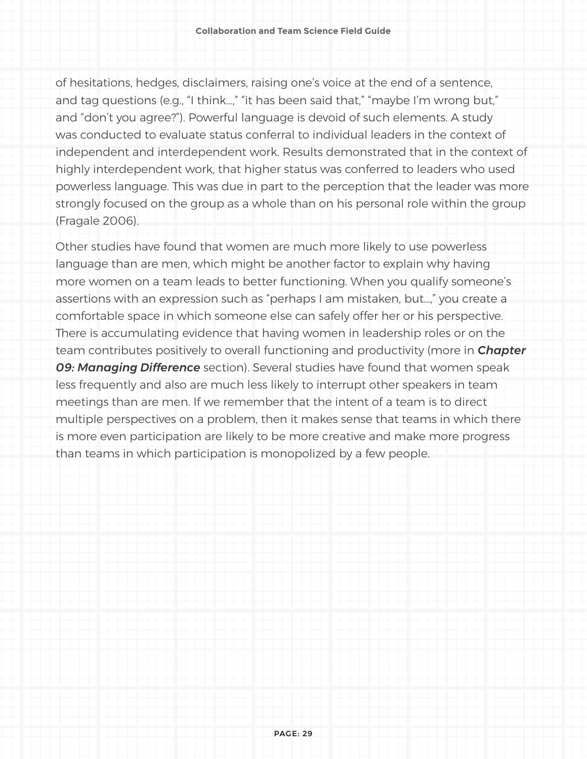of hesitations, hedges, disclaimers, raising one's voice at the end of a sentence, and tag questions (e.g., "I think…," "it has been said that," "maybe I'm wrong but," and "don't you agree?"). Powerful language is devoid of such elements. A study was conducted to evaluate status conferral to individual leaders in the context of independent and interdependent work. Results demonstrated that in the context of highly interdependent work, that higher status was conferred to leaders who used powerless language. This was due in part to the perception that the leader was more strongly focused on the group as a whole than on his personal role within the group (Fragale 2006).

Other studies have found that women are much more likely to use powerless language than are men, which might be another factor to explain why having more women on a team leads to better functioning. When you qualify someone's assertions with an expression such as "perhaps I am mistaken, but…," you create a comfortable space in which someone else can safely offer her or his perspective. There is accumulating evidence that having women in leadership roles or on the team contributes positively to overall functioning and productivity (more in *Chapter 09: Managing Difference* section). Several studies have found that women speak less frequently and also are much less likely to interrupt other speakers in team meetings than are men. If we remember that the intent of a team is to direct multiple perspectives on a problem, then it makes sense that teams in which there is more even participation are likely to be more creative and make more progress than teams in which participation is monopolized by a few people.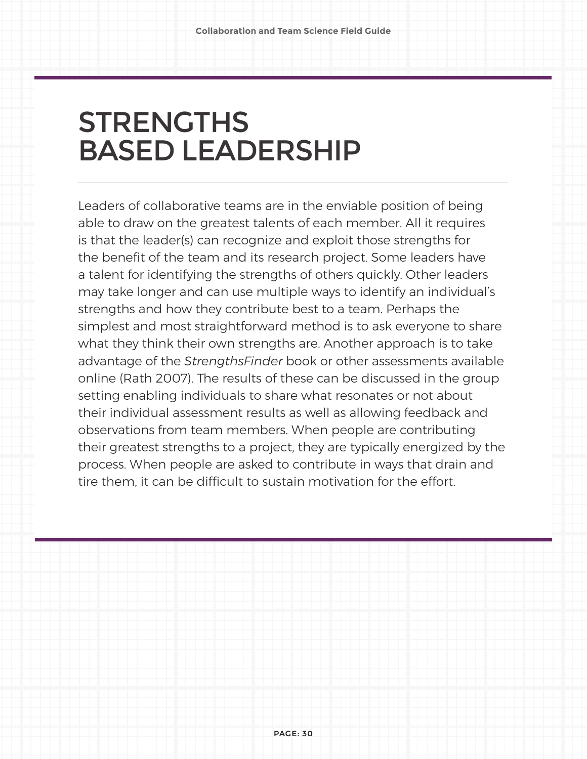## **STRENGTHS** BASED LEADERSHIP

Leaders of collaborative teams are in the enviable position of being able to draw on the greatest talents of each member. All it requires is that the leader(s) can recognize and exploit those strengths for the benefit of the team and its research project. Some leaders have a talent for identifying the strengths of others quickly. Other leaders may take longer and can use multiple ways to identify an individual's strengths and how they contribute best to a team. Perhaps the simplest and most straightforward method is to ask everyone to share what they think their own strengths are. Another approach is to take advantage of the *StrengthsFinder* book or other assessments available online (Rath 2007). The results of these can be discussed in the group setting enabling individuals to share what resonates or not about their individual assessment results as well as allowing feedback and observations from team members. When people are contributing their greatest strengths to a project, they are typically energized by the process. When people are asked to contribute in ways that drain and tire them, it can be difficult to sustain motivation for the effort.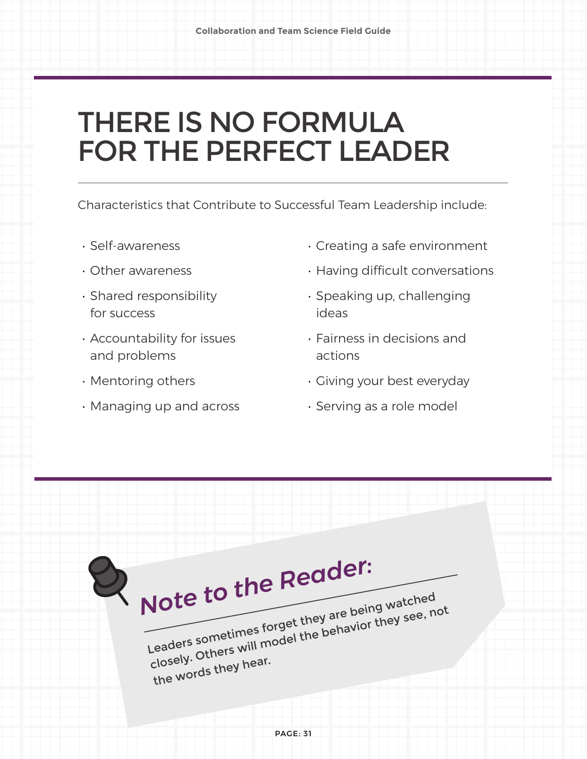## THERE IS NO FORMULA FOR THE PERFECT LEADER

Characteristics that Contribute to Successful Team Leadership include:

- Self-awareness
- Other awareness
- Shared responsibility for success
- Accountability for issues and problems
- Mentoring others
- Managing up and across
- Creating a safe environment
- Having difficult conversations
- Speaking up, challenging ideas
- Fairness in decisions and actions
- Giving your best everyday
- Serving as a role model

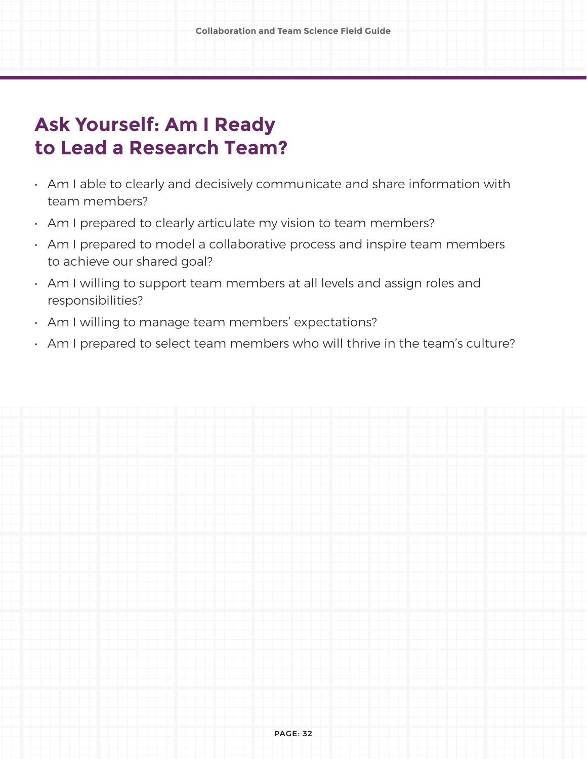### **Ask Yourself: Am I Ready to Lead a Research Team?**

- Am I able to clearly and decisively communicate and share information with team members?
- Am I prepared to clearly articulate my vision to team members?
- Am I prepared to model a collaborative process and inspire team members to achieve our shared goal?
- Am I willing to support team members at all levels and assign roles and responsibilities?
- Am I willing to manage team members' expectations?
- Am I prepared to select team members who will thrive in the team's culture?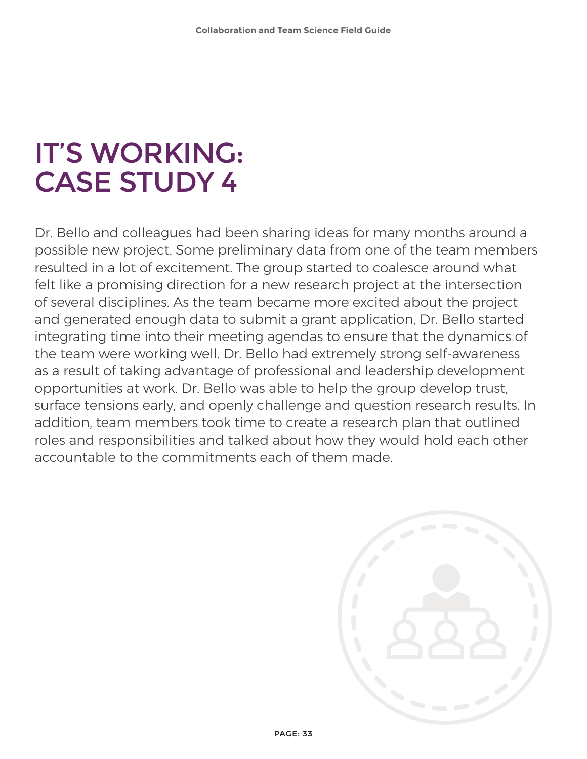## IT'S WORKING: CASE STUDY 4

Dr. Bello and colleagues had been sharing ideas for many months around a possible new project. Some preliminary data from one of the team members resulted in a lot of excitement. The group started to coalesce around what felt like a promising direction for a new research project at the intersection of several disciplines. As the team became more excited about the project and generated enough data to submit a grant application, Dr. Bello started integrating time into their meeting agendas to ensure that the dynamics of the team were working well. Dr. Bello had extremely strong self-awareness as a result of taking advantage of professional and leadership development opportunities at work. Dr. Bello was able to help the group develop trust, surface tensions early, and openly challenge and question research results. In addition, team members took time to create a research plan that outlined roles and responsibilities and talked about how they would hold each other accountable to the commitments each of them made.

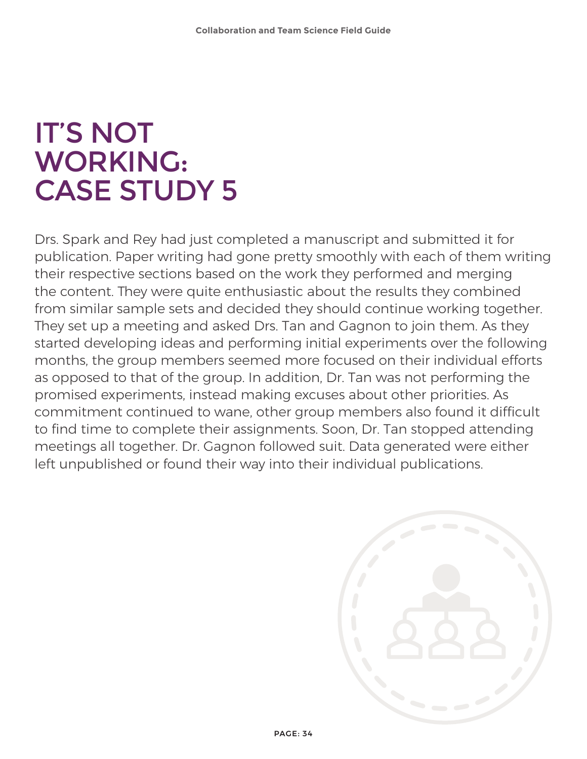## IT'S NOT WORKING: CASE STUDY 5

Drs. Spark and Rey had just completed a manuscript and submitted it for publication. Paper writing had gone pretty smoothly with each of them writing their respective sections based on the work they performed and merging the content. They were quite enthusiastic about the results they combined from similar sample sets and decided they should continue working together. They set up a meeting and asked Drs. Tan and Gagnon to join them. As they started developing ideas and performing initial experiments over the following months, the group members seemed more focused on their individual efforts as opposed to that of the group. In addition, Dr. Tan was not performing the promised experiments, instead making excuses about other priorities. As commitment continued to wane, other group members also found it difficult to find time to complete their assignments. Soon, Dr. Tan stopped attending meetings all together. Dr. Gagnon followed suit. Data generated were either left unpublished or found their way into their individual publications.

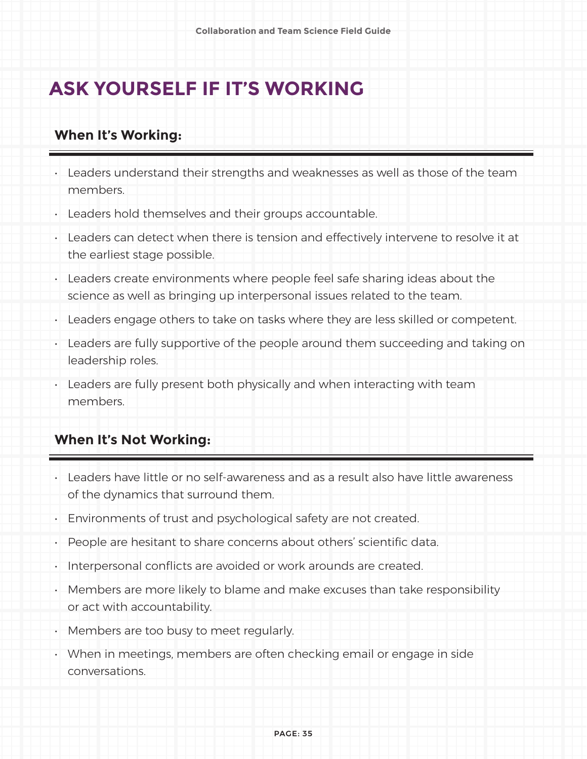### **ASK YOURSELF IF IT'S WORKING**

### **When It's Working:**

- Leaders understand their strengths and weaknesses as well as those of the team members.
- Leaders hold themselves and their groups accountable.
- Leaders can detect when there is tension and effectively intervene to resolve it at the earliest stage possible.
- Leaders create environments where people feel safe sharing ideas about the science as well as bringing up interpersonal issues related to the team.
- Leaders engage others to take on tasks where they are less skilled or competent.
- Leaders are fully supportive of the people around them succeeding and taking on leadership roles.
- Leaders are fully present both physically and when interacting with team members.

### **When It's Not Working:**

- Leaders have little or no self-awareness and as a result also have little awareness of the dynamics that surround them.
- Environments of trust and psychological safety are not created.
- People are hesitant to share concerns about others' scientific data.
- Interpersonal conflicts are avoided or work arounds are created.
- Members are more likely to blame and make excuses than take responsibility or act with accountability.
- Members are too busy to meet regularly.
- When in meetings, members are often checking email or engage in side conversations.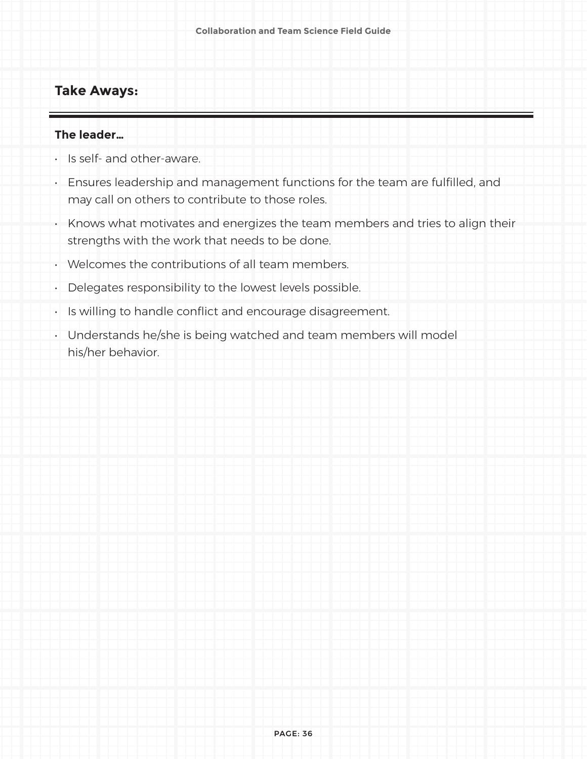### **Take Aways:**

#### **The leader…**

- Is self- and other-aware.
- Ensures leadership and management functions for the team are fulfilled, and may call on others to contribute to those roles.
- Knows what motivates and energizes the team members and tries to align their strengths with the work that needs to be done.
- Welcomes the contributions of all team members.
- Delegates responsibility to the lowest levels possible.
- Is willing to handle conflict and encourage disagreement.
- Understands he/she is being watched and team members will model his/her behavior.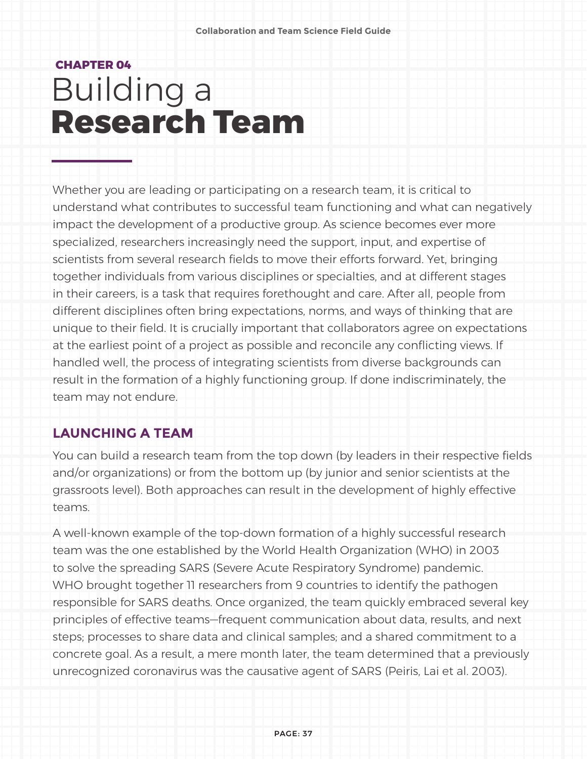## **CHAPTER 04** Building a **Research Team**

Whether you are leading or participating on a research team, it is critical to understand what contributes to successful team functioning and what can negatively impact the development of a productive group. As science becomes ever more specialized, researchers increasingly need the support, input, and expertise of scientists from several research fields to move their efforts forward. Yet, bringing together individuals from various disciplines or specialties, and at different stages in their careers, is a task that requires forethought and care. After all, people from different disciplines often bring expectations, norms, and ways of thinking that are unique to their field. It is crucially important that collaborators agree on expectations at the earliest point of a project as possible and reconcile any conflicting views. If handled well, the process of integrating scientists from diverse backgrounds can result in the formation of a highly functioning group. If done indiscriminately, the team may not endure.

#### **LAUNCHING A TEAM**

You can build a research team from the top down (by leaders in their respective fields and/or organizations) or from the bottom up (by junior and senior scientists at the grassroots level). Both approaches can result in the development of highly effective teams.

A well-known example of the top-down formation of a highly successful research team was the one established by the World Health Organization (WHO) in 2003 to solve the spreading SARS (Severe Acute Respiratory Syndrome) pandemic. WHO brought together 11 researchers from 9 countries to identify the pathogen responsible for SARS deaths. Once organized, the team quickly embraced several key principles of effective teams—frequent communication about data, results, and next steps; processes to share data and clinical samples; and a shared commitment to a concrete goal. As a result, a mere month later, the team determined that a previously unrecognized coronavirus was the causative agent of SARS (Peiris, Lai et al. 2003).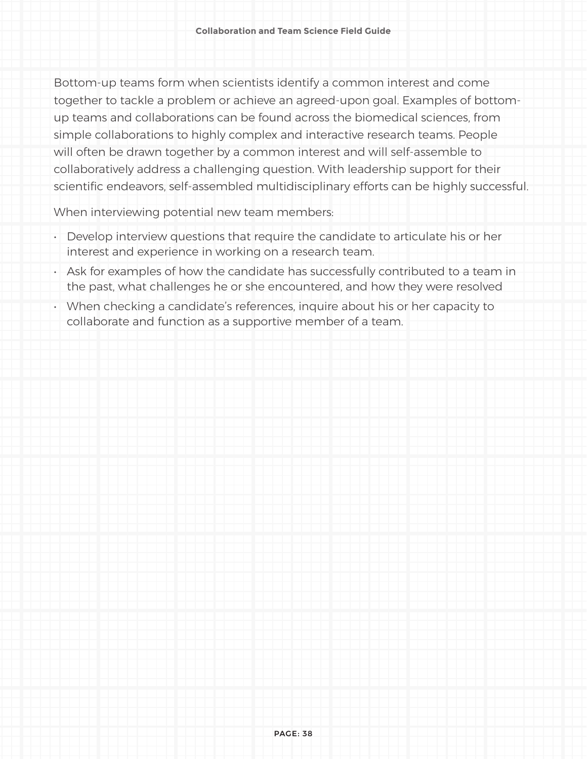Bottom-up teams form when scientists identify a common interest and come together to tackle a problem or achieve an agreed-upon goal. Examples of bottomup teams and collaborations can be found across the biomedical sciences, from simple collaborations to highly complex and interactive research teams. People will often be drawn together by a common interest and will self-assemble to collaboratively address a challenging question. With leadership support for their scientific endeavors, self-assembled multidisciplinary efforts can be highly successful.

When interviewing potential new team members:

- Develop interview questions that require the candidate to articulate his or her interest and experience in working on a research team.
- Ask for examples of how the candidate has successfully contributed to a team in the past, what challenges he or she encountered, and how they were resolved
- When checking a candidate's references, inquire about his or her capacity to collaborate and function as a supportive member of a team.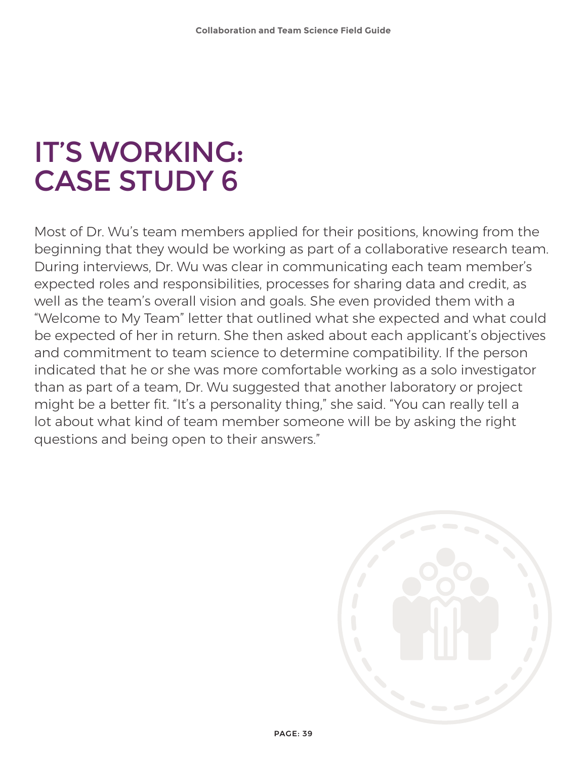# IT'S WORKING: CASE STUDY 6

Most of Dr. Wu's team members applied for their positions, knowing from the beginning that they would be working as part of a collaborative research team. During interviews, Dr. Wu was clear in communicating each team member's expected roles and responsibilities, processes for sharing data and credit, as well as the team's overall vision and goals. She even provided them with a "Welcome to My Team" letter that outlined what she expected and what could be expected of her in return. She then asked about each applicant's objectives and commitment to team science to determine compatibility. If the person indicated that he or she was more comfortable working as a solo investigator than as part of a team, Dr. Wu suggested that another laboratory or project might be a better fit. "It's a personality thing," she said. "You can really tell a lot about what kind of team member someone will be by asking the right questions and being open to their answers."

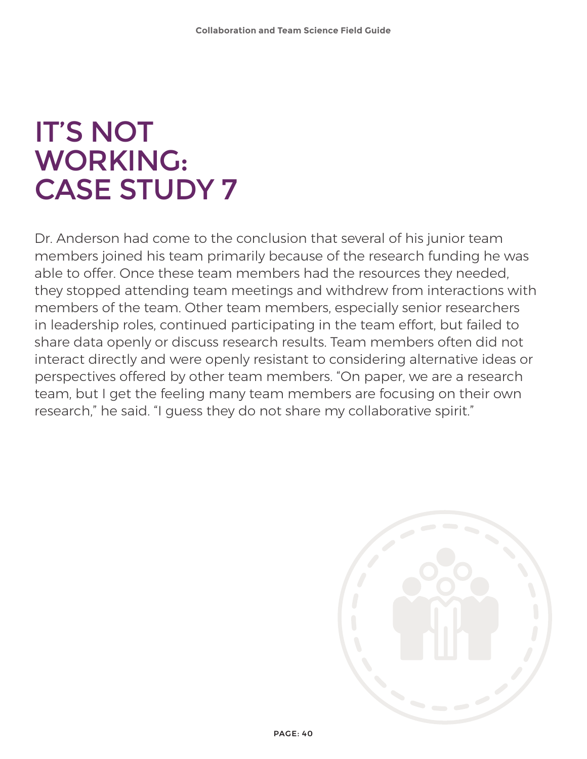## IT'S NOT WORKING: CASE STUDY 7

Dr. Anderson had come to the conclusion that several of his junior team members joined his team primarily because of the research funding he was able to offer. Once these team members had the resources they needed, they stopped attending team meetings and withdrew from interactions with members of the team. Other team members, especially senior researchers in leadership roles, continued participating in the team effort, but failed to share data openly or discuss research results. Team members often did not interact directly and were openly resistant to considering alternative ideas or perspectives offered by other team members. "On paper, we are a research team, but I get the feeling many team members are focusing on their own research," he said. "I guess they do not share my collaborative spirit."

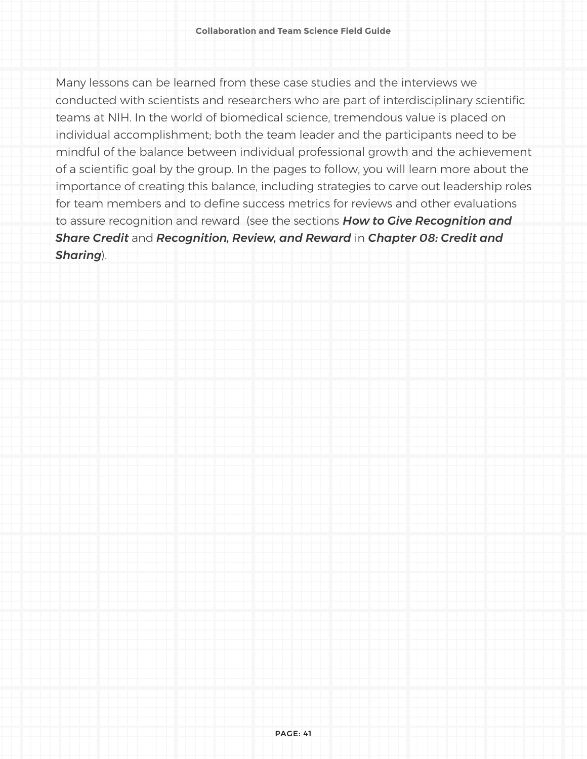Many lessons can be learned from these case studies and the interviews we conducted with scientists and researchers who are part of interdisciplinary scientific teams at NIH. In the world of biomedical science, tremendous value is placed on individual accomplishment; both the team leader and the participants need to be mindful of the balance between individual professional growth and the achievement of a scientific goal by the group. In the pages to follow, you will learn more about the importance of creating this balance, including strategies to carve out leadership roles for team members and to define success metrics for reviews and other evaluations to assure recognition and reward (see the sections *How to Give Recognition and Share Credit* and *Recognition, Review, and Reward* in *Chapter 08: Credit and Sharing*).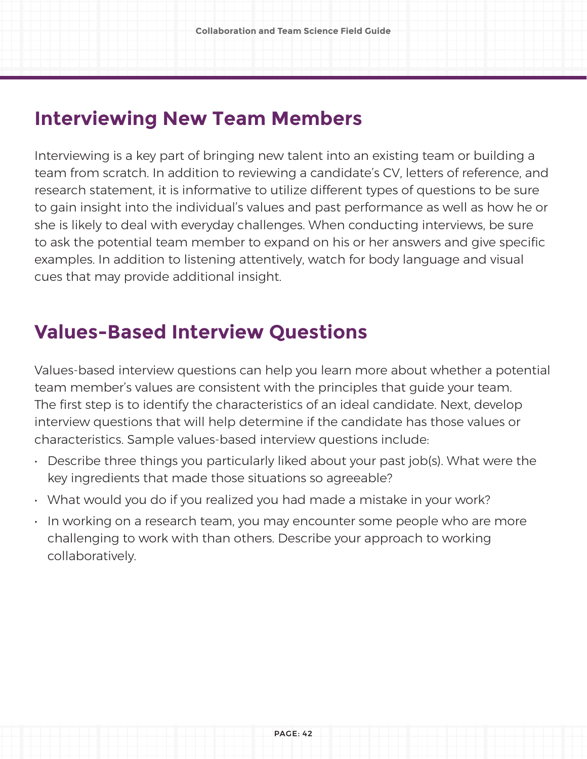### **Interviewing New Team Members**

Interviewing is a key part of bringing new talent into an existing team or building a team from scratch. In addition to reviewing a candidate's CV, letters of reference, and research statement, it is informative to utilize different types of questions to be sure to gain insight into the individual's values and past performance as well as how he or she is likely to deal with everyday challenges. When conducting interviews, be sure to ask the potential team member to expand on his or her answers and give specific examples. In addition to listening attentively, watch for body language and visual cues that may provide additional insight.

### **Values-Based Interview Questions**

Values-based interview questions can help you learn more about whether a potential team member's values are consistent with the principles that guide your team. The first step is to identify the characteristics of an ideal candidate. Next, develop interview questions that will help determine if the candidate has those values or characteristics. Sample values-based interview questions include:

- Describe three things you particularly liked about your past job(s). What were the key ingredients that made those situations so agreeable?
- What would you do if you realized you had made a mistake in your work?
- In working on a research team, you may encounter some people who are more challenging to work with than others. Describe your approach to working collaboratively.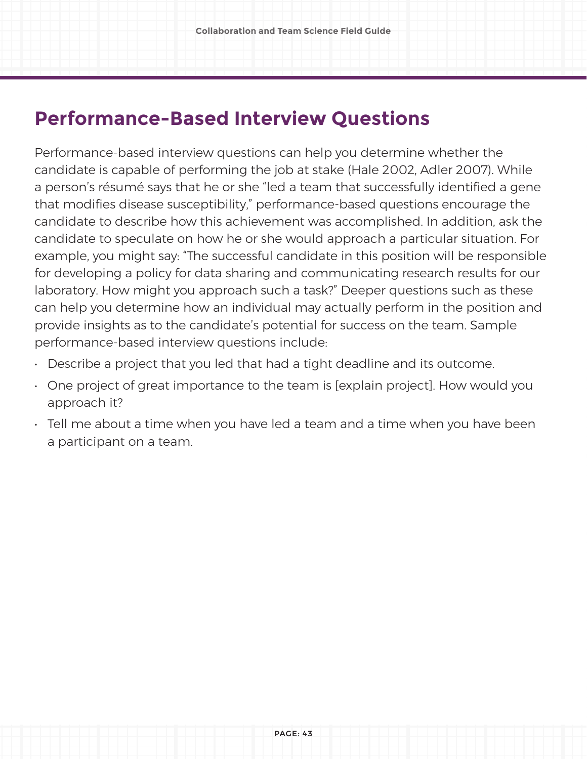### **Performance-Based Interview Questions**

Performance-based interview questions can help you determine whether the candidate is capable of performing the job at stake (Hale 2002, Adler 2007). While a person's résumé says that he or she "led a team that successfully identified a gene that modifies disease susceptibility," performance-based questions encourage the candidate to describe how this achievement was accomplished. In addition, ask the candidate to speculate on how he or she would approach a particular situation. For example, you might say: "The successful candidate in this position will be responsible for developing a policy for data sharing and communicating research results for our laboratory. How might you approach such a task?" Deeper questions such as these can help you determine how an individual may actually perform in the position and provide insights as to the candidate's potential for success on the team. Sample performance-based interview questions include:

- Describe a project that you led that had a tight deadline and its outcome.
- One project of great importance to the team is [explain project]. How would you approach it?
- Tell me about a time when you have led a team and a time when you have been a participant on a team.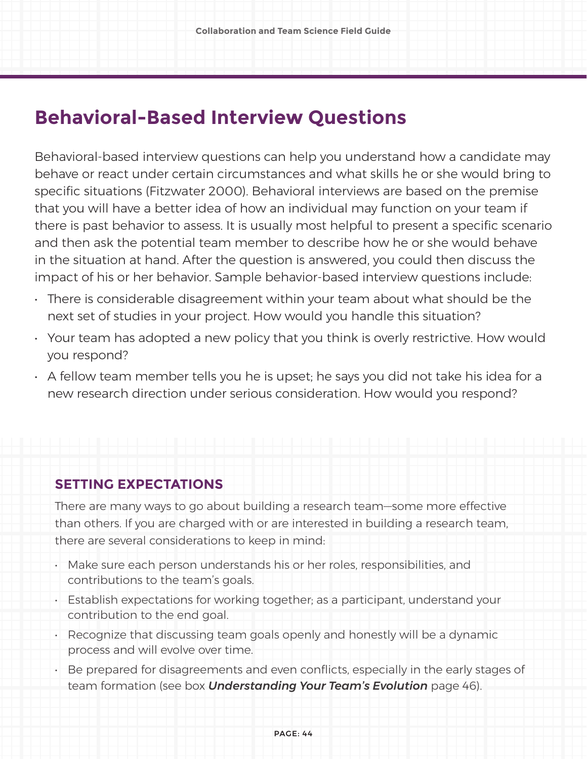### **Behavioral-Based Interview Questions**

Behavioral-based interview questions can help you understand how a candidate may behave or react under certain circumstances and what skills he or she would bring to specific situations (Fitzwater 2000). Behavioral interviews are based on the premise that you will have a better idea of how an individual may function on your team if there is past behavior to assess. It is usually most helpful to present a specific scenario and then ask the potential team member to describe how he or she would behave in the situation at hand. After the question is answered, you could then discuss the impact of his or her behavior. Sample behavior-based interview questions include:

- There is considerable disagreement within your team about what should be the next set of studies in your project. How would you handle this situation?
- Your team has adopted a new policy that you think is overly restrictive. How would you respond?
- $\cdot$  A fellow team member tells you he is upset; he says you did not take his idea for a new research direction under serious consideration. How would you respond?

#### **SETTING EXPECTATIONS**

There are many ways to go about building a research team—some more effective than others. If you are charged with or are interested in building a research team, there are several considerations to keep in mind:

- Make sure each person understands his or her roles, responsibilities, and contributions to the team's goals.
- Establish expectations for working together; as a participant, understand your contribution to the end goal.
- Recognize that discussing team goals openly and honestly will be a dynamic process and will evolve over time.
- Be prepared for disagreements and even conflicts, especially in the early stages of team formation (see box *Understanding Your Team's Evolution* page 46).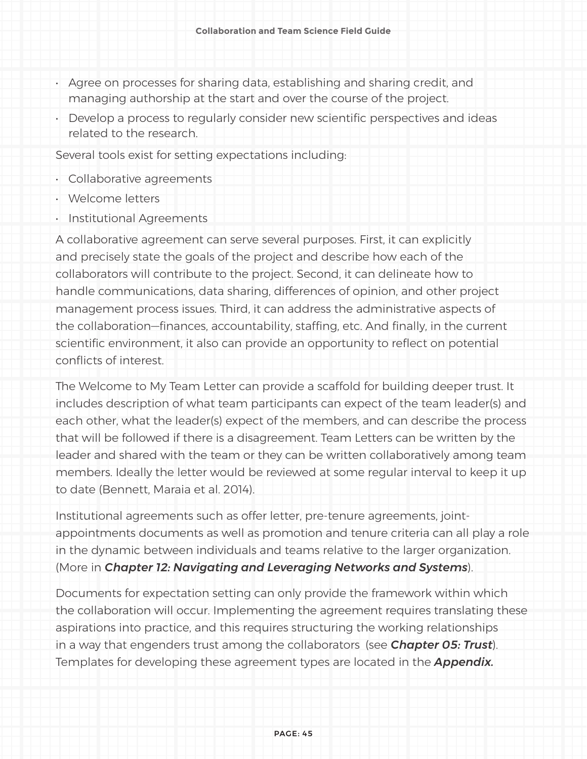- Agree on processes for sharing data, establishing and sharing credit, and managing authorship at the start and over the course of the project.
- Develop a process to regularly consider new scientific perspectives and ideas related to the research.

Several tools exist for setting expectations including:

- Collaborative agreements
- Welcome letters
- Institutional Agreements

A collaborative agreement can serve several purposes. First, it can explicitly and precisely state the goals of the project and describe how each of the collaborators will contribute to the project. Second, it can delineate how to handle communications, data sharing, differences of opinion, and other project management process issues. Third, it can address the administrative aspects of the collaboration—finances, accountability, staffing, etc. And finally, in the current scientific environment, it also can provide an opportunity to reflect on potential conflicts of interest.

The Welcome to My Team Letter can provide a scaffold for building deeper trust. It includes description of what team participants can expect of the team leader(s) and each other, what the leader(s) expect of the members, and can describe the process that will be followed if there is a disagreement. Team Letters can be written by the leader and shared with the team or they can be written collaboratively among team members. Ideally the letter would be reviewed at some regular interval to keep it up to date (Bennett, Maraia et al. 2014).

Institutional agreements such as offer letter, pre-tenure agreements, jointappointments documents as well as promotion and tenure criteria can all play a role in the dynamic between individuals and teams relative to the larger organization. (More in *Chapter 12: Navigating and Leveraging Networks and Systems*).

Documents for expectation setting can only provide the framework within which the collaboration will occur. Implementing the agreement requires translating these aspirations into practice, and this requires structuring the working relationships in a way that engenders trust among the collaborators (see *Chapter 05: Trust*). Templates for developing these agreement types are located in the *Appendix.*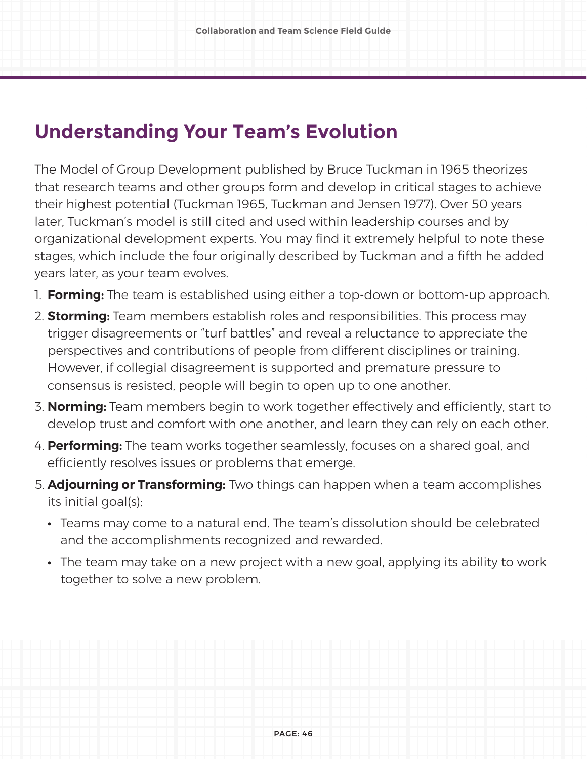### **Understanding Your Team's Evolution**

The Model of Group Development published by Bruce Tuckman in 1965 theorizes that research teams and other groups form and develop in critical stages to achieve their highest potential (Tuckman 1965, Tuckman and Jensen 1977). Over 50 years later, Tuckman's model is still cited and used within leadership courses and by organizational development experts. You may find it extremely helpful to note these stages, which include the four originally described by Tuckman and a fifth he added years later, as your team evolves.

- 1. **Forming:** The team is established using either a top-down or bottom-up approach.
- 2. **Storming:** Team members establish roles and responsibilities. This process may trigger disagreements or "turf battles" and reveal a reluctance to appreciate the perspectives and contributions of people from different disciplines or training. However, if collegial disagreement is supported and premature pressure to consensus is resisted, people will begin to open up to one another.
- 3. **Norming:** Team members begin to work together effectively and efficiently, start to develop trust and comfort with one another, and learn they can rely on each other.
- 4. **Performing:** The team works together seamlessly, focuses on a shared goal, and efficiently resolves issues or problems that emerge.
- 5. **Adjourning or Transforming:** Two things can happen when a team accomplishes its initial goal(s):
	- **•** Teams may come to a natural end. The team's dissolution should be celebrated and the accomplishments recognized and rewarded.
	- **•** The team may take on a new project with a new goal, applying its ability to work together to solve a new problem.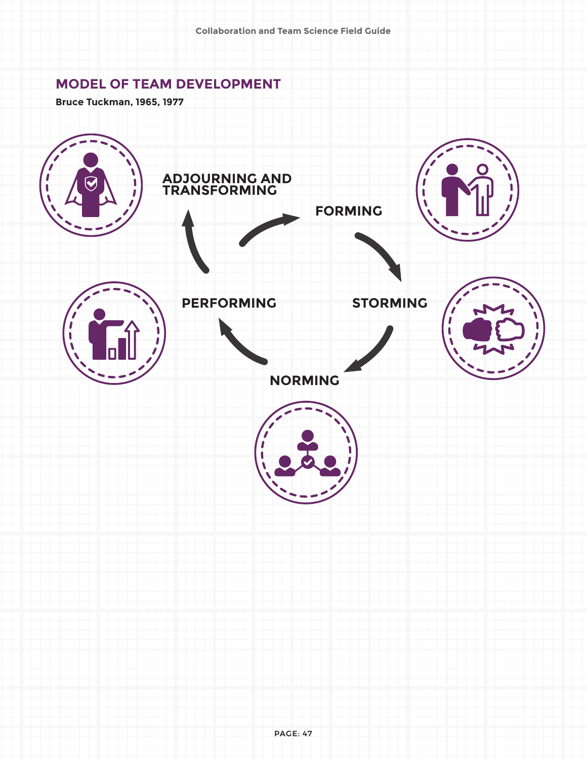#### **MODEL OF TEAM DEVELOPMENT**

**Bruce Tuckman, 1965, 1977**

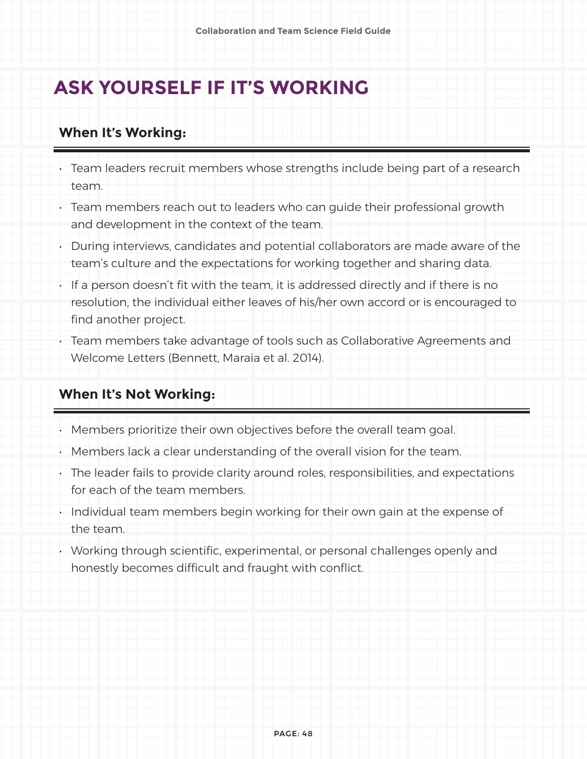### **ASK YOURSELF IF IT'S WORKING**

#### **When It's Working:**

- Team leaders recruit members whose strengths include being part of a research team.
- Team members reach out to leaders who can guide their professional growth and development in the context of the team.
- During interviews, candidates and potential collaborators are made aware of the team's culture and the expectations for working together and sharing data.
- If a person doesn't fit with the team, it is addressed directly and if there is no resolution, the individual either leaves of his/her own accord or is encouraged to find another project.
- Team members take advantage of tools such as Collaborative Agreements and Welcome Letters (Bennett, Maraia et al. 2014).

#### **When It's Not Working:**

- Members prioritize their own objectives before the overall team goal.
- Members lack a clear understanding of the overall vision for the team.
- The leader fails to provide clarity around roles, responsibilities, and expectations for each of the team members.
- Individual team members begin working for their own gain at the expense of the team.
- Working through scientific, experimental, or personal challenges openly and honestly becomes difficult and fraught with conflict.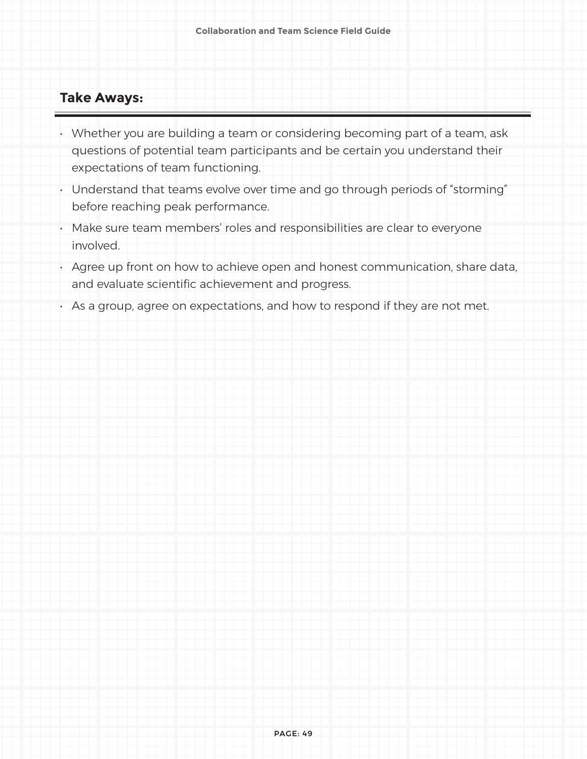#### **Take Aways:**

- Whether you are building a team or considering becoming part of a team, ask questions of potential team participants and be certain you understand their expectations of team functioning.
- Understand that teams evolve over time and go through periods of "storming" before reaching peak performance.
- Make sure team members' roles and responsibilities are clear to everyone involved.
- Agree up front on how to achieve open and honest communication, share data, and evaluate scientific achievement and progress.
- As a group, agree on expectations, and how to respond if they are not met.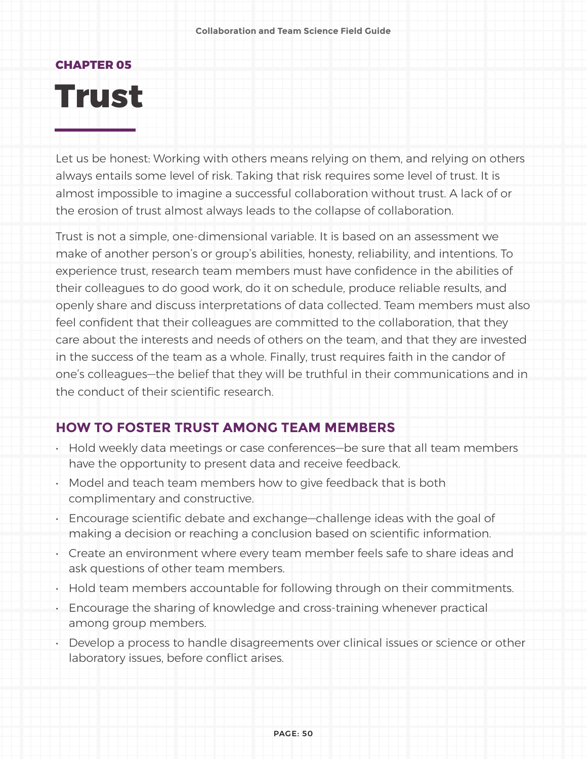## **CHAPTER 05 Trust**

Let us be honest: Working with others means relying on them, and relying on others always entails some level of risk. Taking that risk requires some level of trust. It is almost impossible to imagine a successful collaboration without trust. A lack of or the erosion of trust almost always leads to the collapse of collaboration.

Trust is not a simple, one-dimensional variable. It is based on an assessment we make of another person's or group's abilities, honesty, reliability, and intentions. To experience trust, research team members must have confidence in the abilities of their colleagues to do good work, do it on schedule, produce reliable results, and openly share and discuss interpretations of data collected. Team members must also feel confident that their colleagues are committed to the collaboration, that they care about the interests and needs of others on the team, and that they are invested in the success of the team as a whole. Finally, trust requires faith in the candor of one's colleagues—the belief that they will be truthful in their communications and in the conduct of their scientific research.

#### **HOW TO FOSTER TRUST AMONG TEAM MEMBERS**

- Hold weekly data meetings or case conferences—be sure that all team members have the opportunity to present data and receive feedback.
- Model and teach team members how to give feedback that is both complimentary and constructive.
- Encourage scientific debate and exchange—challenge ideas with the goal of making a decision or reaching a conclusion based on scientific information.
- Create an environment where every team member feels safe to share ideas and ask questions of other team members.
- Hold team members accountable for following through on their commitments.
- Encourage the sharing of knowledge and cross-training whenever practical among group members.
- Develop a process to handle disagreements over clinical issues or science or other laboratory issues, before conflict arises.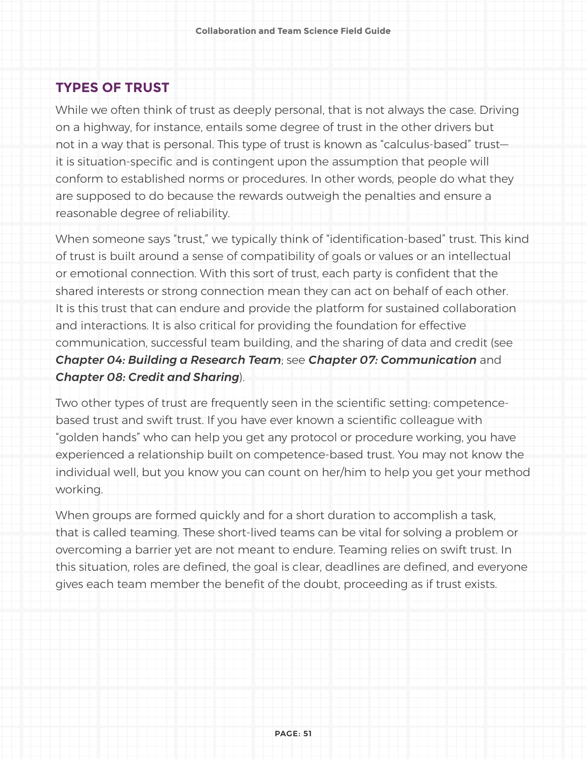#### **TYPES OF TRUST**

While we often think of trust as deeply personal, that is not always the case. Driving on a highway, for instance, entails some degree of trust in the other drivers but not in a way that is personal. This type of trust is known as "calculus-based" trust it is situation-specific and is contingent upon the assumption that people will conform to established norms or procedures. In other words, people do what they are supposed to do because the rewards outweigh the penalties and ensure a reasonable degree of reliability.

When someone says "trust," we typically think of "identification-based" trust. This kind of trust is built around a sense of compatibility of goals or values or an intellectual or emotional connection. With this sort of trust, each party is confident that the shared interests or strong connection mean they can act on behalf of each other. It is this trust that can endure and provide the platform for sustained collaboration and interactions. It is also critical for providing the foundation for effective communication, successful team building, and the sharing of data and credit (see *Chapter 04: Building a Research Team*; see *Chapter 07: Communication* and *Chapter 08: Credit and Sharing*).

Two other types of trust are frequently seen in the scientific setting: competencebased trust and swift trust. If you have ever known a scientific colleague with "golden hands" who can help you get any protocol or procedure working, you have experienced a relationship built on competence-based trust. You may not know the individual well, but you know you can count on her/him to help you get your method working.

When groups are formed quickly and for a short duration to accomplish a task, that is called teaming. These short-lived teams can be vital for solving a problem or overcoming a barrier yet are not meant to endure. Teaming relies on swift trust. In this situation, roles are defined, the goal is clear, deadlines are defined, and everyone gives each team member the benefit of the doubt, proceeding as if trust exists.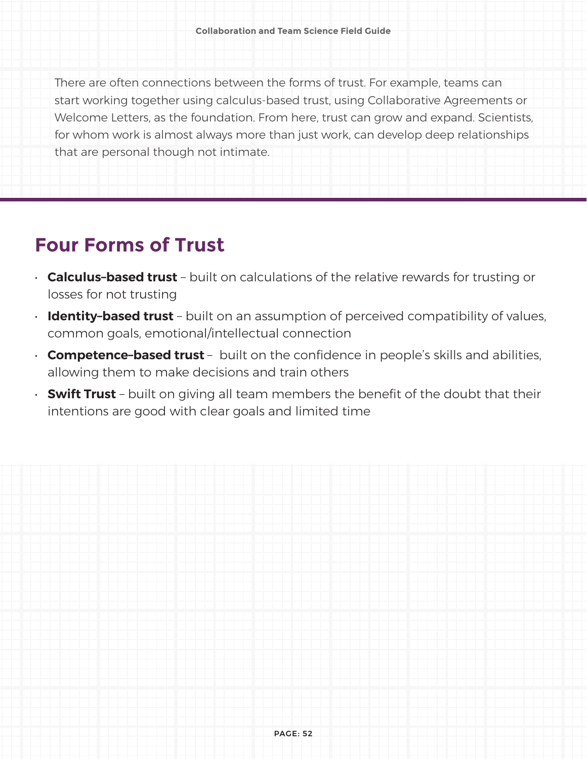There are often connections between the forms of trust. For example, teams can start working together using calculus-based trust, using Collaborative Agreements or Welcome Letters, as the foundation. From here, trust can grow and expand. Scientists, for whom work is almost always more than just work, can develop deep relationships that are personal though not intimate.

### **Four Forms of Trust**

- **Calculus–based trust** built on calculations of the relative rewards for trusting or losses for not trusting
- **Identity–based trust** built on an assumption of perceived compatibility of values, common goals, emotional/intellectual connection
- **Competence-based trust** built on the confidence in people's skills and abilities, allowing them to make decisions and train others
- **Swift Trust** built on giving all team members the benefit of the doubt that their intentions are good with clear goals and limited time

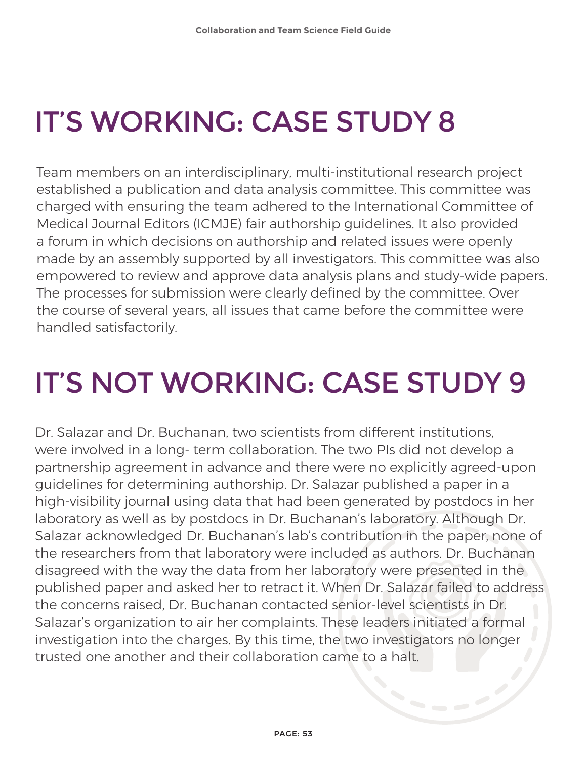# IT'S WORKING: CASE STUDY 8

Team members on an interdisciplinary, multi-institutional research project established a publication and data analysis committee. This committee was charged with ensuring the team adhered to the International Committee of Medical Journal Editors (ICMJE) fair authorship guidelines. It also provided a forum in which decisions on authorship and related issues were openly made by an assembly supported by all investigators. This committee was also empowered to review and approve data analysis plans and study-wide papers. The processes for submission were clearly defined by the committee. Over the course of several years, all issues that came before the committee were handled satisfactorily.

# IT'S NOT WORKING: CASE STUDY 9

Dr. Salazar and Dr. Buchanan, two scientists from different institutions, were involved in a long- term collaboration. The two PIs did not develop a partnership agreement in advance and there were no explicitly agreed-upon guidelines for determining authorship. Dr. Salazar published a paper in a high-visibility journal using data that had been generated by postdocs in her laboratory as well as by postdocs in Dr. Buchanan's laboratory. Although Dr. Salazar acknowledged Dr. Buchanan's lab's contribution in the paper, none of the researchers from that laboratory were included as authors. Dr. Buchanan disagreed with the way the data from her laboratory were presented in the published paper and asked her to retract it. When Dr. Salazar failed to address the concerns raised, Dr. Buchanan contacted senior-level scientists in Dr. Salazar's organization to air her complaints. These leaders initiated a formal investigation into the charges. By this time, the two investigators no longer trusted one another and their collaboration came to a halt.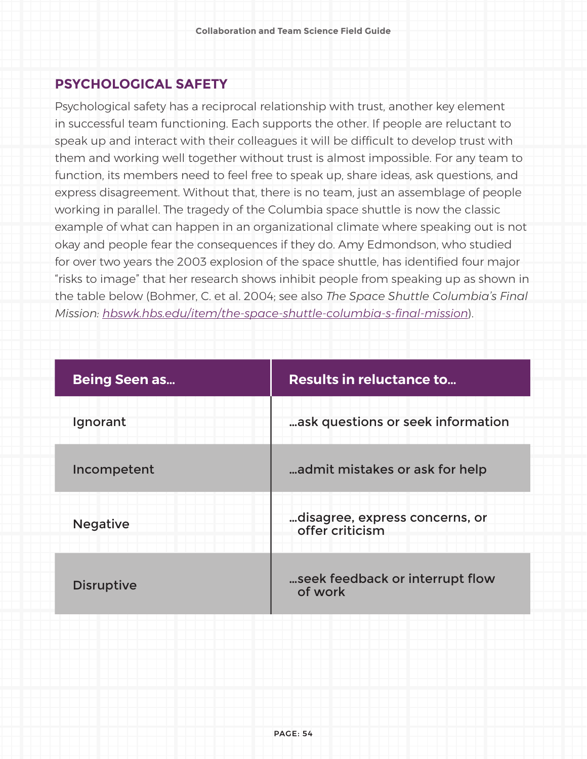#### **PSYCHOLOGICAL SAFETY**

Psychological safety has a reciprocal relationship with trust, another key element in successful team functioning. Each supports the other. If people are reluctant to speak up and interact with their colleagues it will be difficult to develop trust with them and working well together without trust is almost impossible. For any team to function, its members need to feel free to speak up, share ideas, ask questions, and express disagreement. Without that, there is no team, just an assemblage of people working in parallel. The tragedy of the Columbia space shuttle is now the classic example of what can happen in an organizational climate where speaking out is not okay and people fear the consequences if they do. Amy Edmondson, who studied for over two years the 2003 explosion of the space shuttle, has identified four major "risks to image" that her research shows inhibit people from speaking up as shown in the table below (Bohmer, C. et al. 2004; see also *The Space Shuttle Columbia's Final Mission: hbswk.hbs.edu/item/the-space-shuttle-columbia-s-final-mission*).

| <b>Being Seen as</b> | <b>Results in reluctance to</b>                   |
|----------------------|---------------------------------------------------|
| Ignorant             | ask questions or seek information                 |
| Incompetent          | admit mistakes or ask for help                    |
| <b>Negative</b>      | disagree, express concerns, or<br>offer criticism |
| <b>Disruptive</b>    | seek feedback or interrupt flow<br>of work        |
|                      |                                                   |
|                      |                                                   |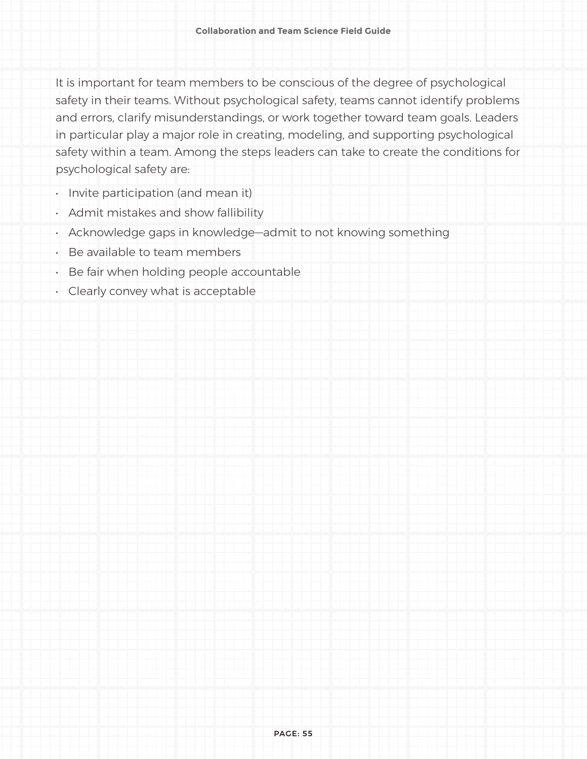It is important for team members to be conscious of the degree of psychological safety in their teams. Without psychological safety, teams cannot identify problems and errors, clarify misunderstandings, or work together toward team goals. Leaders in particular play a major role in creating, modeling, and supporting psychological safety within a team. Among the steps leaders can take to create the conditions for psychological safety are:

- Invite participation (and mean it)
- Admit mistakes and show fallibility
- Acknowledge gaps in knowledge—admit to not knowing something
- Be available to team members
- Be fair when holding people accountable
- Clearly convey what is acceptable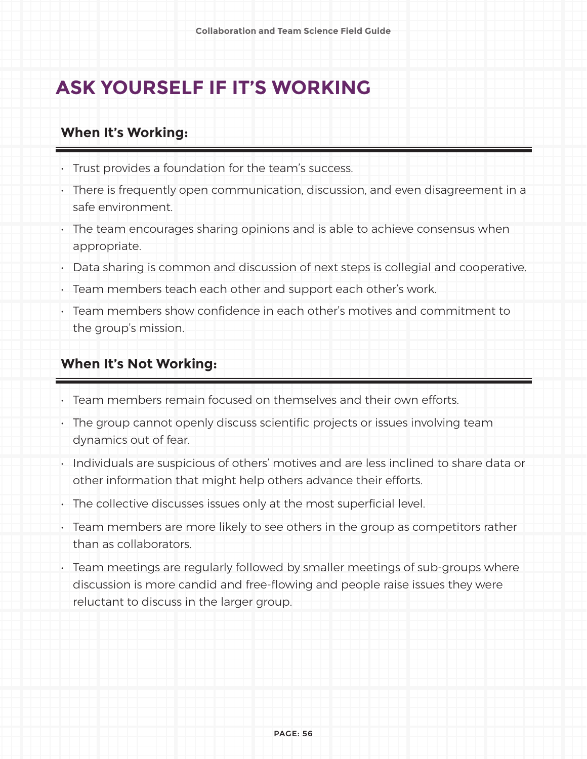### **ASK YOURSELF IF IT'S WORKING**

#### **When It's Working:**

- Trust provides a foundation for the team's success.
- There is frequently open communication, discussion, and even disagreement in a safe environment.
- The team encourages sharing opinions and is able to achieve consensus when appropriate.
- Data sharing is common and discussion of next steps is collegial and cooperative.
- Team members teach each other and support each other's work.
- Team members show confidence in each other's motives and commitment to the group's mission.

#### **When It's Not Working:**

- Team members remain focused on themselves and their own efforts.
- The group cannot openly discuss scientific projects or issues involving team dynamics out of fear.
- Individuals are suspicious of others' motives and are less inclined to share data or other information that might help others advance their efforts.
- The collective discusses issues only at the most superficial level.
- Team members are more likely to see others in the group as competitors rather than as collaborators.
- Team meetings are regularly followed by smaller meetings of sub-groups where discussion is more candid and free-flowing and people raise issues they were reluctant to discuss in the larger group.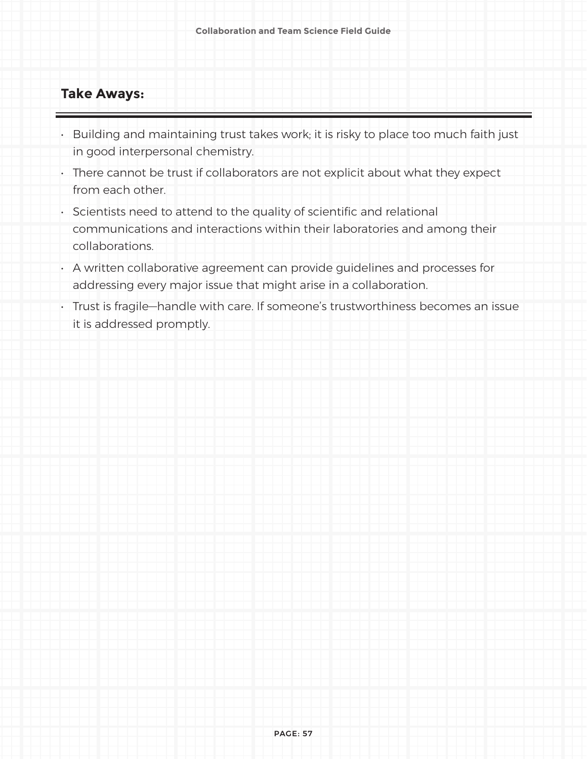#### **Take Aways:**

- Building and maintaining trust takes work; it is risky to place too much faith just in good interpersonal chemistry.
- There cannot be trust if collaborators are not explicit about what they expect from each other.
- Scientists need to attend to the quality of scientific and relational communications and interactions within their laboratories and among their collaborations.
- A written collaborative agreement can provide guidelines and processes for addressing every major issue that might arise in a collaboration.
- Trust is fragile—handle with care. If someone's trustworthiness becomes an issue it is addressed promptly.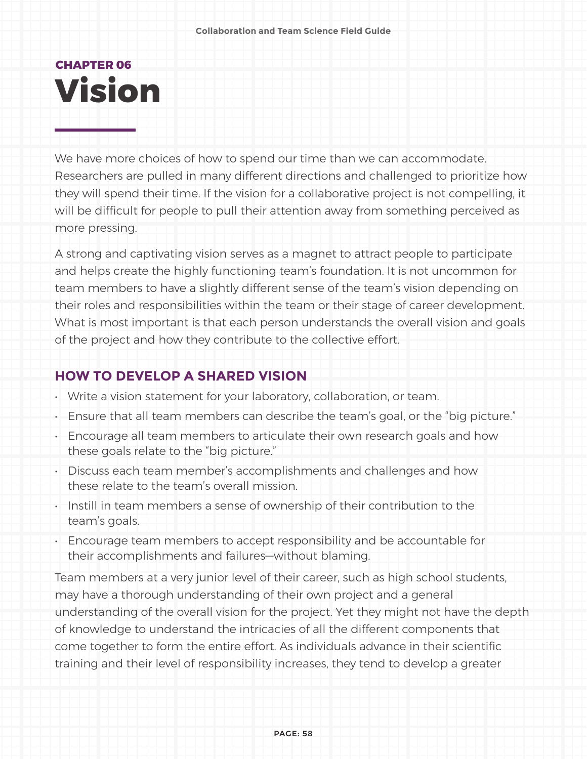## **CHAPTER 06 Vision**

We have more choices of how to spend our time than we can accommodate. Researchers are pulled in many different directions and challenged to prioritize how they will spend their time. If the vision for a collaborative project is not compelling, it will be difficult for people to pull their attention away from something perceived as more pressing.

A strong and captivating vision serves as a magnet to attract people to participate and helps create the highly functioning team's foundation. It is not uncommon for team members to have a slightly different sense of the team's vision depending on their roles and responsibilities within the team or their stage of career development. What is most important is that each person understands the overall vision and goals of the project and how they contribute to the collective effort.

#### **HOW TO DEVELOP A SHARED VISION**

- Write a vision statement for your laboratory, collaboration, or team.
- Ensure that all team members can describe the team's goal, or the "big picture."
- Encourage all team members to articulate their own research goals and how these goals relate to the "big picture."
- Discuss each team member's accomplishments and challenges and how these relate to the team's overall mission.
- Instill in team members a sense of ownership of their contribution to the team's goals.
- Encourage team members to accept responsibility and be accountable for their accomplishments and failures—without blaming.

Team members at a very junior level of their career, such as high school students, may have a thorough understanding of their own project and a general understanding of the overall vision for the project. Yet they might not have the depth of knowledge to understand the intricacies of all the different components that come together to form the entire effort. As individuals advance in their scientific training and their level of responsibility increases, they tend to develop a greater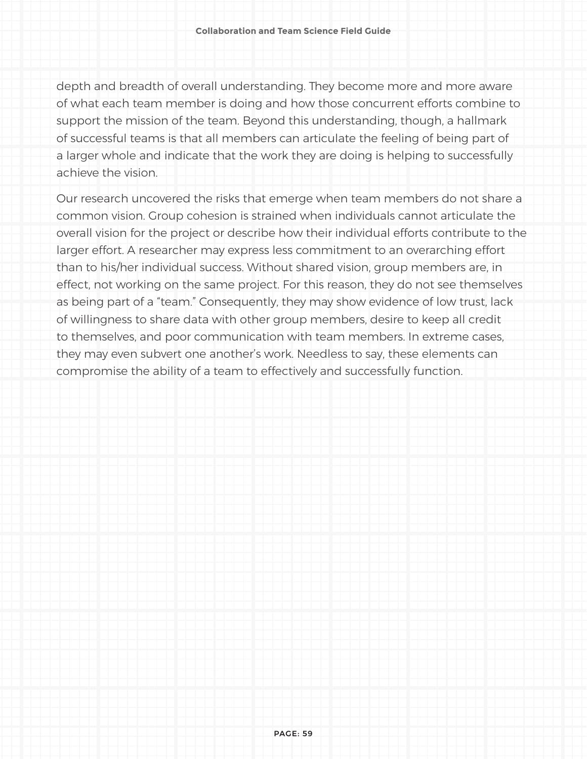depth and breadth of overall understanding. They become more and more aware of what each team member is doing and how those concurrent efforts combine to support the mission of the team. Beyond this understanding, though, a hallmark of successful teams is that all members can articulate the feeling of being part of a larger whole and indicate that the work they are doing is helping to successfully achieve the vision.

Our research uncovered the risks that emerge when team members do not share a common vision. Group cohesion is strained when individuals cannot articulate the overall vision for the project or describe how their individual efforts contribute to the larger effort. A researcher may express less commitment to an overarching effort than to his/her individual success. Without shared vision, group members are, in effect, not working on the same project. For this reason, they do not see themselves as being part of a "team." Consequently, they may show evidence of low trust, lack of willingness to share data with other group members, desire to keep all credit to themselves, and poor communication with team members. In extreme cases, they may even subvert one another's work. Needless to say, these elements can compromise the ability of a team to effectively and successfully function.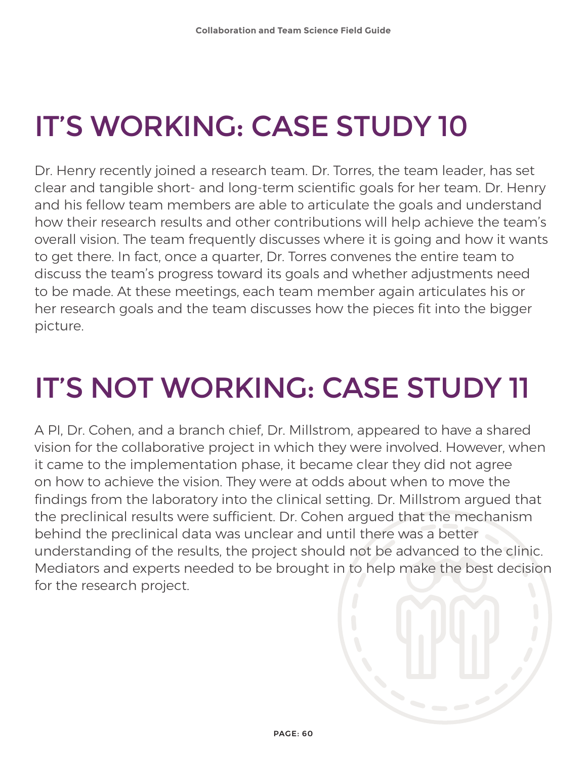# IT'S WORKING: CASE STUDY 10

Dr. Henry recently joined a research team. Dr. Torres, the team leader, has set clear and tangible short- and long-term scientific goals for her team. Dr. Henry and his fellow team members are able to articulate the goals and understand how their research results and other contributions will help achieve the team's overall vision. The team frequently discusses where it is going and how it wants to get there. In fact, once a quarter, Dr. Torres convenes the entire team to discuss the team's progress toward its goals and whether adjustments need to be made. At these meetings, each team member again articulates his or her research goals and the team discusses how the pieces fit into the bigger picture.

# IT'S NOT WORKING: CASE STUDY 11

A PI, Dr. Cohen, and a branch chief, Dr. Millstrom, appeared to have a shared vision for the collaborative project in which they were involved. However, when it came to the implementation phase, it became clear they did not agree on how to achieve the vision. They were at odds about when to move the findings from the laboratory into the clinical setting. Dr. Millstrom argued that the preclinical results were sufficient. Dr. Cohen argued that the mechanism behind the preclinical data was unclear and until there was a better understanding of the results, the project should not be advanced to the clinic. Mediators and experts needed to be brought in to help make the best decision for the research project.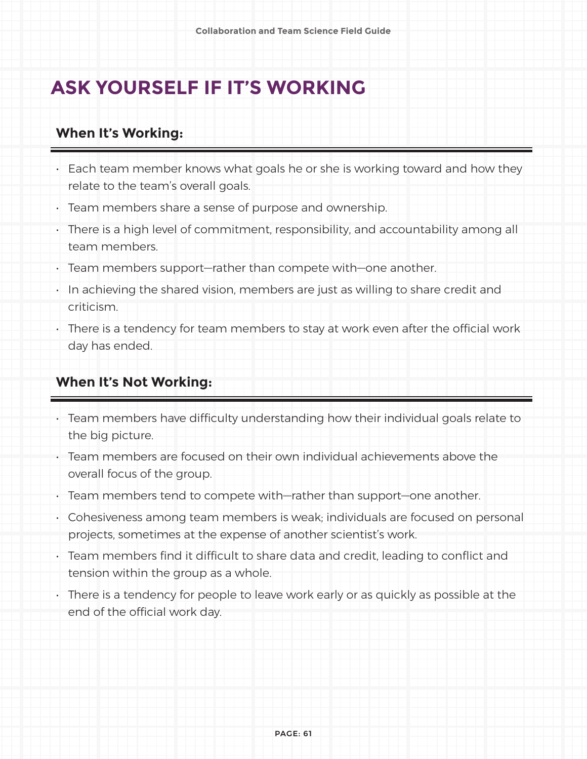### **ASK YOURSELF IF IT'S WORKING**

#### **When It's Working:**

- Each team member knows what goals he or she is working toward and how they relate to the team's overall goals.
- Team members share a sense of purpose and ownership.
- There is a high level of commitment, responsibility, and accountability among all team members.
- Team members support—rather than compete with—one another.
- In achieving the shared vision, members are just as willing to share credit and criticism.
- There is a tendency for team members to stay at work even after the official work day has ended.

#### **When It's Not Working:**

- Team members have difficulty understanding how their individual goals relate to the big picture.
- Team members are focused on their own individual achievements above the overall focus of the group.
- Team members tend to compete with—rather than support—one another.
- Cohesiveness among team members is weak; individuals are focused on personal projects, sometimes at the expense of another scientist's work.
- Team members find it difficult to share data and credit, leading to conflict and tension within the group as a whole.
- There is a tendency for people to leave work early or as quickly as possible at the end of the official work day.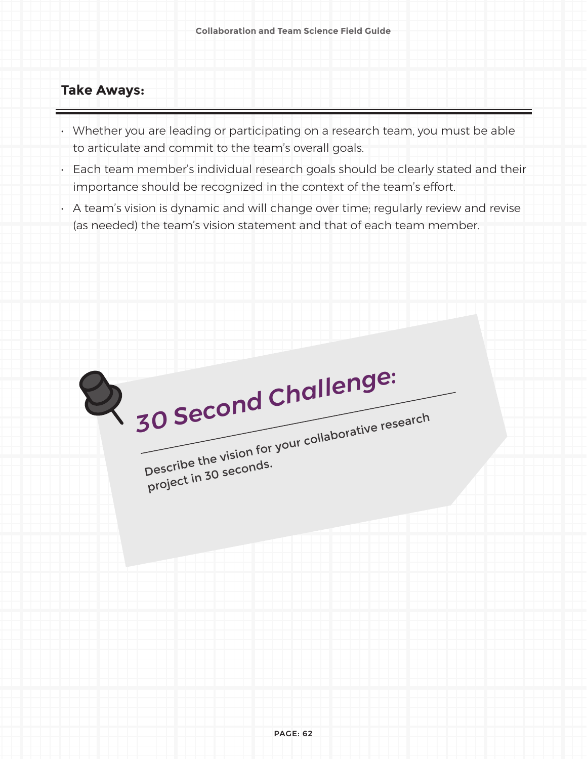#### **Take Aways:**

- Whether you are leading or participating on a research team, you must be able to articulate and commit to the team's overall goals.
- Each team member's individual research goals should be clearly stated and their importance should be recognized in the context of the team's effort.
- A team's vision is dynamic and will change over time; regularly review and revise (as needed) the team's vision statement and that of each team member.

| 30 Second Challenge:                                |
|-----------------------------------------------------|
| Describe the vision for your collaborative research |
| project in 30 seconds.                              |
|                                                     |
|                                                     |
|                                                     |
|                                                     |
|                                                     |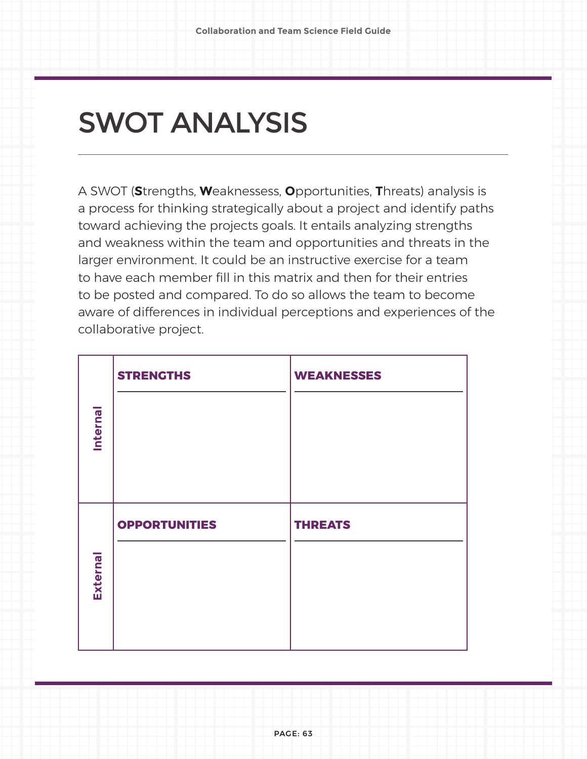# SWOT ANALYSIS

A SWOT (**S**trengths, **W**eaknessess, **O**pportunities, **T**hreats) analysis is a process for thinking strategically about a project and identify paths toward achieving the projects goals. It entails analyzing strengths and weakness within the team and opportunities and threats in the larger environment. It could be an instructive exercise for a team to have each member fill in this matrix and then for their entries to be posted and compared. To do so allows the team to become aware of differences in individual perceptions and experiences of the collaborative project.

|                 | <b>STRENGTHS</b>     | <b>WEAKNESSES</b> |
|-----------------|----------------------|-------------------|
| Internal        |                      |                   |
|                 | <b>OPPORTUNITIES</b> | <b>THREATS</b>    |
| <b>External</b> |                      |                   |

PAGE: 63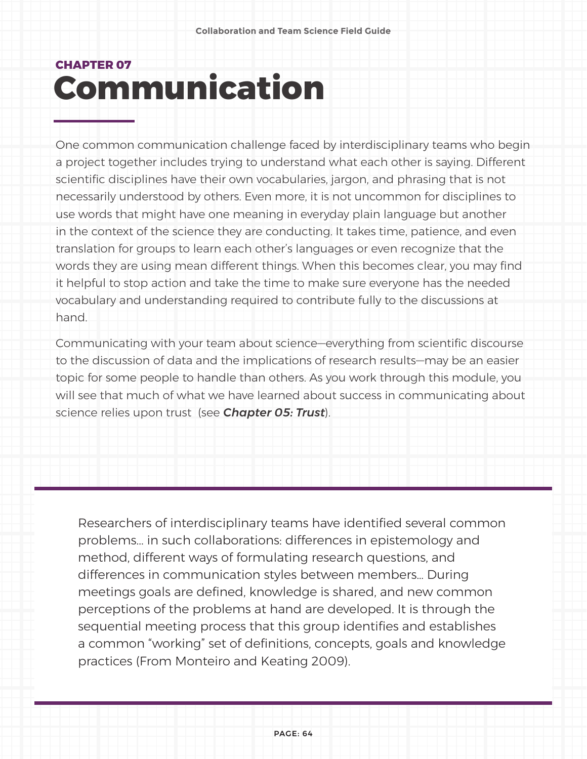## **CHAPTER 07 Communication**

One common communication challenge faced by interdisciplinary teams who begin a project together includes trying to understand what each other is saying. Different scientific disciplines have their own vocabularies, jargon, and phrasing that is not necessarily understood by others. Even more, it is not uncommon for disciplines to use words that might have one meaning in everyday plain language but another in the context of the science they are conducting. It takes time, patience, and even translation for groups to learn each other's languages or even recognize that the words they are using mean different things. When this becomes clear, you may find it helpful to stop action and take the time to make sure everyone has the needed vocabulary and understanding required to contribute fully to the discussions at hand.

Communicating with your team about science—everything from scientific discourse to the discussion of data and the implications of research results—may be an easier topic for some people to handle than others. As you work through this module, you will see that much of what we have learned about success in communicating about science relies upon trust (see *Chapter 05: Trust*).

Researchers of interdisciplinary teams have identified several common problems... in such collaborations: differences in epistemology and method, different ways of formulating research questions, and differences in communication styles between members… During meetings goals are defined, knowledge is shared, and new common perceptions of the problems at hand are developed. It is through the sequential meeting process that this group identifies and establishes a common "working" set of definitions, concepts, goals and knowledge practices (From Monteiro and Keating 2009).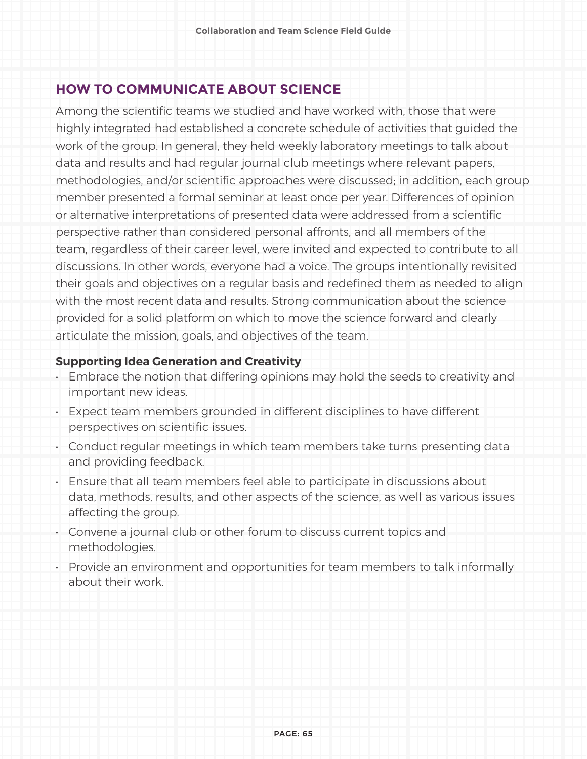#### **HOW TO COMMUNICATE ABOUT SCIENCE**

Among the scientific teams we studied and have worked with, those that were highly integrated had established a concrete schedule of activities that guided the work of the group. In general, they held weekly laboratory meetings to talk about data and results and had regular journal club meetings where relevant papers, methodologies, and/or scientific approaches were discussed; in addition, each group member presented a formal seminar at least once per year. Differences of opinion or alternative interpretations of presented data were addressed from a scientific perspective rather than considered personal affronts, and all members of the team, regardless of their career level, were invited and expected to contribute to all discussions. In other words, everyone had a voice. The groups intentionally revisited their goals and objectives on a regular basis and redefined them as needed to align with the most recent data and results. Strong communication about the science provided for a solid platform on which to move the science forward and clearly articulate the mission, goals, and objectives of the team.

#### **Supporting Idea Generation and Creativity**

- Embrace the notion that differing opinions may hold the seeds to creativity and important new ideas.
- Expect team members grounded in different disciplines to have different perspectives on scientific issues.
- Conduct regular meetings in which team members take turns presenting data and providing feedback.
- Ensure that all team members feel able to participate in discussions about data, methods, results, and other aspects of the science, as well as various issues affecting the group.
- Convene a journal club or other forum to discuss current topics and methodologies.
- Provide an environment and opportunities for team members to talk informally about their work.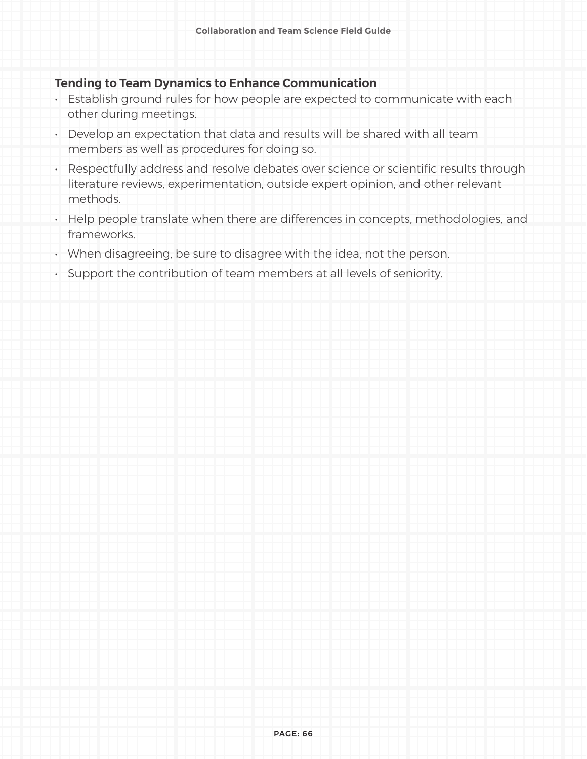#### **Tending to Team Dynamics to Enhance Communication**

- Establish ground rules for how people are expected to communicate with each other during meetings.
- Develop an expectation that data and results will be shared with all team members as well as procedures for doing so.
- Respectfully address and resolve debates over science or scientific results through literature reviews, experimentation, outside expert opinion, and other relevant methods.
- Help people translate when there are differences in concepts, methodologies, and frameworks.
- When disagreeing, be sure to disagree with the idea, not the person.
- Support the contribution of team members at all levels of seniority.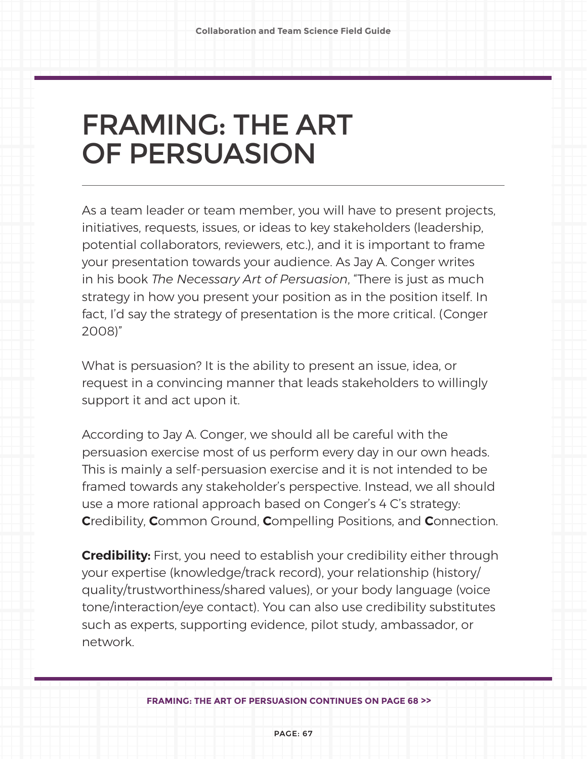# FRAMING: THE ART OF PERSUASION

As a team leader or team member, you will have to present projects, initiatives, requests, issues, or ideas to key stakeholders (leadership, potential collaborators, reviewers, etc.), and it is important to frame your presentation towards your audience. As Jay A. Conger writes in his book *The Necessary Art of Persuasion*, "There is just as much strategy in how you present your position as in the position itself. In fact, I'd say the strategy of presentation is the more critical. (Conger 2008)"

What is persuasion? It is the ability to present an issue, idea, or request in a convincing manner that leads stakeholders to willingly support it and act upon it.

According to Jay A. Conger, we should all be careful with the persuasion exercise most of us perform every day in our own heads. This is mainly a self-persuasion exercise and it is not intended to be framed towards any stakeholder's perspective. Instead, we all should use a more rational approach based on Conger's 4 C's strategy: **C**redibility, **C**ommon Ground, **C**ompelling Positions, and **C**onnection.

**Credibility:** First, you need to establish your credibility either through your expertise (knowledge/track record), your relationship (history/ quality/trustworthiness/shared values), or your body language (voice tone/interaction/eye contact). You can also use credibility substitutes such as experts, supporting evidence, pilot study, ambassador, or network.

**FRAMING: THE ART OF PERSUASION CONTINUES ON PAGE 68 >>**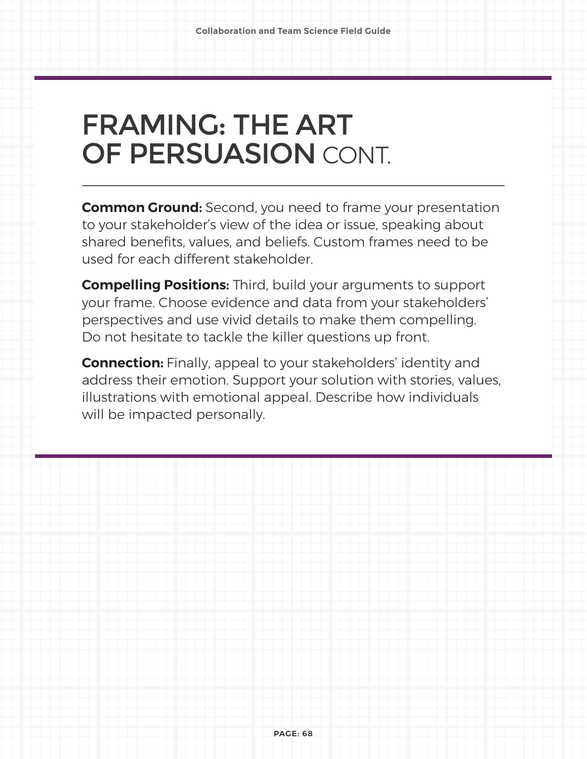# FRAMING: THE ART OF PERSUASION CONT.

**Common Ground:** Second, you need to frame your presentation to your stakeholder's view of the idea or issue, speaking about shared benefits, values, and beliefs. Custom frames need to be used for each different stakeholder.

**Compelling Positions:** Third, build your arguments to support your frame. Choose evidence and data from your stakeholders' perspectives and use vivid details to make them compelling. Do not hesitate to tackle the killer questions up front.

**Connection:** Finally, appeal to your stakeholders' identity and address their emotion. Support your solution with stories, values, illustrations with emotional appeal. Describe how individuals will be impacted personally.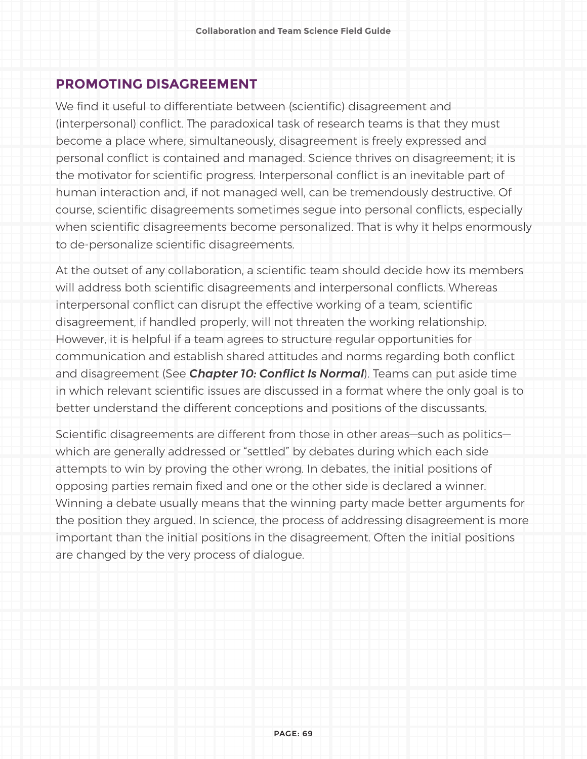#### **PROMOTING DISAGREEMENT**

We find it useful to differentiate between (scientific) disagreement and (interpersonal) conflict. The paradoxical task of research teams is that they must become a place where, simultaneously, disagreement is freely expressed and personal conflict is contained and managed. Science thrives on disagreement; it is the motivator for scientific progress. Interpersonal conflict is an inevitable part of human interaction and, if not managed well, can be tremendously destructive. Of course, scientific disagreements sometimes segue into personal conflicts, especially when scientific disagreements become personalized. That is why it helps enormously to de-personalize scientific disagreements.

At the outset of any collaboration, a scientific team should decide how its members will address both scientific disagreements and interpersonal conflicts. Whereas interpersonal conflict can disrupt the effective working of a team, scientific disagreement, if handled properly, will not threaten the working relationship. However, it is helpful if a team agrees to structure regular opportunities for communication and establish shared attitudes and norms regarding both conflict and disagreement (See *Chapter 10: Conflict Is Normal*). Teams can put aside time in which relevant scientific issues are discussed in a format where the only goal is to better understand the different conceptions and positions of the discussants.

Scientific disagreements are different from those in other areas—such as politics which are generally addressed or "settled" by debates during which each side attempts to win by proving the other wrong. In debates, the initial positions of opposing parties remain fixed and one or the other side is declared a winner. Winning a debate usually means that the winning party made better arguments for the position they argued. In science, the process of addressing disagreement is more important than the initial positions in the disagreement. Often the initial positions are changed by the very process of dialogue.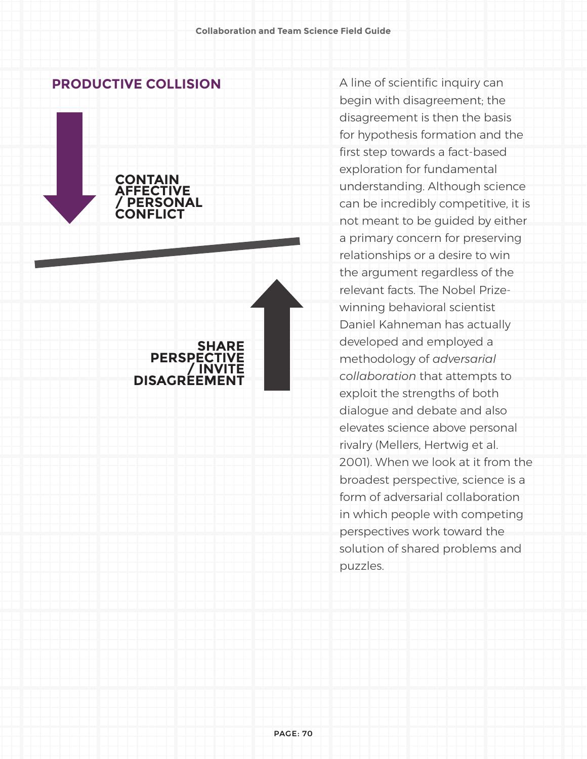#### **PRODUCTIVE COLLISION**



**DISAGREEMENT**

A line of scientific inquiry can begin with disagreement; the disagreement is then the basis for hypothesis formation and the first step towards a fact-based exploration for fundamental understanding. Although science can be incredibly competitive, it is not meant to be guided by either a primary concern for preserving relationships or a desire to win the argument regardless of the relevant facts. The Nobel Prizewinning behavioral scientist Daniel Kahneman has actually developed and employed a methodology of *adversarial collaboration* that attempts to exploit the strengths of both dialogue and debate and also elevates science above personal rivalry (Mellers, Hertwig et al. 2001). When we look at it from the broadest perspective, science is a form of adversarial collaboration in which people with competing perspectives work toward the solution of shared problems and puzzles.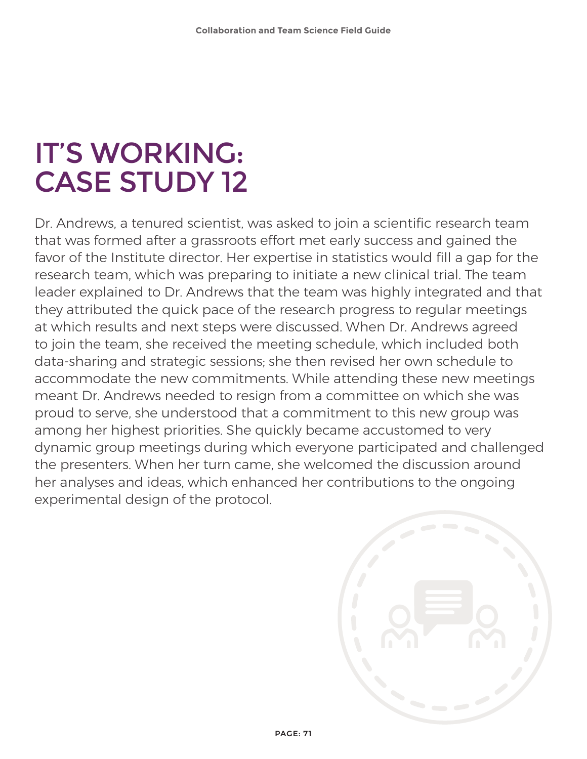## IT'S WORKING: CASE STUDY 12

Dr. Andrews, a tenured scientist, was asked to join a scientific research team that was formed after a grassroots effort met early success and gained the favor of the Institute director. Her expertise in statistics would fill a gap for the research team, which was preparing to initiate a new clinical trial. The team leader explained to Dr. Andrews that the team was highly integrated and that they attributed the quick pace of the research progress to regular meetings at which results and next steps were discussed. When Dr. Andrews agreed to join the team, she received the meeting schedule, which included both data-sharing and strategic sessions; she then revised her own schedule to accommodate the new commitments. While attending these new meetings meant Dr. Andrews needed to resign from a committee on which she was proud to serve, she understood that a commitment to this new group was among her highest priorities. She quickly became accustomed to very dynamic group meetings during which everyone participated and challenged the presenters. When her turn came, she welcomed the discussion around her analyses and ideas, which enhanced her contributions to the ongoing experimental design of the protocol.

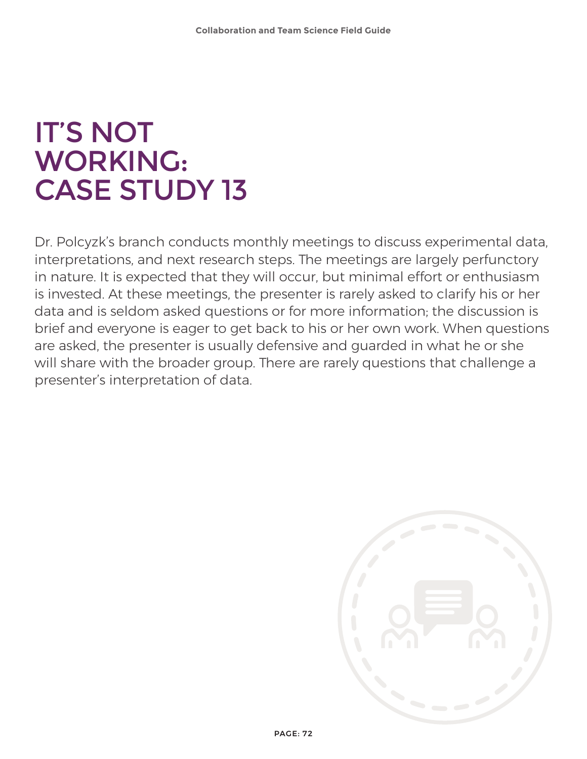## IT'S NOT WORKING: CASE STUDY 13

Dr. Polcyzk's branch conducts monthly meetings to discuss experimental data, interpretations, and next research steps. The meetings are largely perfunctory in nature. It is expected that they will occur, but minimal effort or enthusiasm is invested. At these meetings, the presenter is rarely asked to clarify his or her data and is seldom asked questions or for more information; the discussion is brief and everyone is eager to get back to his or her own work. When questions are asked, the presenter is usually defensive and guarded in what he or she will share with the broader group. There are rarely questions that challenge a presenter's interpretation of data.

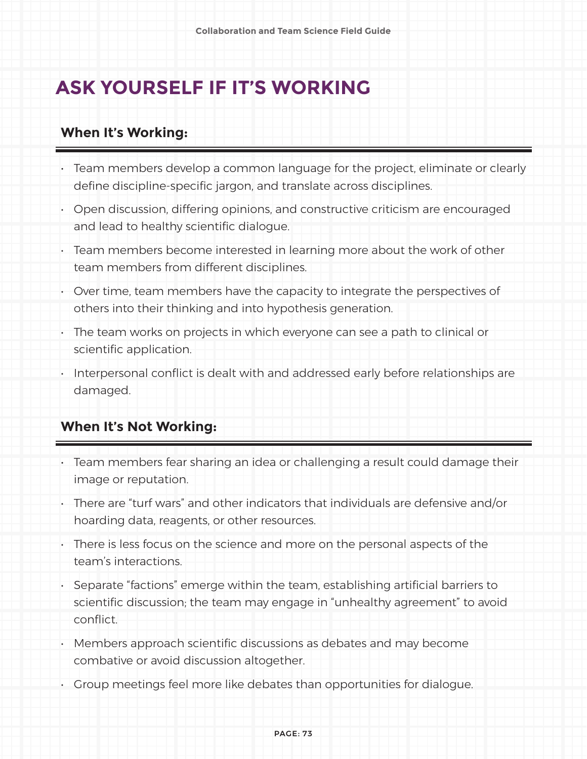### **ASK YOURSELF IF IT'S WORKING**

#### **When It's Working:**

- Team members develop a common language for the project, eliminate or clearly define discipline-specific jargon, and translate across disciplines.
- Open discussion, differing opinions, and constructive criticism are encouraged and lead to healthy scientific dialogue.
- Team members become interested in learning more about the work of other team members from different disciplines.
- Over time, team members have the capacity to integrate the perspectives of others into their thinking and into hypothesis generation.
- The team works on projects in which everyone can see a path to clinical or scientific application.
- Interpersonal conflict is dealt with and addressed early before relationships are damaged.

#### **When It's Not Working:**

- Team members fear sharing an idea or challenging a result could damage their image or reputation.
- There are "turf wars" and other indicators that individuals are defensive and/or hoarding data, reagents, or other resources.
- There is less focus on the science and more on the personal aspects of the team's interactions.
- Separate "factions" emerge within the team, establishing artificial barriers to scientific discussion; the team may engage in "unhealthy agreement" to avoid conflict.
- Members approach scientific discussions as debates and may become combative or avoid discussion altogether.
- Group meetings feel more like debates than opportunities for dialogue.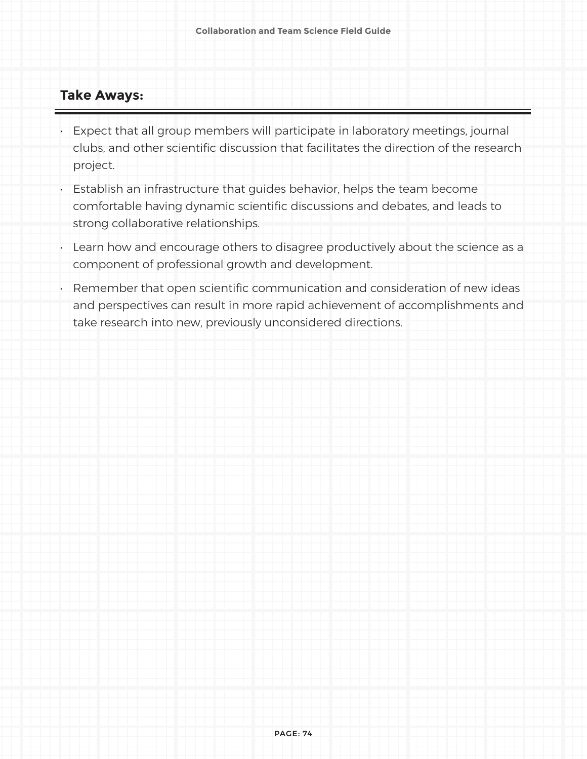#### **Take Aways:**

- Expect that all group members will participate in laboratory meetings, journal clubs, and other scientific discussion that facilitates the direction of the research project.
- Establish an infrastructure that guides behavior, helps the team become comfortable having dynamic scientific discussions and debates, and leads to strong collaborative relationships.
- Learn how and encourage others to disagree productively about the science as a component of professional growth and development.
- Remember that open scientific communication and consideration of new ideas and perspectives can result in more rapid achievement of accomplishments and take research into new, previously unconsidered directions.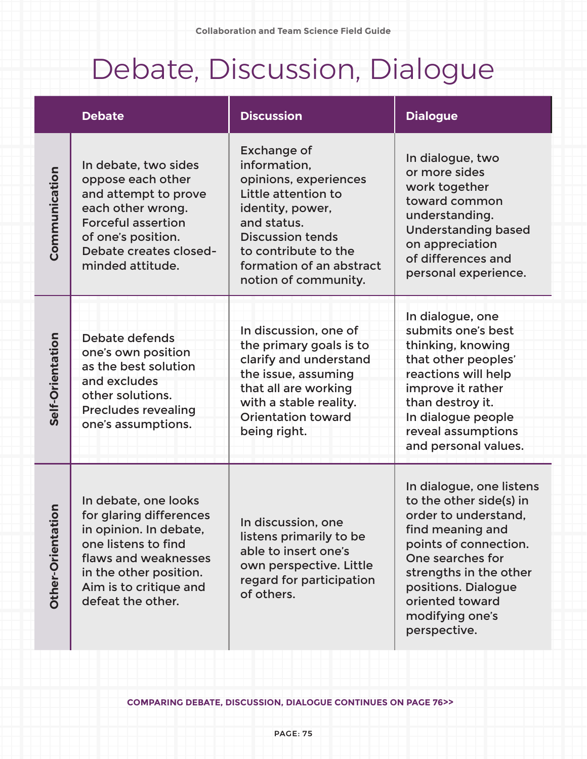# Debate, Discussion, Dialogue

|                       | <b>Debate</b>                                                                                                                                                                                     | <b>Discussion</b>                                                                                                                                                                                                            | <b>Dialogue</b>                                                                                                                                                                                                                                     |
|-----------------------|---------------------------------------------------------------------------------------------------------------------------------------------------------------------------------------------------|------------------------------------------------------------------------------------------------------------------------------------------------------------------------------------------------------------------------------|-----------------------------------------------------------------------------------------------------------------------------------------------------------------------------------------------------------------------------------------------------|
| Communication         | In debate, two sides<br>oppose each other<br>and attempt to prove<br>each other wrong.<br><b>Forceful assertion</b><br>of one's position.<br>Debate creates closed-<br>minded attitude.           | <b>Exchange of</b><br>information,<br>opinions, experiences<br>Little attention to<br>identity, power,<br>and status.<br><b>Discussion tends</b><br>to contribute to the<br>formation of an abstract<br>notion of community. | In dialogue, two<br>or more sides<br>work together<br>toward common<br>understanding.<br><b>Understanding based</b><br>on appreciation<br>of differences and<br>personal experience.                                                                |
| Self-Orientation      | Debate defends<br>one's own position<br>as the best solution<br>and excludes<br>other solutions.<br><b>Precludes revealing</b><br>one's assumptions.                                              | In discussion, one of<br>the primary goals is to<br>clarify and understand<br>the issue, assuming<br>that all are working<br>with a stable reality.<br><b>Orientation toward</b><br>being right.                             | In dialogue, one<br>submits one's best<br>thinking, knowing<br>that other peoples'<br>reactions will help<br>improve it rather<br>than destroy it.<br>In dialogue people<br>reveal assumptions<br>and personal values.                              |
| tion<br>Other-Orienta | In debate, one looks<br>for glaring differences<br>in opinion. In debate,<br>one listens to find<br>flaws and weaknesses<br>in the other position.<br>Aim is to critique and<br>defeat the other. | In discussion, one<br>listens primarily to be<br>able to insert one's<br>own perspective. Little<br>regard for participation<br>of others.                                                                                   | In dialogue, one listens<br>to the other side(s) in<br>order to understand,<br>find meaning and<br>points of connection.<br>One searches for<br>strengths in the other<br>positions. Dialogue<br>oriented toward<br>modifying one's<br>perspective. |

**COMPARING DEBATE, DISCUSSION, DIALOGUE CONTINUES ON PAGE 76>>**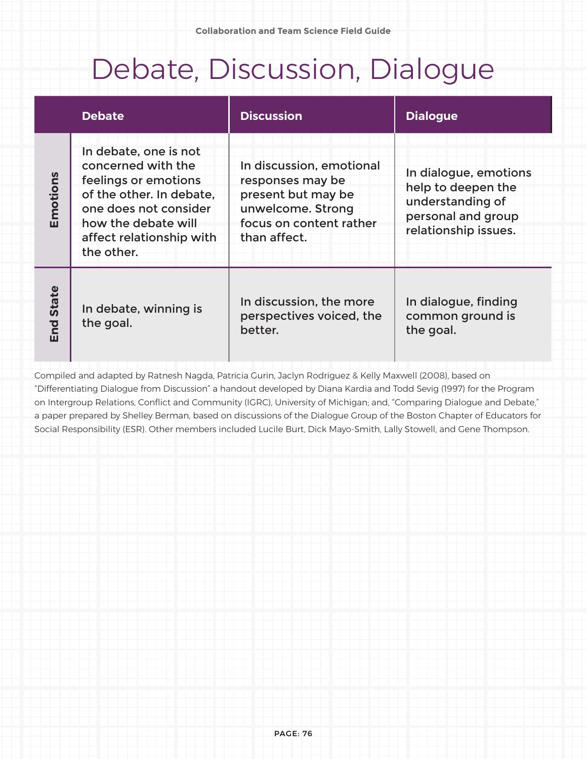### Debate, Discussion, Dialogue

|                  | <b>Debate</b>                                                                                                                                                                             | <b>Discussion</b>                                                                                                                  | <b>Dialogue</b>                                                                                               |
|------------------|-------------------------------------------------------------------------------------------------------------------------------------------------------------------------------------------|------------------------------------------------------------------------------------------------------------------------------------|---------------------------------------------------------------------------------------------------------------|
| Emotions         | In debate, one is not<br>concerned with the<br>feelings or emotions<br>of the other. In debate,<br>one does not consider<br>how the debate will<br>affect relationship with<br>the other. | In discussion, emotional<br>responses may be<br>present but may be<br>unwelcome. Strong<br>focus on content rather<br>than affect. | In dialogue, emotions<br>help to deepen the<br>understanding of<br>personal and group<br>relationship issues. |
| <b>End State</b> | In debate, winning is<br>the goal.                                                                                                                                                        | In discussion, the more<br>perspectives voiced, the<br>better.                                                                     | In dialogue, finding<br>common ground is<br>the goal.                                                         |

Compiled and adapted by Ratnesh Nagda, Patricia Gurin, Jaclyn Rodriguez & Kelly Maxwell (2008), based on "Differentiating Dialogue from Discussion" a handout developed by Diana Kardia and Todd Sevig (1997) for the Program on Intergroup Relations, Conflict and Community (IGRC), University of Michigan; and, "Comparing Dialogue and Debate," a paper prepared by Shelley Berman, based on discussions of the Dialogue Group of the Boston Chapter of Educators for Social Responsibility (ESR). Other members included Lucile Burt, Dick Mayo-Smith, Lally Stowell, and Gene Thompson.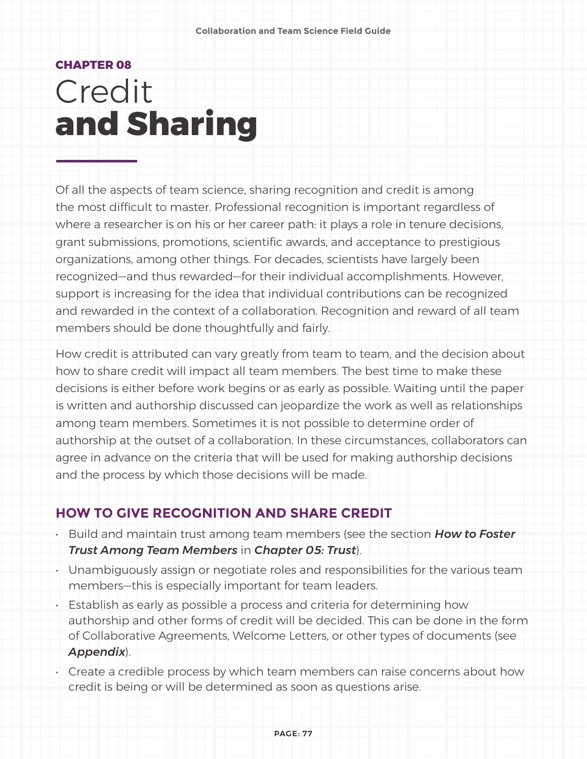### **CHAPTER 08** Credit **and Sharing**

Of all the aspects of team science, sharing recognition and credit is among the most difficult to master. Professional recognition is important regardless of where a researcher is on his or her career path: it plays a role in tenure decisions, grant submissions, promotions, scientific awards, and acceptance to prestigious organizations, among other things. For decades, scientists have largely been recognized—and thus rewarded—for their individual accomplishments. However, support is increasing for the idea that individual contributions can be recognized and rewarded in the context of a collaboration. Recognition and reward of all team members should be done thoughtfully and fairly.

How credit is attributed can vary greatly from team to team, and the decision about how to share credit will impact all team members. The best time to make these decisions is either before work begins or as early as possible. Waiting until the paper is written and authorship discussed can jeopardize the work as well as relationships among team members. Sometimes it is not possible to determine order of authorship at the outset of a collaboration. In these circumstances, collaborators can agree in advance on the criteria that will be used for making authorship decisions and the process by which those decisions will be made.

#### **HOW TO GIVE RECOGNITION AND SHARE CREDIT**

- Build and maintain trust among team members (see the section *How to Foster Trust Among Team Members* in *Chapter 05: Trust*).
- Unambiguously assign or negotiate roles and responsibilities for the various team members—this is especially important for team leaders.
- Establish as early as possible a process and criteria for determining how authorship and other forms of credit will be decided. This can be done in the form of Collaborative Agreements, Welcome Letters, or other types of documents (see *Appendix*).
- Create a credible process by which team members can raise concerns about how credit is being or will be determined as soon as questions arise.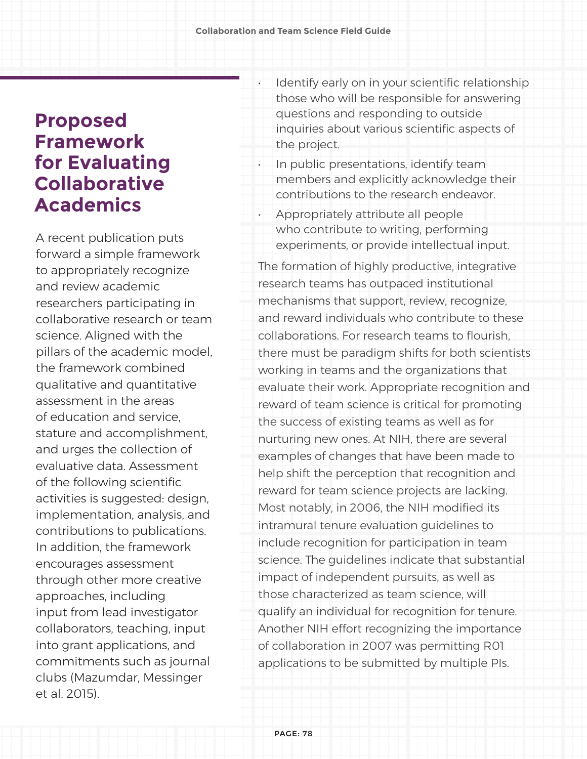### **Proposed Framework for Evaluating Collaborative Academics**

A recent publication puts forward a simple framework to appropriately recognize and review academic researchers participating in collaborative research or team science. Aligned with the pillars of the academic model, the framework combined qualitative and quantitative assessment in the areas of education and service, stature and accomplishment, and urges the collection of evaluative data. Assessment of the following scientific activities is suggested: design, implementation, analysis, and contributions to publications. In addition, the framework encourages assessment through other more creative approaches, including input from lead investigator collaborators, teaching, input into grant applications, and commitments such as journal clubs (Mazumdar, Messinger et al. 2015).

- Identify early on in your scientific relationship those who will be responsible for answering questions and responding to outside inquiries about various scientific aspects of the project.
- In public presentations, identify team members and explicitly acknowledge their contributions to the research endeavor.
- Appropriately attribute all people who contribute to writing, performing experiments, or provide intellectual input.

The formation of highly productive, integrative research teams has outpaced institutional mechanisms that support, review, recognize, and reward individuals who contribute to these collaborations. For research teams to flourish, there must be paradigm shifts for both scientists working in teams and the organizations that evaluate their work. Appropriate recognition and reward of team science is critical for promoting the success of existing teams as well as for nurturing new ones. At NIH, there are several examples of changes that have been made to help shift the perception that recognition and reward for team science projects are lacking. Most notably, in 2006, the NIH modified its intramural tenure evaluation guidelines to include recognition for participation in team science. The guidelines indicate that substantial impact of independent pursuits, as well as those characterized as team science, will qualify an individual for recognition for tenure. Another NIH effort recognizing the importance of collaboration in 2007 was permitting R01 applications to be submitted by multiple PIs.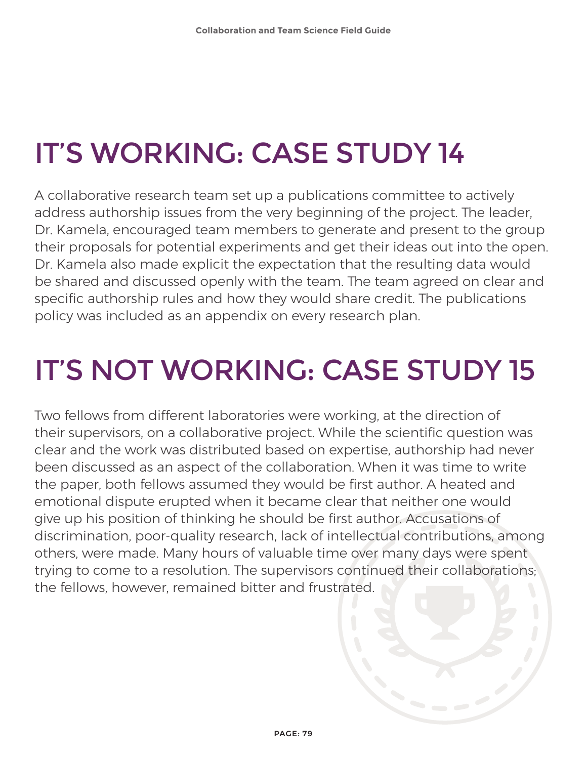# IT'S WORKING: CASE STUDY 14

A collaborative research team set up a publications committee to actively address authorship issues from the very beginning of the project. The leader, Dr. Kamela, encouraged team members to generate and present to the group their proposals for potential experiments and get their ideas out into the open. Dr. Kamela also made explicit the expectation that the resulting data would be shared and discussed openly with the team. The team agreed on clear and specific authorship rules and how they would share credit. The publications policy was included as an appendix on every research plan.

# IT'S NOT WORKING: CASE STUDY 15

Two fellows from different laboratories were working, at the direction of their supervisors, on a collaborative project. While the scientific question was clear and the work was distributed based on expertise, authorship had never been discussed as an aspect of the collaboration. When it was time to write the paper, both fellows assumed they would be first author. A heated and emotional dispute erupted when it became clear that neither one would give up his position of thinking he should be first author. Accusations of discrimination, poor-quality research, lack of intellectual contributions, among others, were made. Many hours of valuable time over many days were spent trying to come to a resolution. The supervisors continued their collaborations; the fellows, however, remained bitter and frustrated.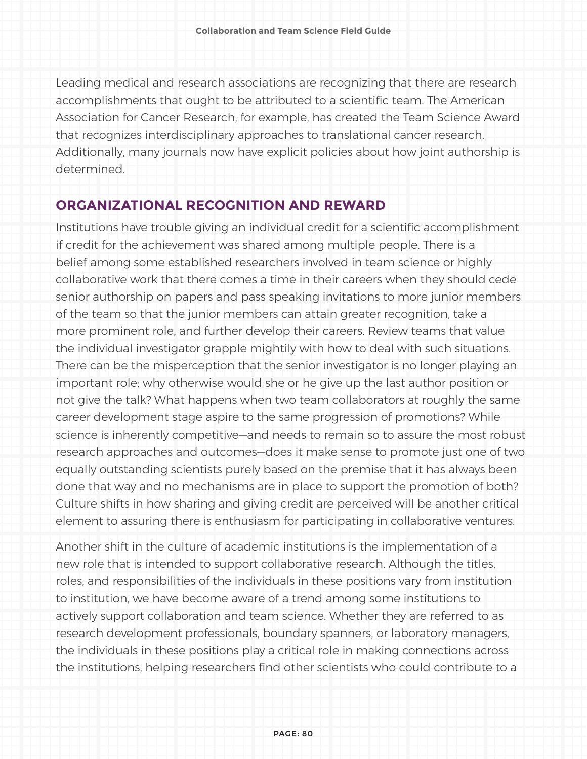Leading medical and research associations are recognizing that there are research accomplishments that ought to be attributed to a scientific team. The American Association for Cancer Research, for example, has created the Team Science Award that recognizes interdisciplinary approaches to translational cancer research. Additionally, many journals now have explicit policies about how joint authorship is determined.

#### **ORGANIZATIONAL RECOGNITION AND REWARD**

Institutions have trouble giving an individual credit for a scientific accomplishment if credit for the achievement was shared among multiple people. There is a belief among some established researchers involved in team science or highly collaborative work that there comes a time in their careers when they should cede senior authorship on papers and pass speaking invitations to more junior members of the team so that the junior members can attain greater recognition, take a more prominent role, and further develop their careers. Review teams that value the individual investigator grapple mightily with how to deal with such situations. There can be the misperception that the senior investigator is no longer playing an important role; why otherwise would she or he give up the last author position or not give the talk? What happens when two team collaborators at roughly the same career development stage aspire to the same progression of promotions? While science is inherently competitive—and needs to remain so to assure the most robust research approaches and outcomes—does it make sense to promote just one of two equally outstanding scientists purely based on the premise that it has always been done that way and no mechanisms are in place to support the promotion of both? Culture shifts in how sharing and giving credit are perceived will be another critical element to assuring there is enthusiasm for participating in collaborative ventures.

Another shift in the culture of academic institutions is the implementation of a new role that is intended to support collaborative research. Although the titles, roles, and responsibilities of the individuals in these positions vary from institution to institution, we have become aware of a trend among some institutions to actively support collaboration and team science. Whether they are referred to as research development professionals, boundary spanners, or laboratory managers, the individuals in these positions play a critical role in making connections across the institutions, helping researchers find other scientists who could contribute to a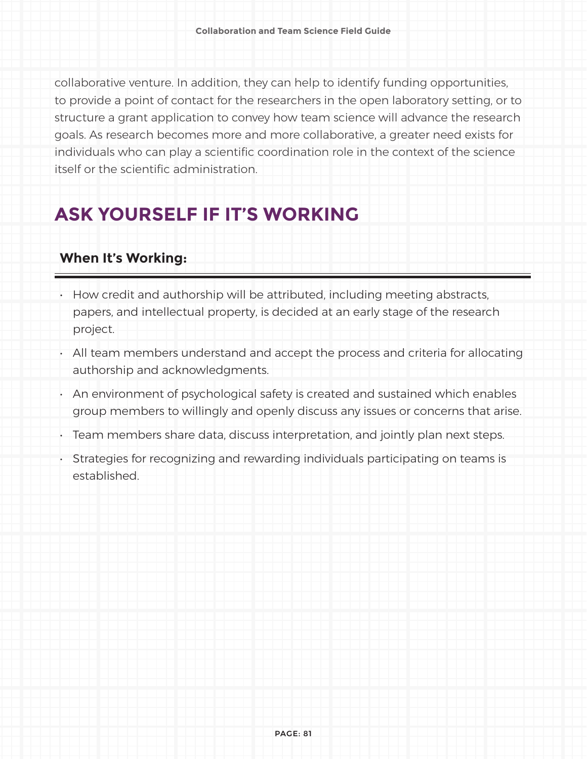collaborative venture. In addition, they can help to identify funding opportunities, to provide a point of contact for the researchers in the open laboratory setting, or to structure a grant application to convey how team science will advance the research goals. As research becomes more and more collaborative, a greater need exists for individuals who can play a scientific coordination role in the context of the science itself or the scientific administration.

### **ASK YOURSELF IF IT'S WORKING**

#### **When It's Working:**

- How credit and authorship will be attributed, including meeting abstracts, papers, and intellectual property, is decided at an early stage of the research project.
- All team members understand and accept the process and criteria for allocating authorship and acknowledgments.
- An environment of psychological safety is created and sustained which enables group members to willingly and openly discuss any issues or concerns that arise.
- Team members share data, discuss interpretation, and jointly plan next steps.
- Strategies for recognizing and rewarding individuals participating on teams is established.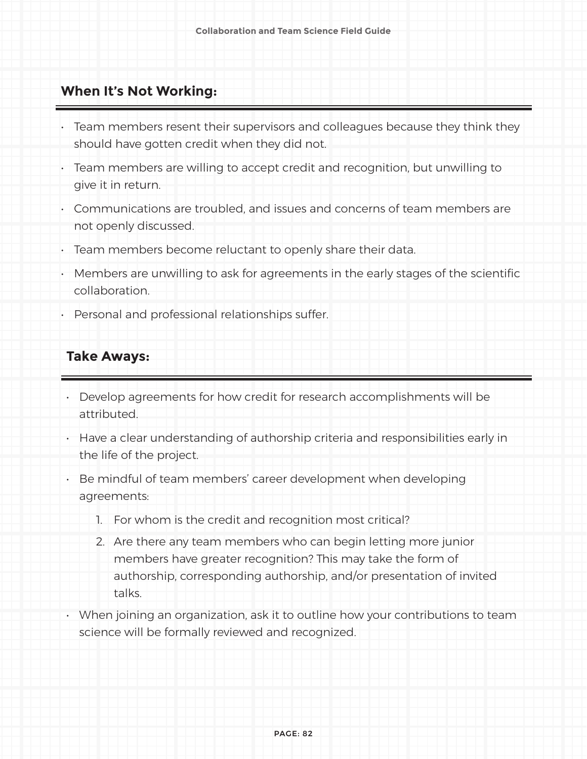#### **When It's Not Working:**

- Team members resent their supervisors and colleagues because they think they should have gotten credit when they did not.
- Team members are willing to accept credit and recognition, but unwilling to give it in return.
- Communications are troubled, and issues and concerns of team members are not openly discussed.
- Team members become reluctant to openly share their data.
- Members are unwilling to ask for agreements in the early stages of the scientific collaboration.
- Personal and professional relationships suffer.

#### **Take Aways:**

- Develop agreements for how credit for research accomplishments will be attributed.
- Have a clear understanding of authorship criteria and responsibilities early in the life of the project.
- Be mindful of team members' career development when developing agreements:
	- 1. For whom is the credit and recognition most critical?
	- 2. Are there any team members who can begin letting more junior members have greater recognition? This may take the form of authorship, corresponding authorship, and/or presentation of invited talks.
- When joining an organization, ask it to outline how your contributions to team science will be formally reviewed and recognized.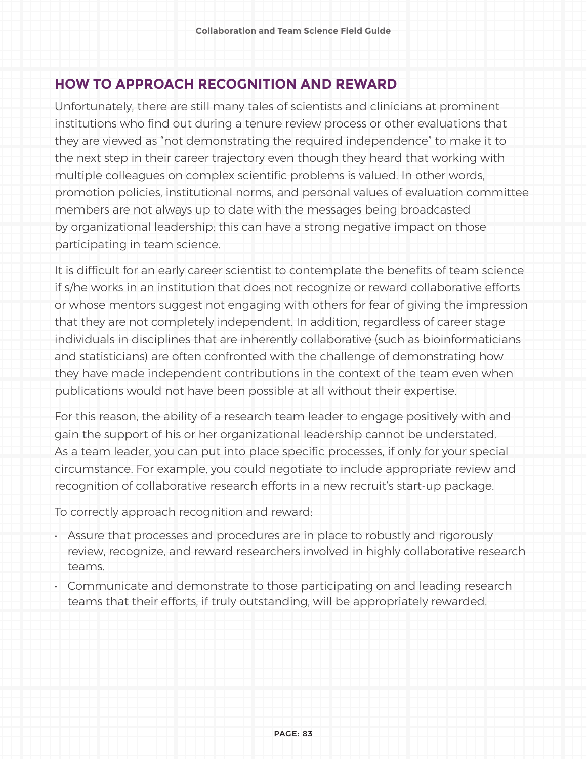#### **HOW TO APPROACH RECOGNITION AND REWARD**

Unfortunately, there are still many tales of scientists and clinicians at prominent institutions who find out during a tenure review process or other evaluations that they are viewed as "not demonstrating the required independence" to make it to the next step in their career trajectory even though they heard that working with multiple colleagues on complex scientific problems is valued. In other words, promotion policies, institutional norms, and personal values of evaluation committee members are not always up to date with the messages being broadcasted by organizational leadership; this can have a strong negative impact on those participating in team science.

It is difficult for an early career scientist to contemplate the benefits of team science if s/he works in an institution that does not recognize or reward collaborative efforts or whose mentors suggest not engaging with others for fear of giving the impression that they are not completely independent. In addition, regardless of career stage individuals in disciplines that are inherently collaborative (such as bioinformaticians and statisticians) are often confronted with the challenge of demonstrating how they have made independent contributions in the context of the team even when publications would not have been possible at all without their expertise.

For this reason, the ability of a research team leader to engage positively with and gain the support of his or her organizational leadership cannot be understated. As a team leader, you can put into place specific processes, if only for your special circumstance. For example, you could negotiate to include appropriate review and recognition of collaborative research efforts in a new recruit's start-up package.

To correctly approach recognition and reward:

- Assure that processes and procedures are in place to robustly and rigorously review, recognize, and reward researchers involved in highly collaborative research teams.
- Communicate and demonstrate to those participating on and leading research teams that their efforts, if truly outstanding, will be appropriately rewarded.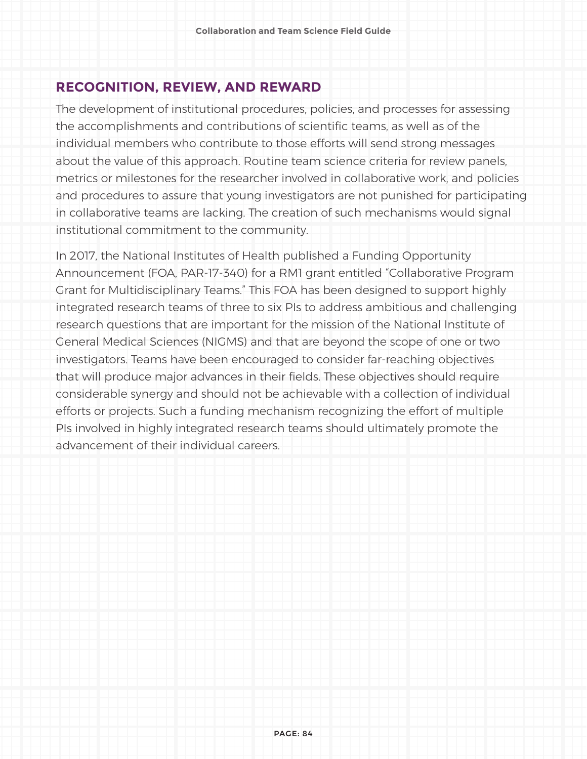#### **RECOGNITION, REVIEW, AND REWARD**

The development of institutional procedures, policies, and processes for assessing the accomplishments and contributions of scientific teams, as well as of the individual members who contribute to those efforts will send strong messages about the value of this approach. Routine team science criteria for review panels, metrics or milestones for the researcher involved in collaborative work, and policies and procedures to assure that young investigators are not punished for participating in collaborative teams are lacking. The creation of such mechanisms would signal institutional commitment to the community.

In 2017, the National Institutes of Health published a Funding Opportunity Announcement (FOA, PAR-17-340) for a RM1 grant entitled "Collaborative Program Grant for Multidisciplinary Teams." This FOA has been designed to support highly integrated research teams of three to six PIs to address ambitious and challenging research questions that are important for the mission of the National Institute of General Medical Sciences (NIGMS) and that are beyond the scope of one or two investigators. Teams have been encouraged to consider far-reaching objectives that will produce major advances in their fields. These objectives should require considerable synergy and should not be achievable with a collection of individual efforts or projects. Such a funding mechanism recognizing the effort of multiple PIs involved in highly integrated research teams should ultimately promote the advancement of their individual careers.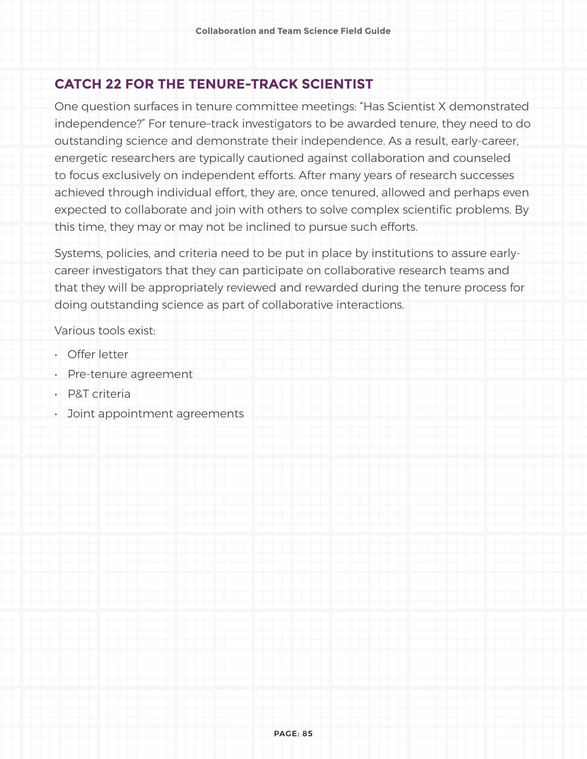#### **CATCH 22 FOR THE TENURE-TRACK SCIENTIST**

One question surfaces in tenure committee meetings: "Has Scientist X demonstrated independence?" For tenure–track investigators to be awarded tenure, they need to do outstanding science and demonstrate their independence. As a result, early-career, energetic researchers are typically cautioned against collaboration and counseled to focus exclusively on independent efforts. After many years of research successes achieved through individual effort, they are, once tenured, allowed and perhaps even expected to collaborate and join with others to solve complex scientific problems. By this time, they may or may not be inclined to pursue such efforts.

Systems, policies, and criteria need to be put in place by institutions to assure earlycareer investigators that they can participate on collaborative research teams and that they will be appropriately reviewed and rewarded during the tenure process for doing outstanding science as part of collaborative interactions.

Various tools exist:

- Offer letter
- Pre-tenure agreement
- P&T criteria
- Joint appointment agreements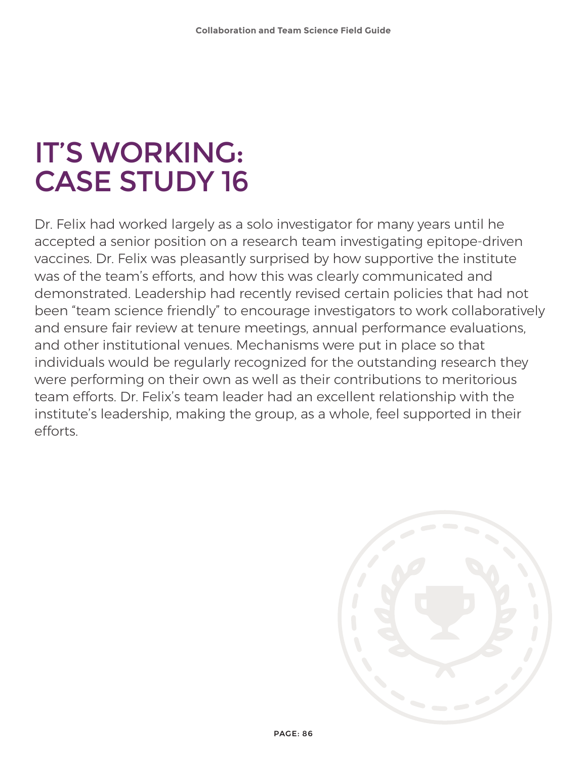## IT'S WORKING: CASE STUDY 16

Dr. Felix had worked largely as a solo investigator for many years until he accepted a senior position on a research team investigating epitope-driven vaccines. Dr. Felix was pleasantly surprised by how supportive the institute was of the team's efforts, and how this was clearly communicated and demonstrated. Leadership had recently revised certain policies that had not been "team science friendly" to encourage investigators to work collaboratively and ensure fair review at tenure meetings, annual performance evaluations, and other institutional venues. Mechanisms were put in place so that individuals would be regularly recognized for the outstanding research they were performing on their own as well as their contributions to meritorious team efforts. Dr. Felix's team leader had an excellent relationship with the institute's leadership, making the group, as a whole, feel supported in their efforts.

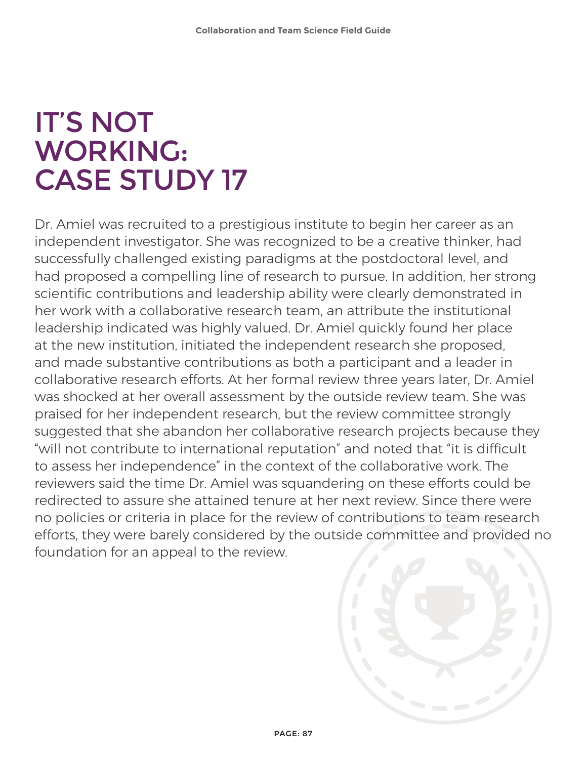### IT'S NOT WORKING: CASE STUDY 17

Dr. Amiel was recruited to a prestigious institute to begin her career as an independent investigator. She was recognized to be a creative thinker, had successfully challenged existing paradigms at the postdoctoral level, and had proposed a compelling line of research to pursue. In addition, her strong scientific contributions and leadership ability were clearly demonstrated in her work with a collaborative research team, an attribute the institutional leadership indicated was highly valued. Dr. Amiel quickly found her place at the new institution, initiated the independent research she proposed, and made substantive contributions as both a participant and a leader in collaborative research efforts. At her formal review three years later, Dr. Amiel was shocked at her overall assessment by the outside review team. She was praised for her independent research, but the review committee strongly suggested that she abandon her collaborative research projects because they "will not contribute to international reputation" and noted that "it is difficult to assess her independence" in the context of the collaborative work. The reviewers said the time Dr. Amiel was squandering on these efforts could be redirected to assure she attained tenure at her next review. Since there were no policies or criteria in place for the review of contributions to team research efforts, they were barely considered by the outside committee and provided no foundation for an appeal to the review.

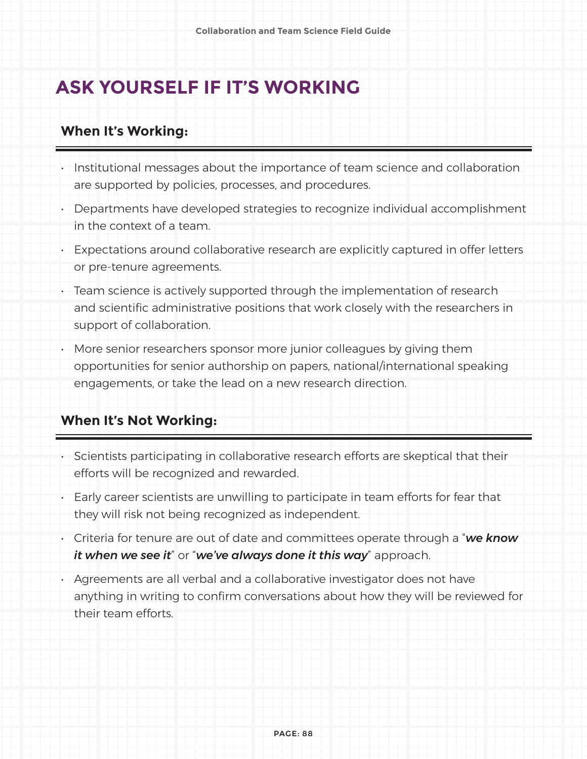### **ASK YOURSELF IF IT'S WORKING**

#### **When It's Working:**

- Institutional messages about the importance of team science and collaboration are supported by policies, processes, and procedures.
- Departments have developed strategies to recognize individual accomplishment in the context of a team.
- Expectations around collaborative research are explicitly captured in offer letters or pre-tenure agreements.
- Team science is actively supported through the implementation of research and scientific administrative positions that work closely with the researchers in support of collaboration.
- More senior researchers sponsor more junior colleagues by giving them opportunities for senior authorship on papers, national/international speaking engagements, or take the lead on a new research direction.

#### **When It's Not Working:**

- Scientists participating in collaborative research efforts are skeptical that their efforts will be recognized and rewarded.
- Early career scientists are unwilling to participate in team efforts for fear that they will risk not being recognized as independent.
- Criteria for tenure are out of date and committees operate through a "*we know it when we see it*" or "*we've always done it this way*" approach.
- Agreements are all verbal and a collaborative investigator does not have anything in writing to confirm conversations about how they will be reviewed for their team efforts.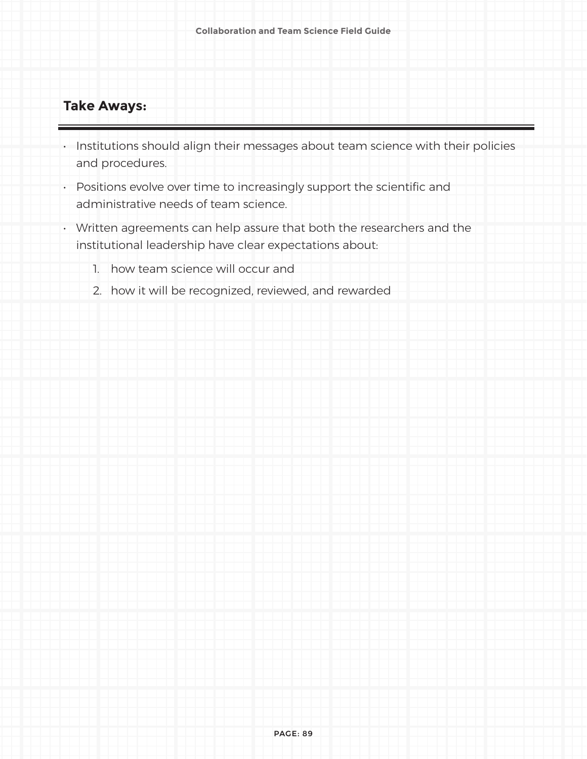#### **Take Aways:**

- Institutions should align their messages about team science with their policies and procedures.
- Positions evolve over time to increasingly support the scientific and administrative needs of team science.
- Written agreements can help assure that both the researchers and the institutional leadership have clear expectations about:
	- 1. how team science will occur and
	- 2. how it will be recognized, reviewed, and rewarded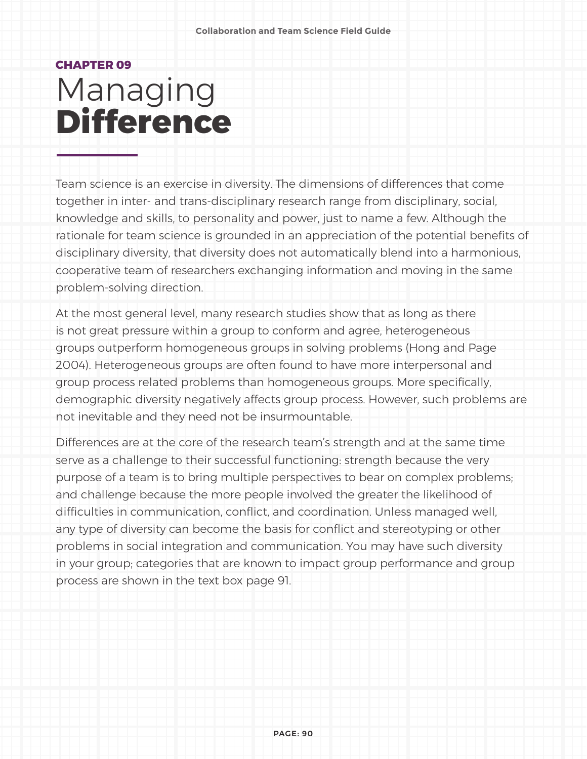### **CHAPTER 09** Managing **Difference**

Team science is an exercise in diversity. The dimensions of differences that come together in inter- and trans-disciplinary research range from disciplinary, social, knowledge and skills, to personality and power, just to name a few. Although the rationale for team science is grounded in an appreciation of the potential benefits of disciplinary diversity, that diversity does not automatically blend into a harmonious, cooperative team of researchers exchanging information and moving in the same problem-solving direction.

At the most general level, many research studies show that as long as there is not great pressure within a group to conform and agree, heterogeneous groups outperform homogeneous groups in solving problems (Hong and Page 2004). Heterogeneous groups are often found to have more interpersonal and group process related problems than homogeneous groups. More specifically, demographic diversity negatively affects group process. However, such problems are not inevitable and they need not be insurmountable.

Differences are at the core of the research team's strength and at the same time serve as a challenge to their successful functioning: strength because the very purpose of a team is to bring multiple perspectives to bear on complex problems; and challenge because the more people involved the greater the likelihood of difficulties in communication, conflict, and coordination. Unless managed well, any type of diversity can become the basis for conflict and stereotyping or other problems in social integration and communication. You may have such diversity in your group; categories that are known to impact group performance and group process are shown in the text box page 91.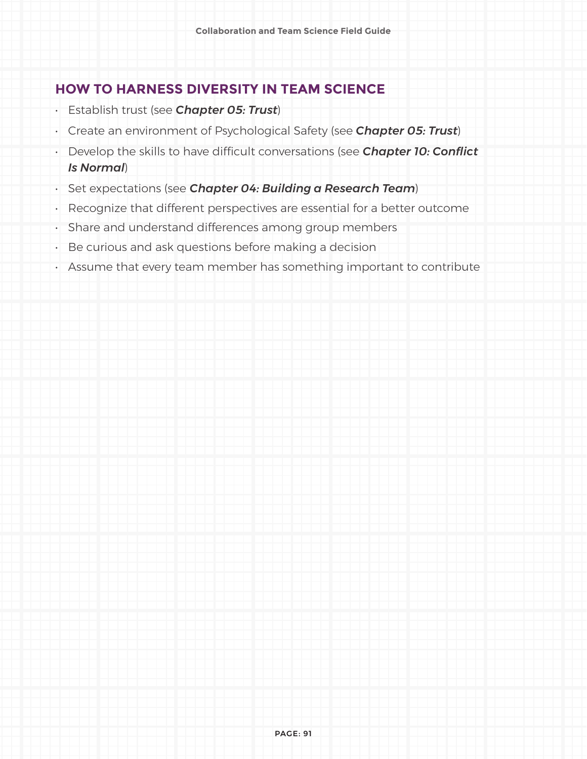#### **HOW TO HARNESS DIVERSITY IN TEAM SCIENCE**

- Establish trust (see *Chapter 05: Trust*)
- Create an environment of Psychological Safety (see *Chapter 05: Trust*)
- Develop the skills to have difficult conversations (see *Chapter 10: Conflict Is Normal*)
- Set expectations (see *Chapter 04: Building a Research Team*)
- Recognize that different perspectives are essential for a better outcome
- Share and understand differences among group members
- Be curious and ask questions before making a decision
- Assume that every team member has something important to contribute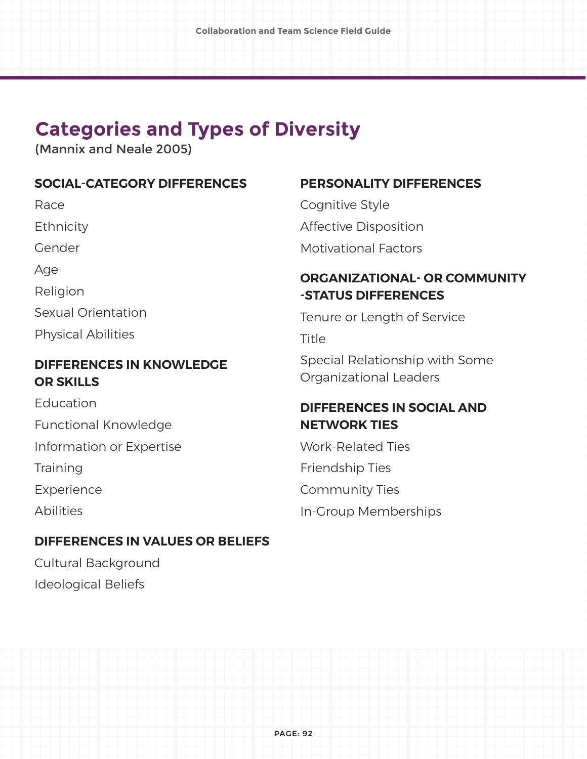### **Categories and Types of Diversity**

(Mannix and Neale 2005)

#### **SOCIAL-CATEGORY DIFFERENCES**

Race

**Ethnicity** 

Gender

Age

Religion

Sexual Orientation

Physical Abilities

#### **DIFFERENCES IN KNOWLEDGE OR SKILLS**

Education Functional Knowledge

Information or Expertise

**Training** 

Experience

Abilities

#### **DIFFERENCES IN VALUES OR BELIEFS**

Cultural Background Ideological Beliefs

#### **PERSONALITY DIFFERENCES**

Cognitive Style Affective Disposition Motivational Factors

#### **ORGANIZATIONAL- OR COMMUNITY -STATUS DIFFERENCES**

Tenure or Length of Service

Title

Special Relationship with Some Organizational Leaders

#### **DIFFERENCES IN SOCIAL AND NETWORK TIES**

Work-Related Ties Friendship Ties Community Ties In-Group Memberships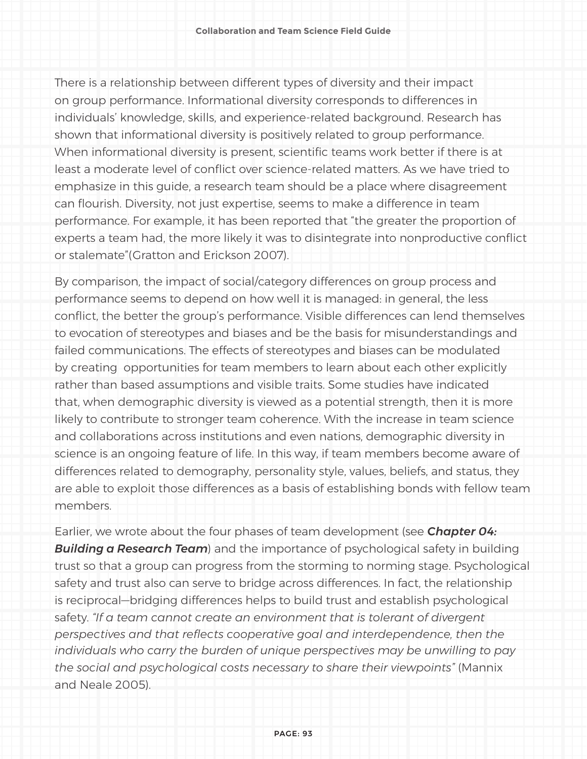There is a relationship between different types of diversity and their impact on group performance. Informational diversity corresponds to differences in individuals' knowledge, skills, and experience-related background. Research has shown that informational diversity is positively related to group performance. When informational diversity is present, scientific teams work better if there is at least a moderate level of conflict over science-related matters. As we have tried to emphasize in this guide, a research team should be a place where disagreement can flourish. Diversity, not just expertise, seems to make a difference in team performance. For example, it has been reported that "the greater the proportion of experts a team had, the more likely it was to disintegrate into nonproductive conflict or stalemate"(Gratton and Erickson 2007).

By comparison, the impact of social/category differences on group process and performance seems to depend on how well it is managed: in general, the less conflict, the better the group's performance. Visible differences can lend themselves to evocation of stereotypes and biases and be the basis for misunderstandings and failed communications. The effects of stereotypes and biases can be modulated by creating opportunities for team members to learn about each other explicitly rather than based assumptions and visible traits. Some studies have indicated that, when demographic diversity is viewed as a potential strength, then it is more likely to contribute to stronger team coherence. With the increase in team science and collaborations across institutions and even nations, demographic diversity in science is an ongoing feature of life. In this way, if team members become aware of differences related to demography, personality style, values, beliefs, and status, they are able to exploit those differences as a basis of establishing bonds with fellow team members.

Earlier, we wrote about the four phases of team development (see *Chapter 04: Building a Research Team*) and the importance of psychological safety in building trust so that a group can progress from the storming to norming stage. Psychological safety and trust also can serve to bridge across differences. In fact, the relationship is reciprocal—bridging differences helps to build trust and establish psychological safety. *"If a team cannot create an environment that is tolerant of divergent perspectives and that reflects cooperative goal and interdependence, then the individuals who carry the burden of unique perspectives may be unwilling to pay the social and psychological costs necessary to share their viewpoints"* (Mannix and Neale 2005).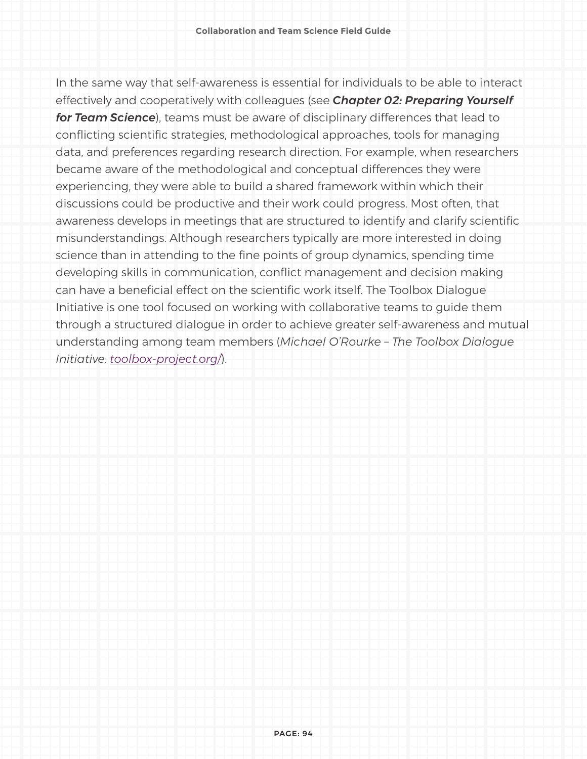In the same way that self-awareness is essential for individuals to be able to interact effectively and cooperatively with colleagues (see *Chapter 02: Preparing Yourself for Team Science*), teams must be aware of disciplinary differences that lead to conflicting scientific strategies, methodological approaches, tools for managing data, and preferences regarding research direction. For example, when researchers became aware of the methodological and conceptual differences they were experiencing, they were able to build a shared framework within which their discussions could be productive and their work could progress. Most often, that awareness develops in meetings that are structured to identify and clarify scientific misunderstandings. Although researchers typically are more interested in doing science than in attending to the fine points of group dynamics, spending time developing skills in communication, conflict management and decision making can have a beneficial effect on the scientific work itself. The Toolbox Dialogue Initiative is one tool focused on working with collaborative teams to guide them through a structured dialogue in order to achieve greater self-awareness and mutual understanding among team members (*Michael O'Rourke – The Toolbox Dialogue Initiative: [toolbox-project.org/](http://toolbox-project.org/)*).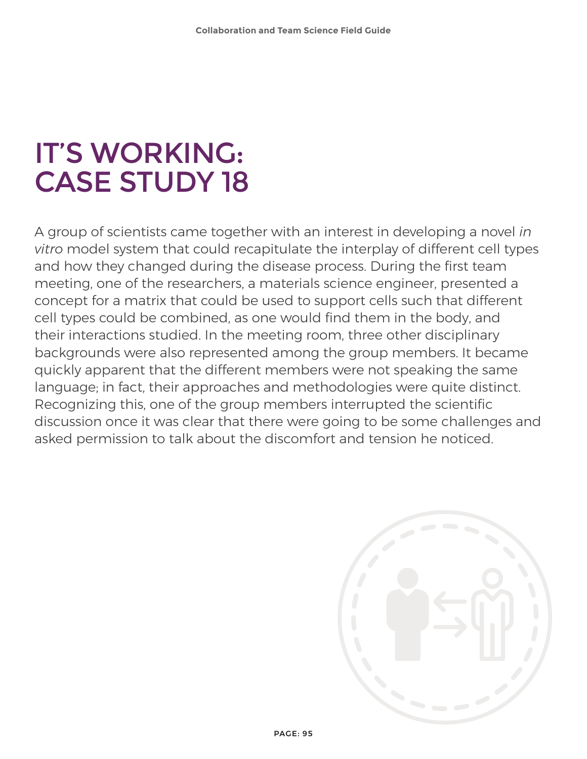## IT'S WORKING: CASE STUDY 18

A group of scientists came together with an interest in developing a novel *in vitro* model system that could recapitulate the interplay of different cell types and how they changed during the disease process. During the first team meeting, one of the researchers, a materials science engineer, presented a concept for a matrix that could be used to support cells such that different cell types could be combined, as one would find them in the body, and their interactions studied. In the meeting room, three other disciplinary backgrounds were also represented among the group members. It became quickly apparent that the different members were not speaking the same language; in fact, their approaches and methodologies were quite distinct. Recognizing this, one of the group members interrupted the scientific discussion once it was clear that there were going to be some challenges and asked permission to talk about the discomfort and tension he noticed.

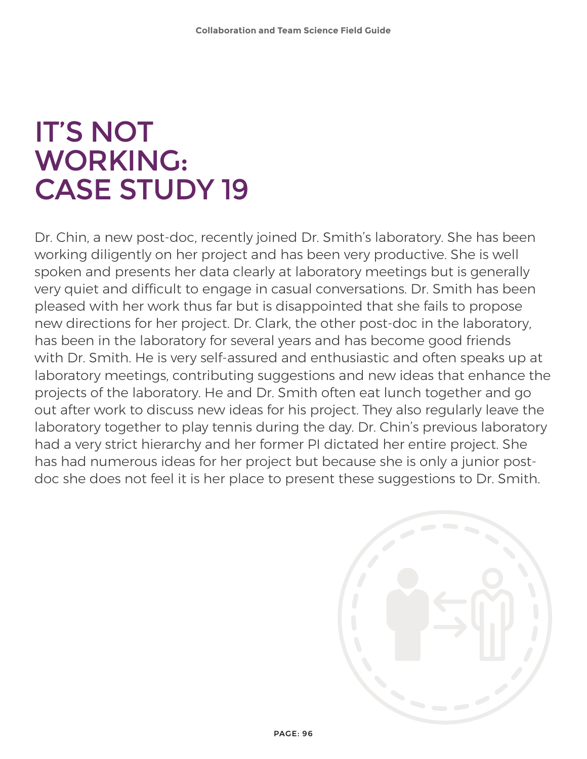## IT'S NOT WORKING: CASE STUDY 19

Dr. Chin, a new post-doc, recently joined Dr. Smith's laboratory. She has been working diligently on her project and has been very productive. She is well spoken and presents her data clearly at laboratory meetings but is generally very quiet and difficult to engage in casual conversations. Dr. Smith has been pleased with her work thus far but is disappointed that she fails to propose new directions for her project. Dr. Clark, the other post-doc in the laboratory, has been in the laboratory for several years and has become good friends with Dr. Smith. He is very self-assured and enthusiastic and often speaks up at laboratory meetings, contributing suggestions and new ideas that enhance the projects of the laboratory. He and Dr. Smith often eat lunch together and go out after work to discuss new ideas for his project. They also regularly leave the laboratory together to play tennis during the day. Dr. Chin's previous laboratory had a very strict hierarchy and her former PI dictated her entire project. She has had numerous ideas for her project but because she is only a junior postdoc she does not feel it is her place to present these suggestions to Dr. Smith.

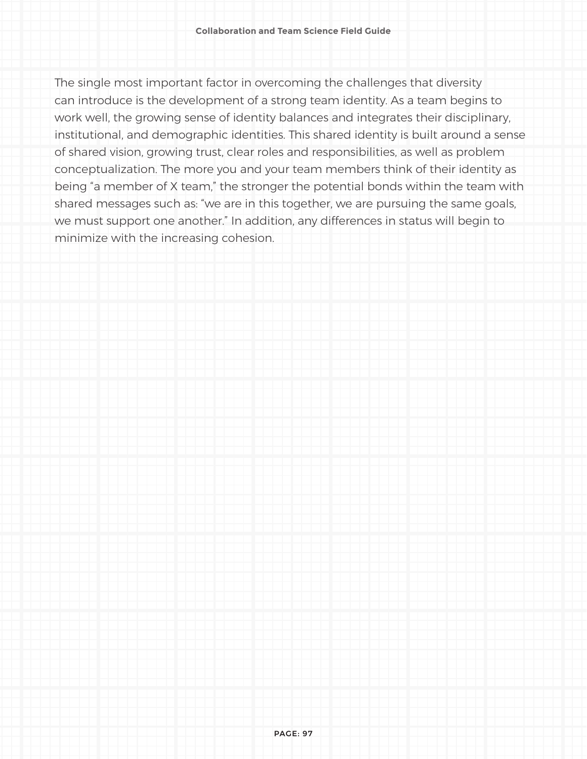The single most important factor in overcoming the challenges that diversity can introduce is the development of a strong team identity. As a team begins to work well, the growing sense of identity balances and integrates their disciplinary, institutional, and demographic identities. This shared identity is built around a sense of shared vision, growing trust, clear roles and responsibilities, as well as problem conceptualization. The more you and your team members think of their identity as being "a member of X team," the stronger the potential bonds within the team with shared messages such as: "we are in this together, we are pursuing the same goals, we must support one another." In addition, any differences in status will begin to minimize with the increasing cohesion.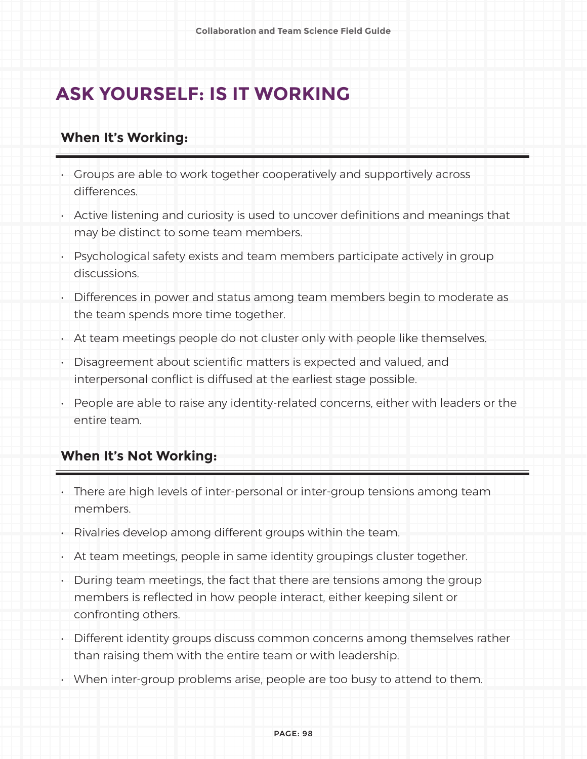### **ASK YOURSELF: IS IT WORKING**

#### **When It's Working:**

- Groups are able to work together cooperatively and supportively across differences.
- Active listening and curiosity is used to uncover definitions and meanings that may be distinct to some team members.
- Psychological safety exists and team members participate actively in group discussions.
- Differences in power and status among team members begin to moderate as the team spends more time together.
- At team meetings people do not cluster only with people like themselves.
- Disagreement about scientific matters is expected and valued, and interpersonal conflict is diffused at the earliest stage possible.
- People are able to raise any identity-related concerns, either with leaders or the entire team.

#### **When It's Not Working:**

- There are high levels of inter-personal or inter-group tensions among team members.
- Rivalries develop among different groups within the team.
- At team meetings, people in same identity groupings cluster together.
- During team meetings, the fact that there are tensions among the group members is reflected in how people interact, either keeping silent or confronting others.
- Different identity groups discuss common concerns among themselves rather than raising them with the entire team or with leadership.
- When inter-group problems arise, people are too busy to attend to them.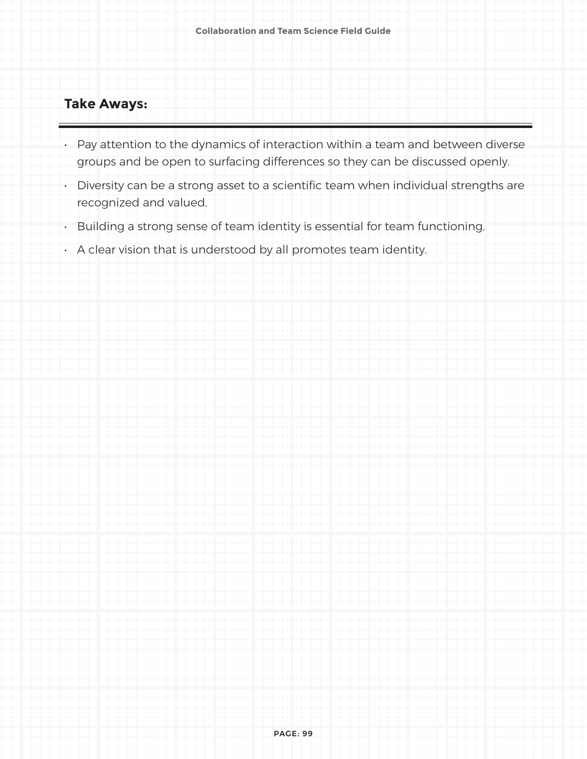#### **Take Aways:**

- Pay attention to the dynamics of interaction within a team and between diverse groups and be open to surfacing differences so they can be discussed openly.
- Diversity can be a strong asset to a scientific team when individual strengths are recognized and valued.
- Building a strong sense of team identity is essential for team functioning.
- A clear vision that is understood by all promotes team identity.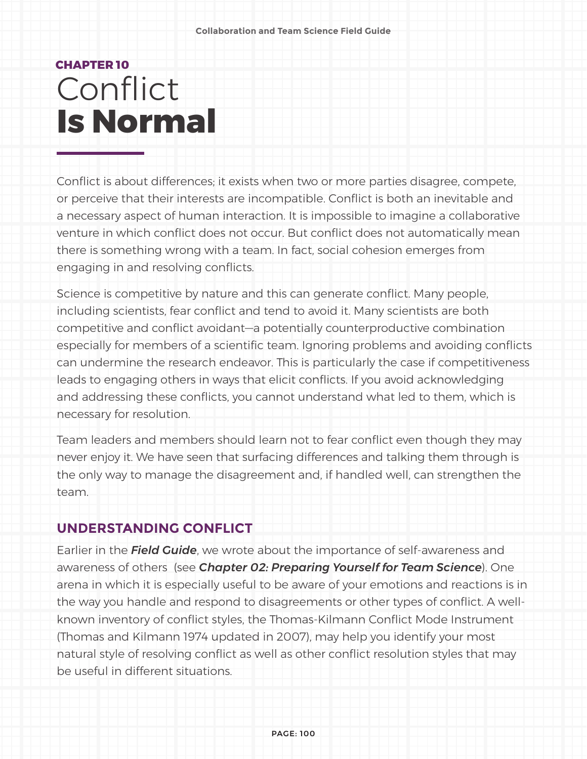### **CHAPTER 10 Conflict Is Normal**

Conflict is about differences; it exists when two or more parties disagree, compete, or perceive that their interests are incompatible. Conflict is both an inevitable and a necessary aspect of human interaction. It is impossible to imagine a collaborative venture in which conflict does not occur. But conflict does not automatically mean there is something wrong with a team. In fact, social cohesion emerges from engaging in and resolving conflicts.

Science is competitive by nature and this can generate conflict. Many people, including scientists, fear conflict and tend to avoid it. Many scientists are both competitive and conflict avoidant—a potentially counterproductive combination especially for members of a scientific team. Ignoring problems and avoiding conflicts can undermine the research endeavor. This is particularly the case if competitiveness leads to engaging others in ways that elicit conflicts. If you avoid acknowledging and addressing these conflicts, you cannot understand what led to them, which is necessary for resolution.

Team leaders and members should learn not to fear conflict even though they may never enjoy it. We have seen that surfacing differences and talking them through is the only way to manage the disagreement and, if handled well, can strengthen the team.

#### **UNDERSTANDING CONFLICT**

Earlier in the *Field Guide*, we wrote about the importance of self-awareness and awareness of others (see *Chapter 02: Preparing Yourself for Team Science*). One arena in which it is especially useful to be aware of your emotions and reactions is in the way you handle and respond to disagreements or other types of conflict. A wellknown inventory of conflict styles, the Thomas-Kilmann Conflict Mode Instrument (Thomas and Kilmann 1974 updated in 2007), may help you identify your most natural style of resolving conflict as well as other conflict resolution styles that may be useful in different situations.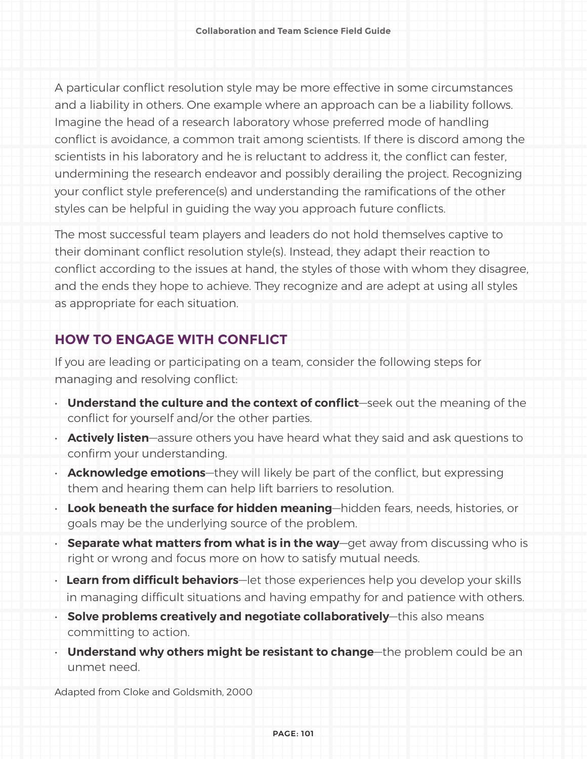A particular conflict resolution style may be more effective in some circumstances and a liability in others. One example where an approach can be a liability follows. Imagine the head of a research laboratory whose preferred mode of handling conflict is avoidance, a common trait among scientists. If there is discord among the scientists in his laboratory and he is reluctant to address it, the conflict can fester, undermining the research endeavor and possibly derailing the project. Recognizing your conflict style preference(s) and understanding the ramifications of the other styles can be helpful in guiding the way you approach future conflicts.

The most successful team players and leaders do not hold themselves captive to their dominant conflict resolution style(s). Instead, they adapt their reaction to conflict according to the issues at hand, the styles of those with whom they disagree, and the ends they hope to achieve. They recognize and are adept at using all styles as appropriate for each situation.

#### **HOW TO ENGAGE WITH CONFLICT**

If you are leading or participating on a team, consider the following steps for managing and resolving conflict:

- **Understand the culture and the context of conflict**—seek out the meaning of the conflict for yourself and/or the other parties.
- **Actively listen**—assure others you have heard what they said and ask questions to confirm your understanding.
- **Acknowledge emotions**—they will likely be part of the conflict, but expressing them and hearing them can help lift barriers to resolution.
- **Look beneath the surface for hidden meaning**—hidden fears, needs, histories, or goals may be the underlying source of the problem.
- **Separate what matters from what is in the way**—get away from discussing who is right or wrong and focus more on how to satisfy mutual needs.
- *•* **Learn from difficult behaviors**—let those experiences help you develop your skills in managing difficult situations and having empathy for and patience with others.
- **Solve problems creatively and negotiate collaboratively**—this also means committing to action.
- **Understand why others might be resistant to change**—the problem could be an unmet need.

Adapted from Cloke and Goldsmith, 2000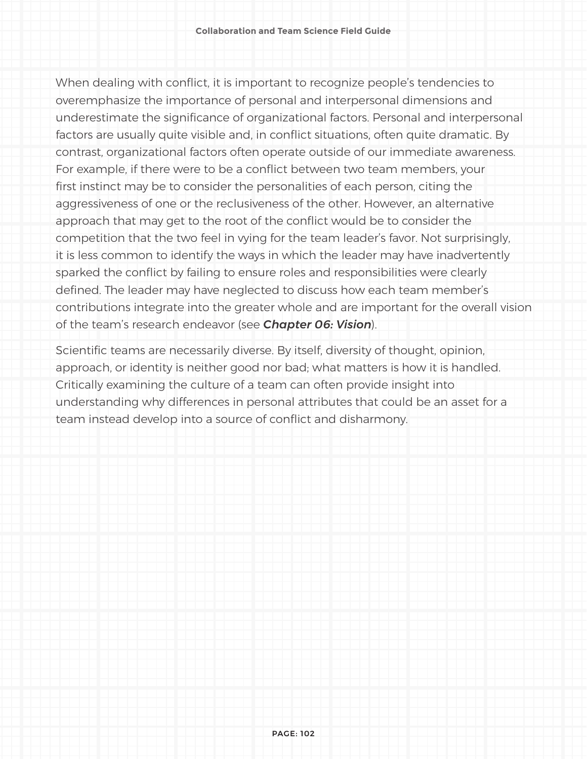When dealing with conflict, it is important to recognize people's tendencies to overemphasize the importance of personal and interpersonal dimensions and underestimate the significance of organizational factors. Personal and interpersonal factors are usually quite visible and, in conflict situations, often quite dramatic. By contrast, organizational factors often operate outside of our immediate awareness. For example, if there were to be a conflict between two team members, your first instinct may be to consider the personalities of each person, citing the aggressiveness of one or the reclusiveness of the other. However, an alternative approach that may get to the root of the conflict would be to consider the competition that the two feel in vying for the team leader's favor. Not surprisingly, it is less common to identify the ways in which the leader may have inadvertently sparked the conflict by failing to ensure roles and responsibilities were clearly defined. The leader may have neglected to discuss how each team member's contributions integrate into the greater whole and are important for the overall vision of the team's research endeavor (see *Chapter 06: Vision*).

Scientific teams are necessarily diverse. By itself, diversity of thought, opinion, approach, or identity is neither good nor bad; what matters is how it is handled. Critically examining the culture of a team can often provide insight into understanding why differences in personal attributes that could be an asset for a team instead develop into a source of conflict and disharmony.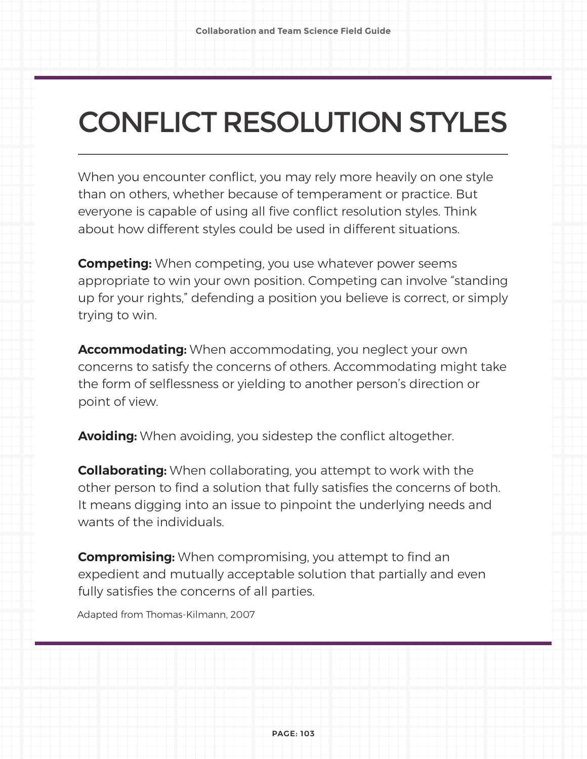# CONFLICT RESOLUTION STYLES

When you encounter conflict, you may rely more heavily on one style than on others, whether because of temperament or practice. But everyone is capable of using all five conflict resolution styles. Think about how different styles could be used in different situations.

**Competing:** When competing, you use whatever power seems appropriate to win your own position. Competing can involve "standing up for your rights," defending a position you believe is correct, or simply trying to win.

**Accommodating:** When accommodating, you neglect your own concerns to satisfy the concerns of others. Accommodating might take the form of selflessness or yielding to another person's direction or point of view.

**Avoiding:** When avoiding, you sidestep the conflict altogether.

**Collaborating:** When collaborating, you attempt to work with the other person to find a solution that fully satisfies the concerns of both. It means digging into an issue to pinpoint the underlying needs and wants of the individuals.

**Compromising:** When compromising, you attempt to find an expedient and mutually acceptable solution that partially and even fully satisfies the concerns of all parties.

Adapted from Thomas-Kilmann, 2007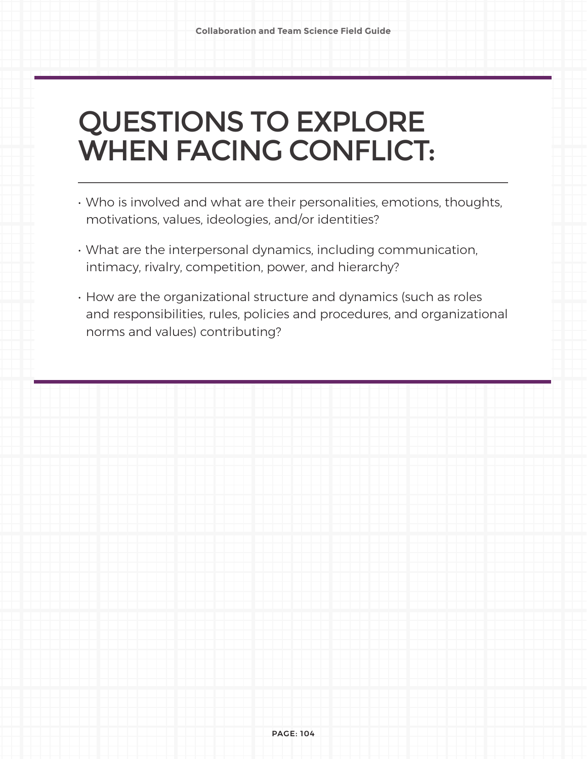## QUESTIONS TO EXPLORE WHEN FACING CONFLICT:

- Who is involved and what are their personalities, emotions, thoughts, motivations, values, ideologies, and/or identities?
- What are the interpersonal dynamics, including communication, intimacy, rivalry, competition, power, and hierarchy?
- How are the organizational structure and dynamics (such as roles and responsibilities, rules, policies and procedures, and organizational norms and values) contributing?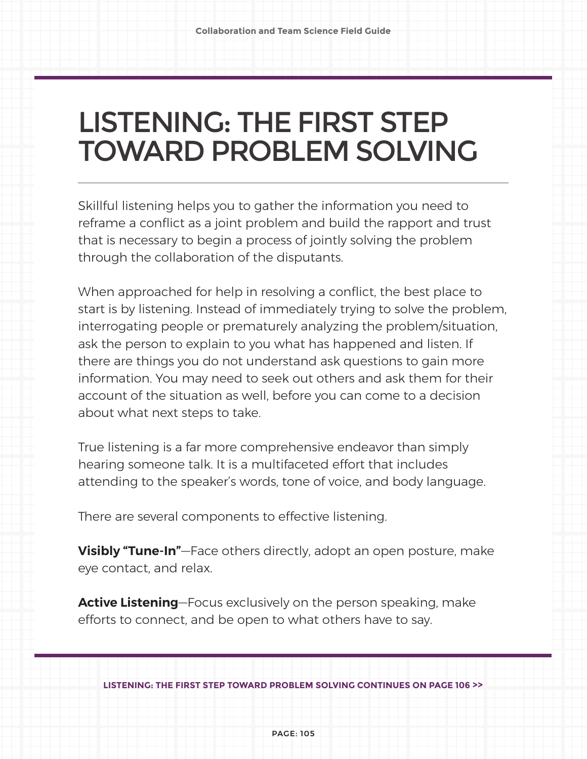## LISTENING: THE FIRST STEP TOWARD PROBLEM SOLVING

Skillful listening helps you to gather the information you need to reframe a conflict as a joint problem and build the rapport and trust that is necessary to begin a process of jointly solving the problem through the collaboration of the disputants.

When approached for help in resolving a conflict, the best place to start is by listening. Instead of immediately trying to solve the problem, interrogating people or prematurely analyzing the problem/situation, ask the person to explain to you what has happened and listen. If there are things you do not understand ask questions to gain more information. You may need to seek out others and ask them for their account of the situation as well, before you can come to a decision about what next steps to take.

True listening is a far more comprehensive endeavor than simply hearing someone talk. It is a multifaceted effort that includes attending to the speaker's words, tone of voice, and body language.

There are several components to effective listening.

**Visibly "Tune-In"**—Face others directly, adopt an open posture, make eye contact, and relax.

**Active Listening**—Focus exclusively on the person speaking, make efforts to connect, and be open to what others have to say.

**LISTENING: THE FIRST STEP TOWARD PROBLEM SOLVING CONTINUES ON PAGE 106 >>**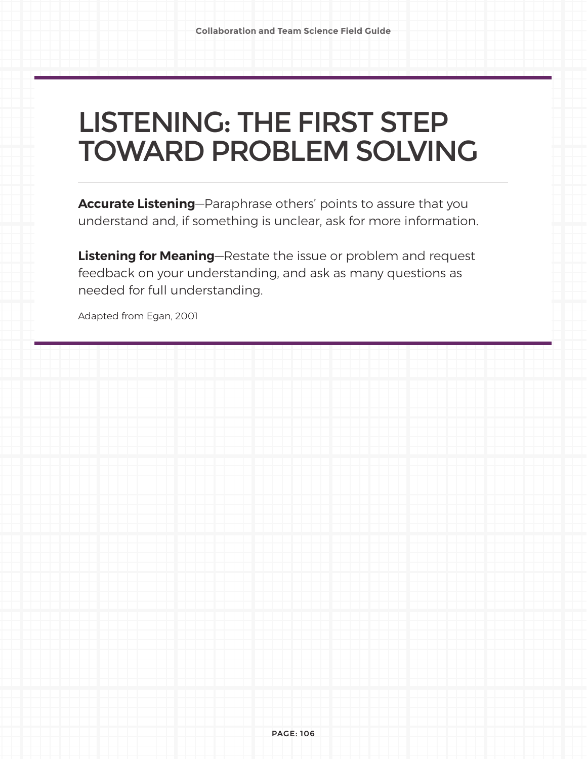## LISTENING: THE FIRST STEP TOWARD PROBLEM SOLVING

**Accurate Listening**—Paraphrase others' points to assure that you understand and, if something is unclear, ask for more information.

**Listening for Meaning**—Restate the issue or problem and request feedback on your understanding, and ask as many questions as needed for full understanding.

Adapted from Egan, 2001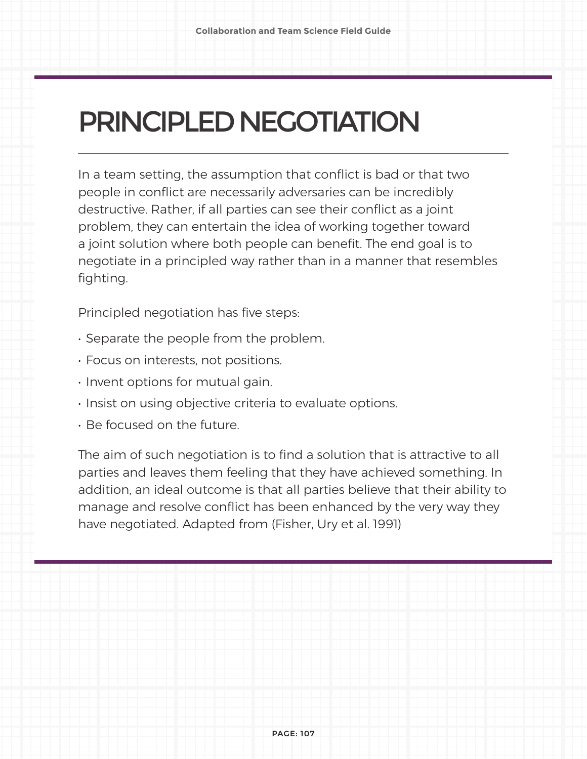# PRINCIPLED NEGOTIATION

In a team setting, the assumption that conflict is bad or that two people in conflict are necessarily adversaries can be incredibly destructive. Rather, if all parties can see their conflict as a joint problem, they can entertain the idea of working together toward a joint solution where both people can benefit. The end goal is to negotiate in a principled way rather than in a manner that resembles fighting.

Principled negotiation has five steps:

- Separate the people from the problem.
- Focus on interests, not positions.
- Invent options for mutual gain.
- Insist on using objective criteria to evaluate options.
- Be focused on the future.

The aim of such negotiation is to find a solution that is attractive to all parties and leaves them feeling that they have achieved something. In addition, an ideal outcome is that all parties believe that their ability to manage and resolve conflict has been enhanced by the very way they have negotiated. Adapted from (Fisher, Ury et al. 1991)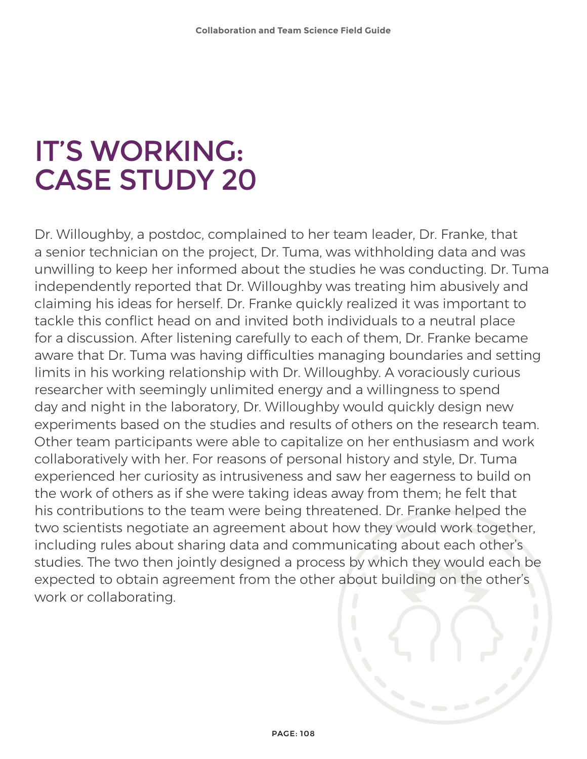## IT'S WORKING: CASE STUDY 20

Dr. Willoughby, a postdoc, complained to her team leader, Dr. Franke, that a senior technician on the project, Dr. Tuma, was withholding data and was unwilling to keep her informed about the studies he was conducting. Dr. Tuma independently reported that Dr. Willoughby was treating him abusively and claiming his ideas for herself. Dr. Franke quickly realized it was important to tackle this conflict head on and invited both individuals to a neutral place for a discussion. After listening carefully to each of them, Dr. Franke became aware that Dr. Tuma was having difficulties managing boundaries and setting limits in his working relationship with Dr. Willoughby. A voraciously curious researcher with seemingly unlimited energy and a willingness to spend day and night in the laboratory, Dr. Willoughby would quickly design new experiments based on the studies and results of others on the research team. Other team participants were able to capitalize on her enthusiasm and work collaboratively with her. For reasons of personal history and style, Dr. Tuma experienced her curiosity as intrusiveness and saw her eagerness to build on the work of others as if she were taking ideas away from them; he felt that his contributions to the team were being threatened. Dr. Franke helped the two scientists negotiate an agreement about how they would work together, including rules about sharing data and communicating about each other's studies. The two then jointly designed a process by which they would each be expected to obtain agreement from the other about building on the other's work or collaborating.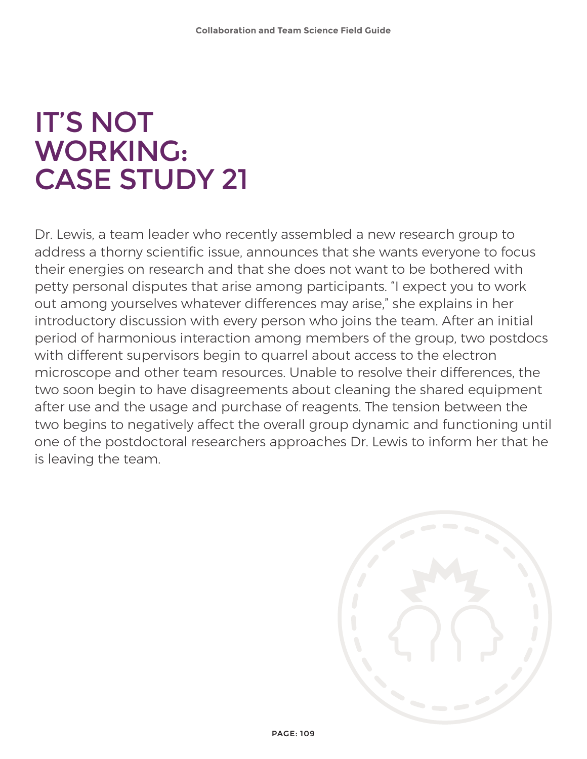# IT'S NOT WORKING: CASE STUDY 21

Dr. Lewis, a team leader who recently assembled a new research group to address a thorny scientific issue, announces that she wants everyone to focus their energies on research and that she does not want to be bothered with petty personal disputes that arise among participants. "I expect you to work out among yourselves whatever differences may arise," she explains in her introductory discussion with every person who joins the team. After an initial period of harmonious interaction among members of the group, two postdocs with different supervisors begin to quarrel about access to the electron microscope and other team resources. Unable to resolve their differences, the two soon begin to have disagreements about cleaning the shared equipment after use and the usage and purchase of reagents. The tension between the two begins to negatively affect the overall group dynamic and functioning until one of the postdoctoral researchers approaches Dr. Lewis to inform her that he is leaving the team.

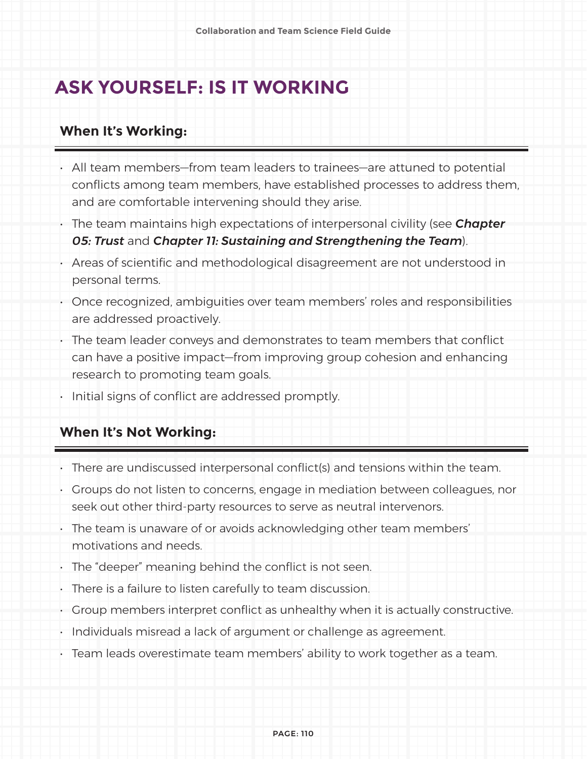### **ASK YOURSELF: IS IT WORKING**

#### **When It's Working:**

- All team members—from team leaders to trainees—are attuned to potential conflicts among team members, have established processes to address them, and are comfortable intervening should they arise.
- The team maintains high expectations of interpersonal civility (see *Chapter 05: Trust* and *Chapter 11: Sustaining and Strengthening the Team*).
- Areas of scientific and methodological disagreement are not understood in personal terms.
- Once recognized, ambiguities over team members' roles and responsibilities are addressed proactively.
- The team leader conveys and demonstrates to team members that conflict can have a positive impact—from improving group cohesion and enhancing research to promoting team goals.
- Initial signs of conflict are addressed promptly.

#### **When It's Not Working:**

- There are undiscussed interpersonal conflict(s) and tensions within the team.
- Groups do not listen to concerns, engage in mediation between colleagues, nor seek out other third-party resources to serve as neutral intervenors.
- The team is unaware of or avoids acknowledging other team members' motivations and needs.
- The "deeper" meaning behind the conflict is not seen.
- There is a failure to listen carefully to team discussion.
- Group members interpret conflict as unhealthy when it is actually constructive.
- Individuals misread a lack of argument or challenge as agreement.
- Team leads overestimate team members' ability to work together as a team.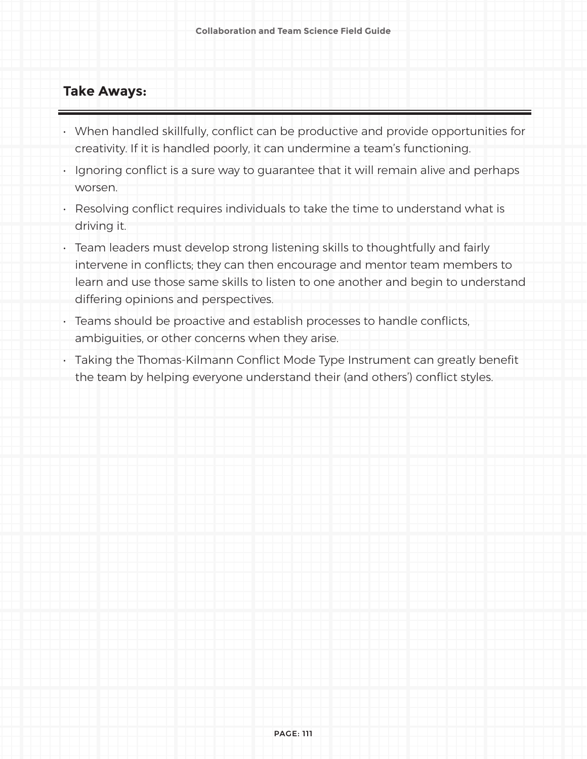#### **Take Aways:**

- When handled skillfully, conflict can be productive and provide opportunities for creativity. If it is handled poorly, it can undermine a team's functioning.
- Ignoring conflict is a sure way to guarantee that it will remain alive and perhaps worsen.
- Resolving conflict requires individuals to take the time to understand what is driving it.
- Team leaders must develop strong listening skills to thoughtfully and fairly intervene in conflicts; they can then encourage and mentor team members to learn and use those same skills to listen to one another and begin to understand differing opinions and perspectives.
- Teams should be proactive and establish processes to handle conflicts, ambiguities, or other concerns when they arise.
- Taking the Thomas-Kilmann Conflict Mode Type Instrument can greatly benefit the team by helping everyone understand their (and others') conflict styles.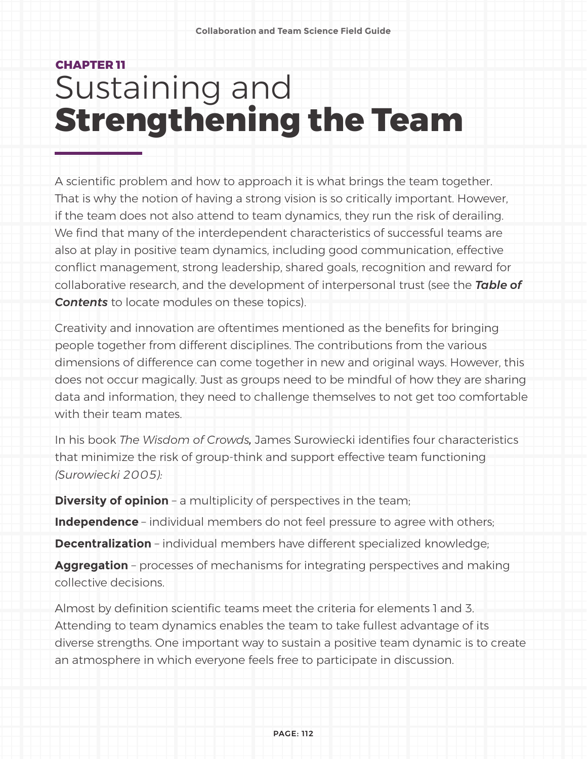# **CHAPTER 11** Sustaining and **Strengthening the Team**

A scientific problem and how to approach it is what brings the team together. That is why the notion of having a strong vision is so critically important. However, if the team does not also attend to team dynamics, they run the risk of derailing. We find that many of the interdependent characteristics of successful teams are also at play in positive team dynamics, including good communication, effective conflict management, strong leadership, shared goals, recognition and reward for collaborative research, and the development of interpersonal trust (see the *Table of Contents* to locate modules on these topics).

Creativity and innovation are oftentimes mentioned as the benefits for bringing people together from different disciplines. The contributions from the various dimensions of difference can come together in new and original ways. However, this does not occur magically. Just as groups need to be mindful of how they are sharing data and information, they need to challenge themselves to not get too comfortable with their team mates.

In his book *The Wisdom of Crowds,* James Surowiecki identifies four characteristics that minimize the risk of group-think and support effective team functioning *(Surowiecki 2005):* 

**Diversity of opinion** - a multiplicity of perspectives in the team;

**Independence** – individual members do not feel pressure to agree with others;

**Decentralization** – individual members have different specialized knowledge;

**Aggregation** – processes of mechanisms for integrating perspectives and making collective decisions.

Almost by definition scientific teams meet the criteria for elements 1 and 3. Attending to team dynamics enables the team to take fullest advantage of its diverse strengths. One important way to sustain a positive team dynamic is to create an atmosphere in which everyone feels free to participate in discussion.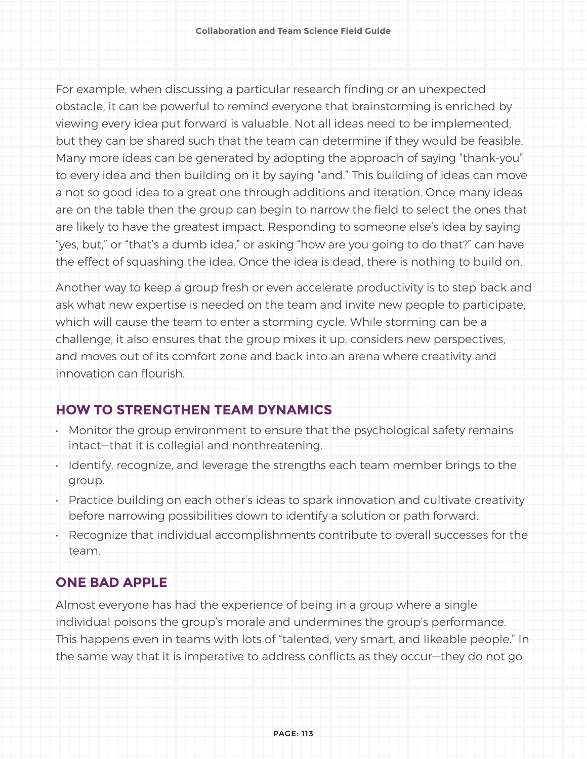For example, when discussing a particular research finding or an unexpected obstacle, it can be powerful to remind everyone that brainstorming is enriched by viewing every idea put forward is valuable. Not all ideas need to be implemented, but they can be shared such that the team can determine if they would be feasible. Many more ideas can be generated by adopting the approach of saying "thank-you" to every idea and then building on it by saying "and." This building of ideas can move a not so good idea to a great one through additions and iteration. Once many ideas are on the table then the group can begin to narrow the field to select the ones that are likely to have the greatest impact. Responding to someone else's idea by saying "yes, but," or "that's a dumb idea," or asking "how are you going to do that?" can have the effect of squashing the idea. Once the idea is dead, there is nothing to build on.

Another way to keep a group fresh or even accelerate productivity is to step back and ask what new expertise is needed on the team and invite new people to participate, which will cause the team to enter a storming cycle. While storming can be a challenge, it also ensures that the group mixes it up, considers new perspectives, and moves out of its comfort zone and back into an arena where creativity and innovation can flourish.

#### **HOW TO STRENGTHEN TEAM DYNAMICS**

- Monitor the group environment to ensure that the psychological safety remains intact—that it is collegial and nonthreatening.
- Identify, recognize, and leverage the strengths each team member brings to the group.
- Practice building on each other's ideas to spark innovation and cultivate creativity before narrowing possibilities down to identify a solution or path forward.
- Recognize that individual accomplishments contribute to overall successes for the team.

#### **ONE BAD APPLE**

Almost everyone has had the experience of being in a group where a single individual poisons the group's morale and undermines the group's performance. This happens even in teams with lots of "talented, very smart, and likeable people." In the same way that it is imperative to address conflicts as they occur—they do not go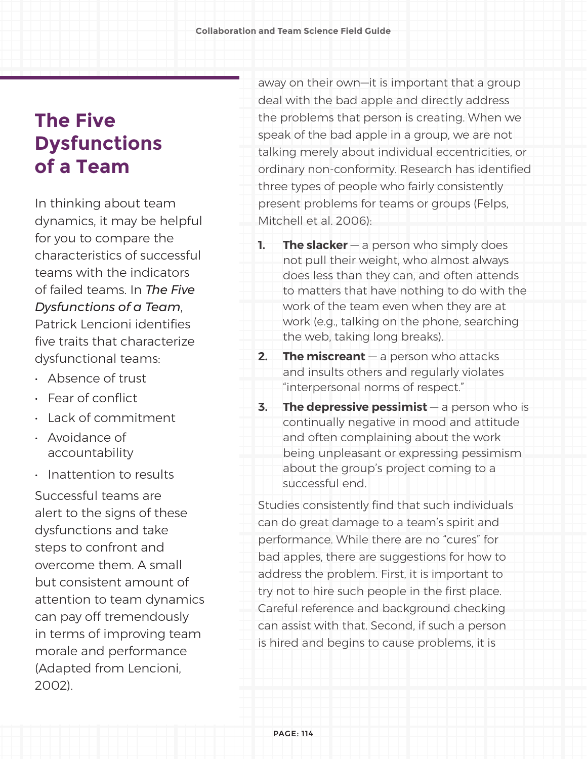## **The Five Dysfunctions of a Team**

In thinking about team dynamics, it may be helpful for you to compare the characteristics of successful teams with the indicators of failed teams. In *The Five Dysfunctions of a Team*, Patrick Lencioni identifies five traits that characterize dysfunctional teams:

- Absence of trust
- Fear of conflict
- Lack of commitment
- Avoidance of accountability
- Inattention to results

Successful teams are alert to the signs of these dysfunctions and take steps to confront and overcome them. A small but consistent amount of attention to team dynamics can pay off tremendously in terms of improving team morale and performance (Adapted from Lencioni, 2002).

away on their own—it is important that a group deal with the bad apple and directly address the problems that person is creating. When we speak of the bad apple in a group, we are not talking merely about individual eccentricities, or ordinary non-conformity. Research has identified three types of people who fairly consistently present problems for teams or groups (Felps, Mitchell et al. 2006):

- **1. The slacker** a person who simply does not pull their weight, who almost always does less than they can, and often attends to matters that have nothing to do with the work of the team even when they are at work (e.g., talking on the phone, searching the web, taking long breaks).
- **2. The miscreant** a person who attacks and insults others and regularly violates "interpersonal norms of respect."
- **3.** The depressive pessimist a person who is continually negative in mood and attitude and often complaining about the work being unpleasant or expressing pessimism about the group's project coming to a successful end.

Studies consistently find that such individuals can do great damage to a team's spirit and performance. While there are no "cures" for bad apples, there are suggestions for how to address the problem. First, it is important to try not to hire such people in the first place. Careful reference and background checking can assist with that. Second, if such a person is hired and begins to cause problems, it is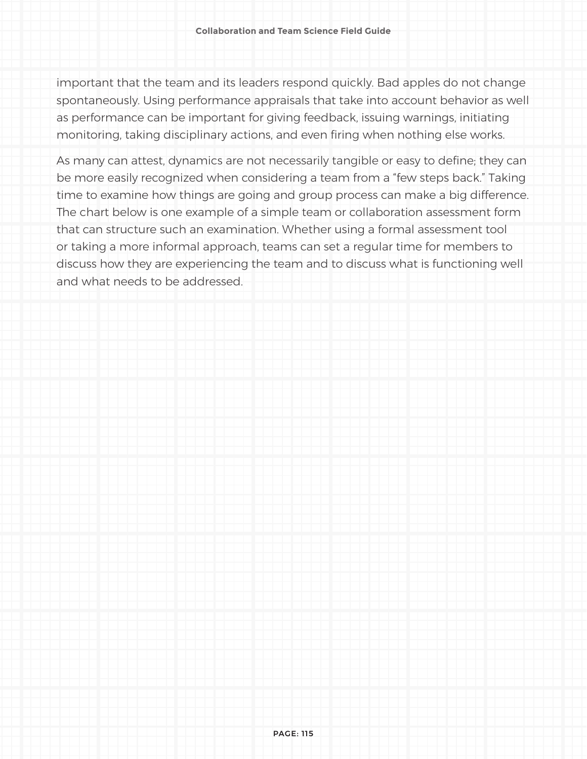important that the team and its leaders respond quickly. Bad apples do not change spontaneously. Using performance appraisals that take into account behavior as well as performance can be important for giving feedback, issuing warnings, initiating monitoring, taking disciplinary actions, and even firing when nothing else works.

As many can attest, dynamics are not necessarily tangible or easy to define; they can be more easily recognized when considering a team from a "few steps back." Taking time to examine how things are going and group process can make a big difference. The chart below is one example of a simple team or collaboration assessment form that can structure such an examination. Whether using a formal assessment tool or taking a more informal approach, teams can set a regular time for members to discuss how they are experiencing the team and to discuss what is functioning well and what needs to be addressed.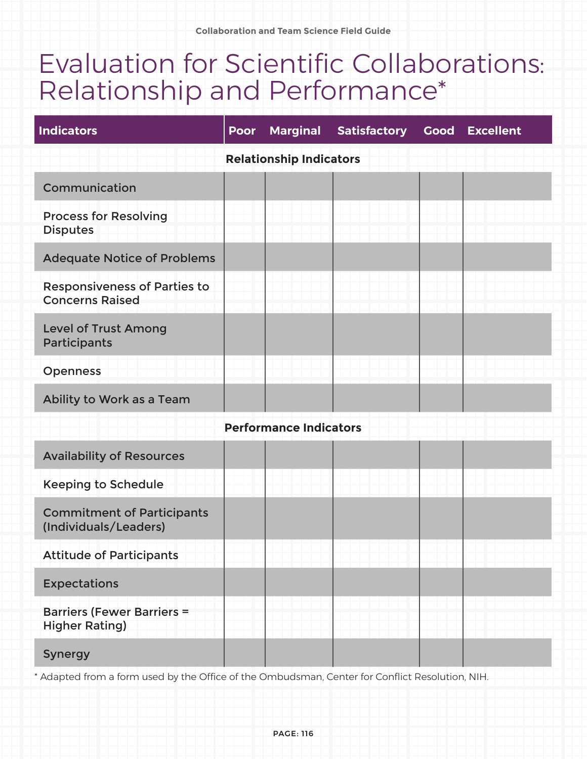## Evaluation for Scientific Collaborations: Relationship and Performance\*

| <b>Indicators</b>                                             | Poor | <b>Marginal</b> | <b>Satisfactory</b> |  | <b>Good Excellent</b> |
|---------------------------------------------------------------|------|-----------------|---------------------|--|-----------------------|
| <b>Relationship Indicators</b>                                |      |                 |                     |  |                       |
| Communication                                                 |      |                 |                     |  |                       |
| <b>Process for Resolving</b><br><b>Disputes</b>               |      |                 |                     |  |                       |
| <b>Adequate Notice of Problems</b>                            |      |                 |                     |  |                       |
| <b>Responsiveness of Parties to</b><br><b>Concerns Raised</b> |      |                 |                     |  |                       |
| <b>Level of Trust Among</b><br>Participants                   |      |                 |                     |  |                       |
| <b>Openness</b>                                               |      |                 |                     |  |                       |
| Ability to Work as a Team                                     |      |                 |                     |  |                       |
| <b>Performance Indicators</b>                                 |      |                 |                     |  |                       |
| <b>Availability of Resources</b>                              |      |                 |                     |  |                       |
| <b>Keeping to Schedule</b>                                    |      |                 |                     |  |                       |
| <b>Commitment of Participants</b><br>(Individuals/Leaders)    |      |                 |                     |  |                       |
| <b>Attitude of Participants</b>                               |      |                 |                     |  |                       |
| <b>Expectations</b>                                           |      |                 |                     |  |                       |
| <b>Barriers (Fewer Barriers =</b><br><b>Higher Rating)</b>    |      |                 |                     |  |                       |
| <b>Synergy</b>                                                |      |                 |                     |  |                       |

\* Adapted from a form used by the Office of the Ombudsman, Center for Conflict Resolution, NIH.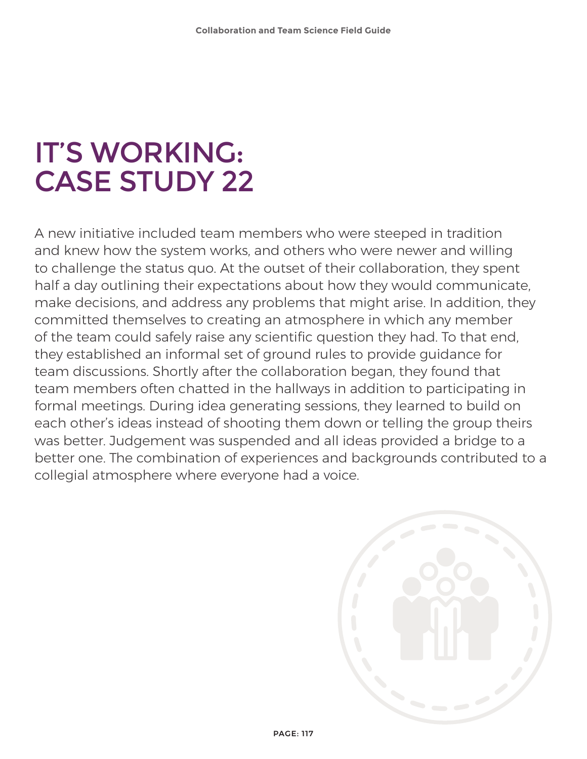# IT'S WORKING: CASE STUDY 22

A new initiative included team members who were steeped in tradition and knew how the system works, and others who were newer and willing to challenge the status quo. At the outset of their collaboration, they spent half a day outlining their expectations about how they would communicate, make decisions, and address any problems that might arise. In addition, they committed themselves to creating an atmosphere in which any member of the team could safely raise any scientific question they had. To that end, they established an informal set of ground rules to provide guidance for team discussions. Shortly after the collaboration began, they found that team members often chatted in the hallways in addition to participating in formal meetings. During idea generating sessions, they learned to build on each other's ideas instead of shooting them down or telling the group theirs was better. Judgement was suspended and all ideas provided a bridge to a better one. The combination of experiences and backgrounds contributed to a collegial atmosphere where everyone had a voice.

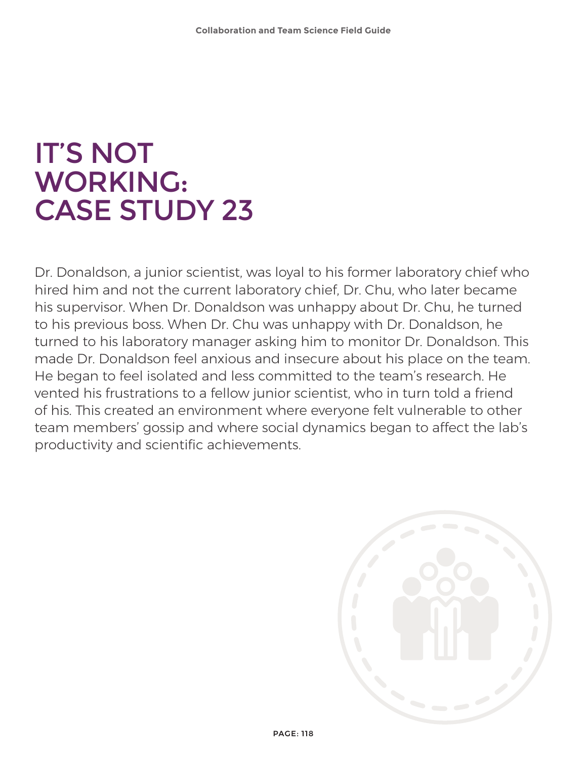## IT'S NOT WORKING: CASE STUDY 23

Dr. Donaldson, a junior scientist, was loyal to his former laboratory chief who hired him and not the current laboratory chief, Dr. Chu, who later became his supervisor. When Dr. Donaldson was unhappy about Dr. Chu, he turned to his previous boss. When Dr. Chu was unhappy with Dr. Donaldson, he turned to his laboratory manager asking him to monitor Dr. Donaldson. This made Dr. Donaldson feel anxious and insecure about his place on the team. He began to feel isolated and less committed to the team's research. He vented his frustrations to a fellow junior scientist, who in turn told a friend of his. This created an environment where everyone felt vulnerable to other team members' gossip and where social dynamics began to affect the lab's productivity and scientific achievements.

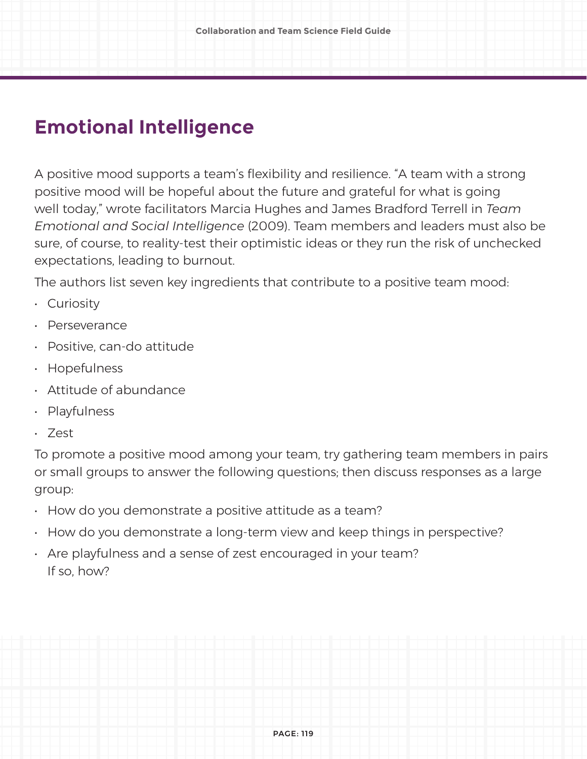### **Emotional Intelligence**

A positive mood supports a team's flexibility and resilience. "A team with a strong positive mood will be hopeful about the future and grateful for what is going well today," wrote facilitators Marcia Hughes and James Bradford Terrell in *Team Emotional and Social Intelligence* (2009). Team members and leaders must also be sure, of course, to reality-test their optimistic ideas or they run the risk of unchecked expectations, leading to burnout.

The authors list seven key ingredients that contribute to a positive team mood:

- Curiosity
- Perseverance
- Positive, can-do attitude
- Hopefulness
- Attitude of abundance
- Playfulness
- Zest

To promote a positive mood among your team, try gathering team members in pairs or small groups to answer the following questions; then discuss responses as a large group:

- How do you demonstrate a positive attitude as a team?
- How do you demonstrate a long-term view and keep things in perspective?
- Are playfulness and a sense of zest encouraged in your team? If so, how?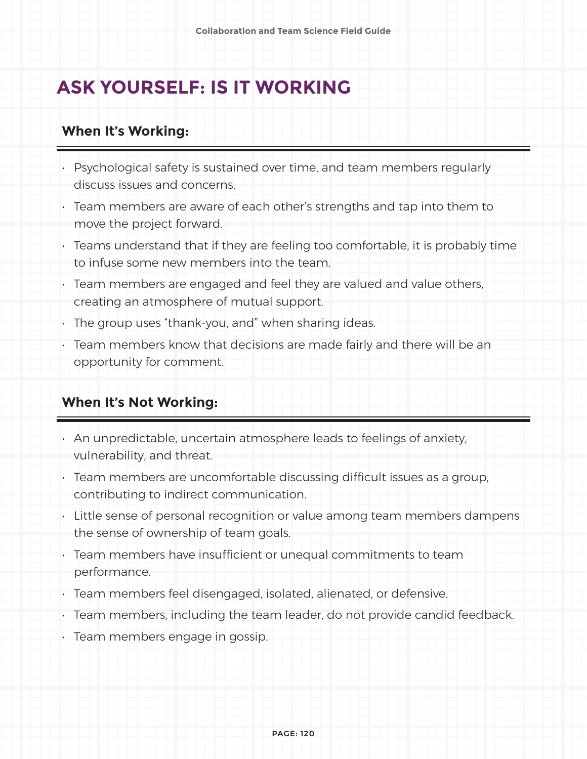### **ASK YOURSELF: IS IT WORKING**

#### **When It's Working:**

- Psychological safety is sustained over time, and team members regularly discuss issues and concerns.
- Team members are aware of each other's strengths and tap into them to move the project forward.
- Teams understand that if they are feeling too comfortable, it is probably time to infuse some new members into the team.
- Team members are engaged and feel they are valued and value others, creating an atmosphere of mutual support.
- The group uses "thank-you, and" when sharing ideas.
- Team members know that decisions are made fairly and there will be an opportunity for comment.

#### **When It's Not Working:**

- An unpredictable, uncertain atmosphere leads to feelings of anxiety, vulnerability, and threat.
- Team members are uncomfortable discussing difficult issues as a group, contributing to indirect communication.
- Little sense of personal recognition or value among team members dampens the sense of ownership of team goals.
- Team members have insufficient or unequal commitments to team performance.
- Team members feel disengaged, isolated, alienated, or defensive.
- Team members, including the team leader, do not provide candid feedback.
- Team members engage in gossip.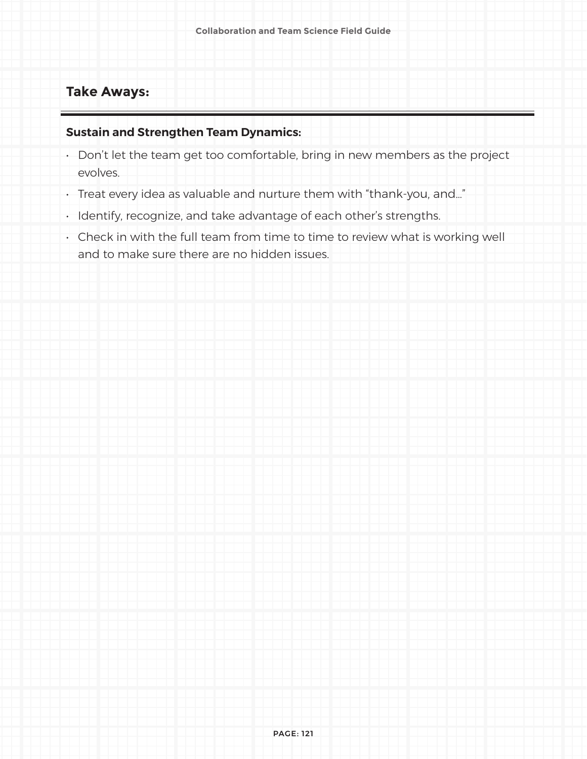#### **Take Aways:**

#### **Sustain and Strengthen Team Dynamics:**

- Don't let the team get too comfortable, bring in new members as the project evolves.
- Treat every idea as valuable and nurture them with "thank-you, and…"
- Identify, recognize, and take advantage of each other's strengths.
- Check in with the full team from time to time to review what is working well and to make sure there are no hidden issues.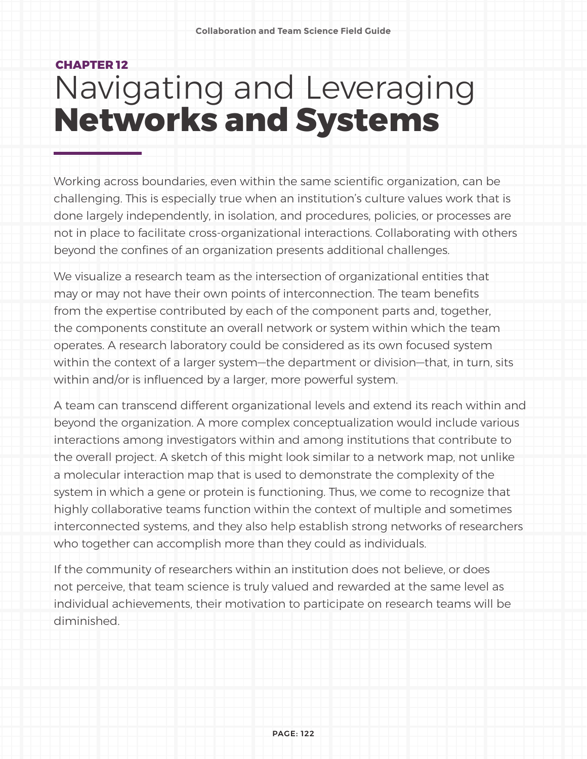## **CHAPTER 12** Navigating and Leveraging **Networks and Systems**

Working across boundaries, even within the same scientific organization, can be challenging. This is especially true when an institution's culture values work that is done largely independently, in isolation, and procedures, policies, or processes are not in place to facilitate cross-organizational interactions. Collaborating with others beyond the confines of an organization presents additional challenges.

We visualize a research team as the intersection of organizational entities that may or may not have their own points of interconnection. The team benefits from the expertise contributed by each of the component parts and, together, the components constitute an overall network or system within which the team operates. A research laboratory could be considered as its own focused system within the context of a larger system—the department or division—that, in turn, sits within and/or is influenced by a larger, more powerful system.

A team can transcend different organizational levels and extend its reach within and beyond the organization. A more complex conceptualization would include various interactions among investigators within and among institutions that contribute to the overall project. A sketch of this might look similar to a network map, not unlike a molecular interaction map that is used to demonstrate the complexity of the system in which a gene or protein is functioning. Thus, we come to recognize that highly collaborative teams function within the context of multiple and sometimes interconnected systems, and they also help establish strong networks of researchers who together can accomplish more than they could as individuals.

If the community of researchers within an institution does not believe, or does not perceive, that team science is truly valued and rewarded at the same level as individual achievements, their motivation to participate on research teams will be diminished.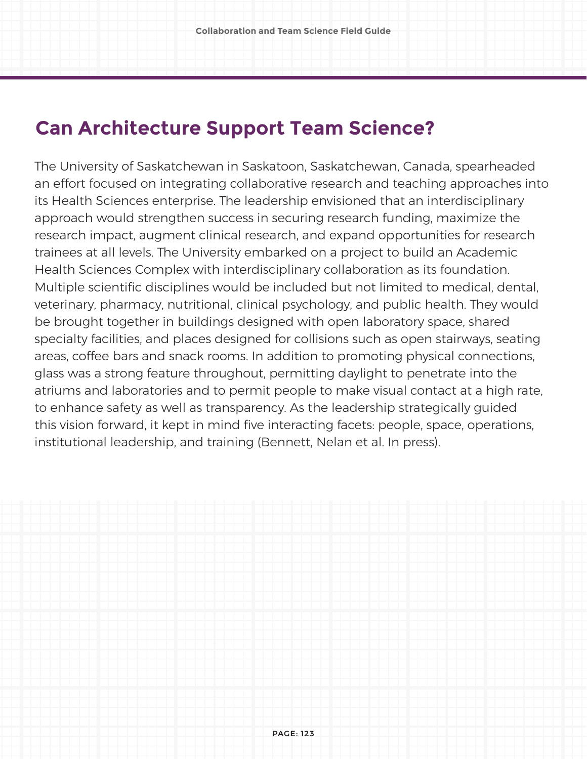## **Can Architecture Support Team Science?**

The University of Saskatchewan in Saskatoon, Saskatchewan, Canada, spearheaded an effort focused on integrating collaborative research and teaching approaches into its Health Sciences enterprise. The leadership envisioned that an interdisciplinary approach would strengthen success in securing research funding, maximize the research impact, augment clinical research, and expand opportunities for research trainees at all levels. The University embarked on a project to build an Academic Health Sciences Complex with interdisciplinary collaboration as its foundation. Multiple scientific disciplines would be included but not limited to medical, dental, veterinary, pharmacy, nutritional, clinical psychology, and public health. They would be brought together in buildings designed with open laboratory space, shared specialty facilities, and places designed for collisions such as open stairways, seating areas, coffee bars and snack rooms. In addition to promoting physical connections, glass was a strong feature throughout, permitting daylight to penetrate into the atriums and laboratories and to permit people to make visual contact at a high rate, to enhance safety as well as transparency. As the leadership strategically guided this vision forward, it kept in mind five interacting facets: people, space, operations, institutional leadership, and training (Bennett, Nelan et al. In press).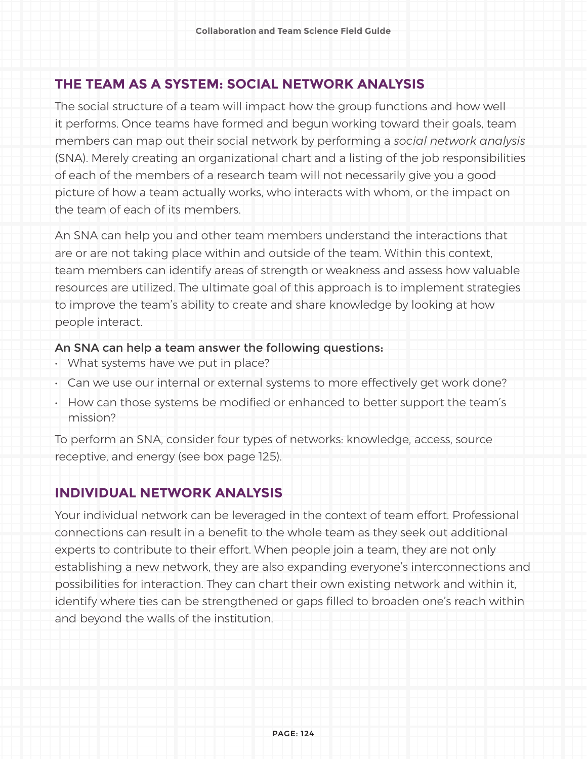#### **THE TEAM AS A SYSTEM: SOCIAL NETWORK ANALYSIS**

The social structure of a team will impact how the group functions and how well it performs. Once teams have formed and begun working toward their goals, team members can map out their social network by performing a *social network analysis* (SNA). Merely creating an organizational chart and a listing of the job responsibilities of each of the members of a research team will not necessarily give you a good picture of how a team actually works, who interacts with whom, or the impact on the team of each of its members.

An SNA can help you and other team members understand the interactions that are or are not taking place within and outside of the team. Within this context, team members can identify areas of strength or weakness and assess how valuable resources are utilized. The ultimate goal of this approach is to implement strategies to improve the team's ability to create and share knowledge by looking at how people interact.

#### An SNA can help a team answer the following questions:

- What systems have we put in place?
- Can we use our internal or external systems to more effectively get work done?
- How can those systems be modified or enhanced to better support the team's mission?

To perform an SNA, consider four types of networks: knowledge, access, source receptive, and energy (see box page 125).

#### **INDIVIDUAL NETWORK ANALYSIS**

Your individual network can be leveraged in the context of team effort. Professional connections can result in a benefit to the whole team as they seek out additional experts to contribute to their effort. When people join a team, they are not only establishing a new network, they are also expanding everyone's interconnections and possibilities for interaction. They can chart their own existing network and within it, identify where ties can be strengthened or gaps filled to broaden one's reach within and beyond the walls of the institution.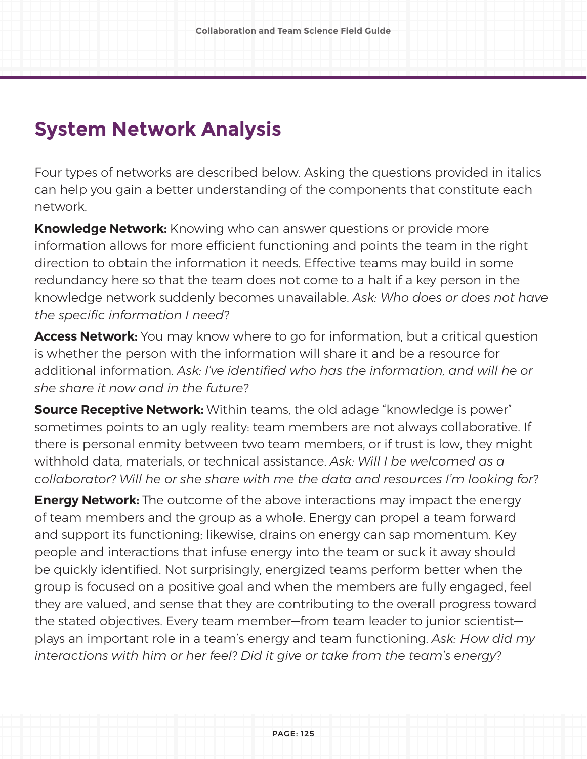## **System Network Analysis**

Four types of networks are described below. Asking the questions provided in italics can help you gain a better understanding of the components that constitute each network.

**Knowledge Network:** Knowing who can answer questions or provide more information allows for more efficient functioning and points the team in the right direction to obtain the information it needs. Effective teams may build in some redundancy here so that the team does not come to a halt if a key person in the knowledge network suddenly becomes unavailable. *Ask: Who does or does not have the specific information I need?*

**Access Network:** You may know where to go for information, but a critical question is whether the person with the information will share it and be a resource for additional information. *Ask: I've identified who has the information, and will he or she share it now and in the future?*

**Source Receptive Network:** Within teams, the old adage "knowledge is power" sometimes points to an ugly reality: team members are not always collaborative. If there is personal enmity between two team members, or if trust is low, they might withhold data, materials, or technical assistance. *Ask: Will I be welcomed as a collaborator? Will he or she share with me the data and resources I'm looking for?*

**Energy Network:** The outcome of the above interactions may impact the energy of team members and the group as a whole. Energy can propel a team forward and support its functioning; likewise, drains on energy can sap momentum. Key people and interactions that infuse energy into the team or suck it away should be quickly identified. Not surprisingly, energized teams perform better when the group is focused on a positive goal and when the members are fully engaged, feel they are valued, and sense that they are contributing to the overall progress toward the stated objectives. Every team member—from team leader to junior scientist plays an important role in a team's energy and team functioning. *Ask: How did my interactions with him or her feel? Did it give or take from the team's energy?*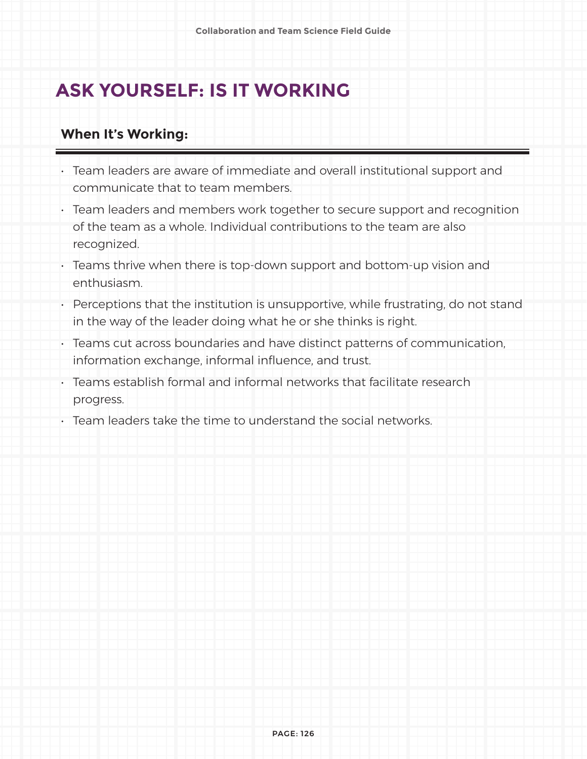## **ASK YOURSELF: IS IT WORKING**

#### **When It's Working:**

- Team leaders are aware of immediate and overall institutional support and communicate that to team members.
- Team leaders and members work together to secure support and recognition of the team as a whole. Individual contributions to the team are also recognized.
- Teams thrive when there is top-down support and bottom-up vision and enthusiasm.
- Perceptions that the institution is unsupportive, while frustrating, do not stand in the way of the leader doing what he or she thinks is right.
- Teams cut across boundaries and have distinct patterns of communication, information exchange, informal influence, and trust.
- Teams establish formal and informal networks that facilitate research progress.
- Team leaders take the time to understand the social networks.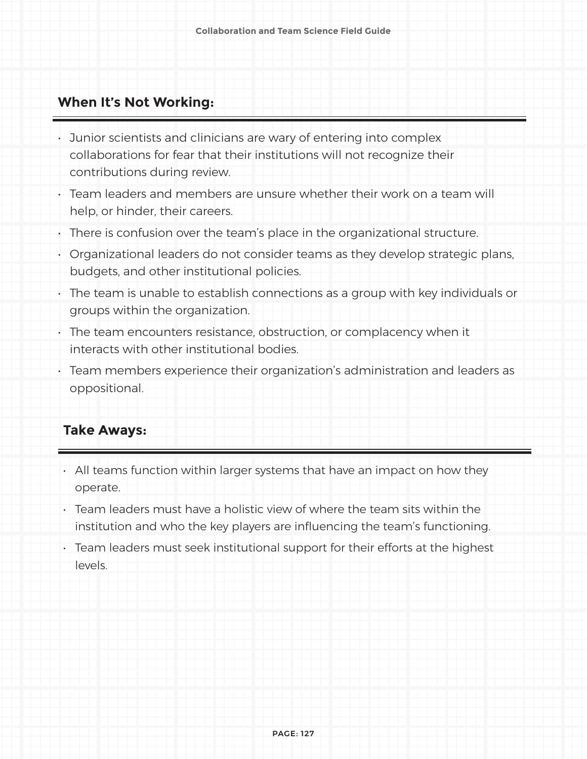#### **When It's Not Working:**

- Junior scientists and clinicians are wary of entering into complex collaborations for fear that their institutions will not recognize their contributions during review.
- Team leaders and members are unsure whether their work on a team will help, or hinder, their careers.
- There is confusion over the team's place in the organizational structure.
- Organizational leaders do not consider teams as they develop strategic plans, budgets, and other institutional policies.
- The team is unable to establish connections as a group with key individuals or groups within the organization.
- The team encounters resistance, obstruction, or complacency when it interacts with other institutional bodies.
- Team members experience their organization's administration and leaders as oppositional.

#### **Take Aways:**

- All teams function within larger systems that have an impact on how they operate.
- Team leaders must have a holistic view of where the team sits within the institution and who the key players are influencing the team's functioning.
- Team leaders must seek institutional support for their efforts at the highest levels.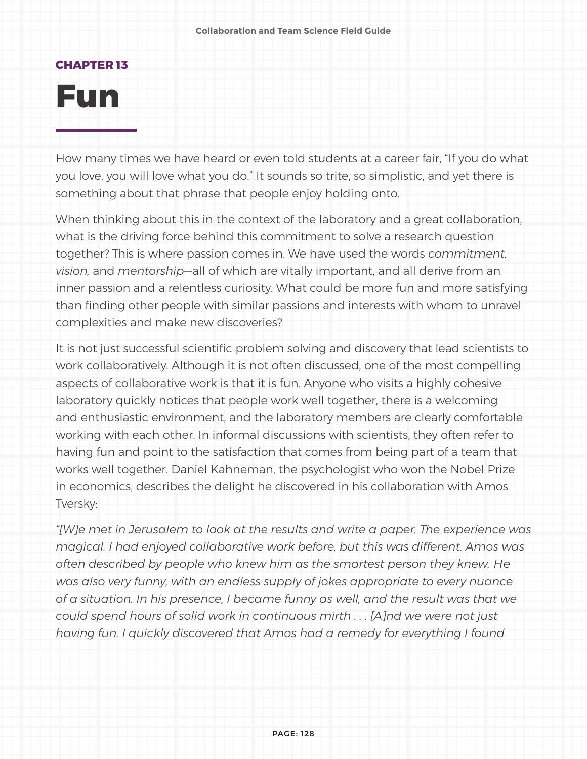#### **CHAPTER 13**

# **Fun**

How many times we have heard or even told students at a career fair, "If you do what you love, you will love what you do." It sounds so trite, so simplistic, and yet there is something about that phrase that people enjoy holding onto.

When thinking about this in the context of the laboratory and a great collaboration, what is the driving force behind this commitment to solve a research question together? This is where passion comes in. We have used the words *commitment, vision,* and *mentorship*—all of which are vitally important, and all derive from an inner passion and a relentless curiosity. What could be more fun and more satisfying than finding other people with similar passions and interests with whom to unravel complexities and make new discoveries?

It is not just successful scientific problem solving and discovery that lead scientists to work collaboratively. Although it is not often discussed, one of the most compelling aspects of collaborative work is that it is fun. Anyone who visits a highly cohesive laboratory quickly notices that people work well together, there is a welcoming and enthusiastic environment, and the laboratory members are clearly comfortable working with each other. In informal discussions with scientists, they often refer to having fun and point to the satisfaction that comes from being part of a team that works well together. Daniel Kahneman, the psychologist who won the Nobel Prize in economics, describes the delight he discovered in his collaboration with Amos Tversky:

*"[W]e met in Jerusalem to look at the results and write a paper. The experience was magical. I had enjoyed collaborative work before, but this was different. Amos was often described by people who knew him as the smartest person they knew. He was also very funny, with an endless supply of jokes appropriate to every nuance of a situation. In his presence, I became funny as well, and the result was that we could spend hours of solid work in continuous mirth . . . [A]nd we were not just having fun. I quickly discovered that Amos had a remedy for everything I found*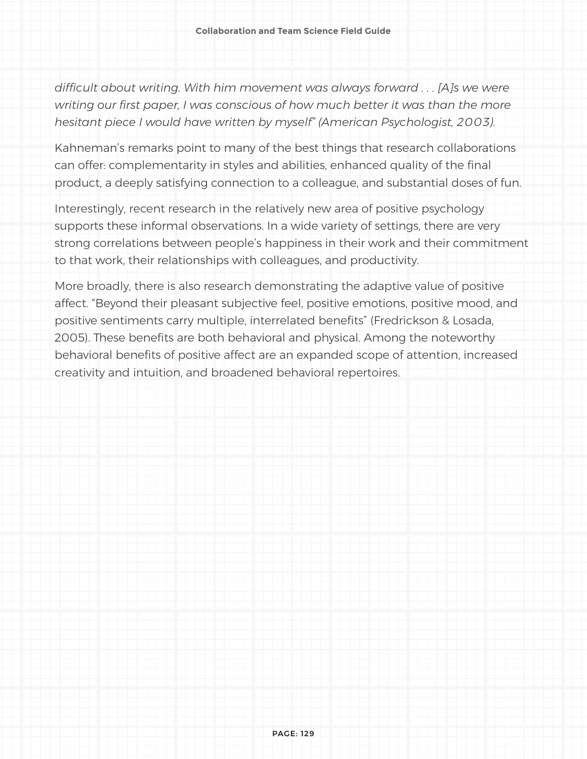*difficult about writing. With him movement was always forward . . . [A]s we were writing our first paper, I was conscious of how much better it was than the more hesitant piece I would have written by myself" (American Psychologist, 2003).*

Kahneman's remarks point to many of the best things that research collaborations can offer: complementarity in styles and abilities, enhanced quality of the final product, a deeply satisfying connection to a colleague, and substantial doses of fun.

Interestingly, recent research in the relatively new area of positive psychology supports these informal observations. In a wide variety of settings, there are very strong correlations between people's happiness in their work and their commitment to that work, their relationships with colleagues, and productivity.

More broadly, there is also research demonstrating the adaptive value of positive affect. "Beyond their pleasant subjective feel, positive emotions, positive mood, and positive sentiments carry multiple, interrelated benefits" (Fredrickson & Losada, 2005). These benefits are both behavioral and physical. Among the noteworthy behavioral benefits of positive affect are an expanded scope of attention, increased creativity and intuition, and broadened behavioral repertoires.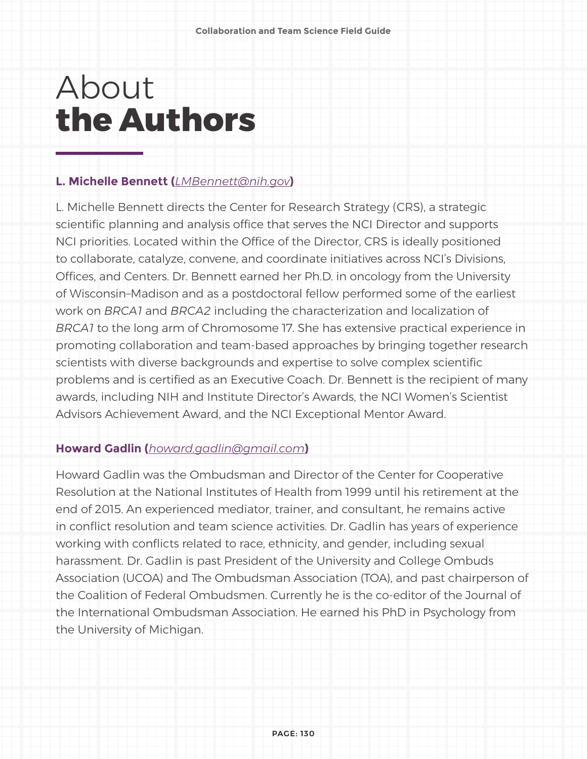# About **the Authors**

#### **L. Michelle Bennett (***[LMBennett@nih.gov](mailto:LMBennett%40nih.gov?subject=)***)**

L. Michelle Bennett directs the Center for Research Strategy (CRS), a strategic scientific planning and analysis office that serves the NCI Director and supports NCI priorities. Located within the Office of the Director, CRS is ideally positioned to collaborate, catalyze, convene, and coordinate initiatives across NCI's Divisions, Offices, and Centers. Dr. Bennett earned her Ph.D. in oncology from the University of Wisconsin–Madison and as a postdoctoral fellow performed some of the earliest work on *BRCA1* and *BRCA2* including the characterization and localization of *BRCA1* to the long arm of Chromosome 17. She has extensive practical experience in promoting collaboration and team-based approaches by bringing together research scientists with diverse backgrounds and expertise to solve complex scientific problems and is certified as an Executive Coach. Dr. Bennett is the recipient of many awards, including NIH and Institute Director's Awards, the NCI Women's Scientist Advisors Achievement Award, and the NCI Exceptional Mentor Award.

#### **Howard Gadlin (***howard.gadlin@gmail.com***)**

Howard Gadlin was the Ombudsman and Director of the Center for Cooperative Resolution at the National Institutes of Health from 1999 until his retirement at the end of 2015. An experienced mediator, trainer, and consultant, he remains active in conflict resolution and team science activities. Dr. Gadlin has years of experience working with conflicts related to race, ethnicity, and gender, including sexual harassment. Dr. Gadlin is past President of the University and College Ombuds Association (UCOA) and The Ombudsman Association (TOA), and past chairperson of the Coalition of Federal Ombudsmen. Currently he is the co-editor of the Journal of the International Ombudsman Association. He earned his PhD in Psychology from the University of Michigan.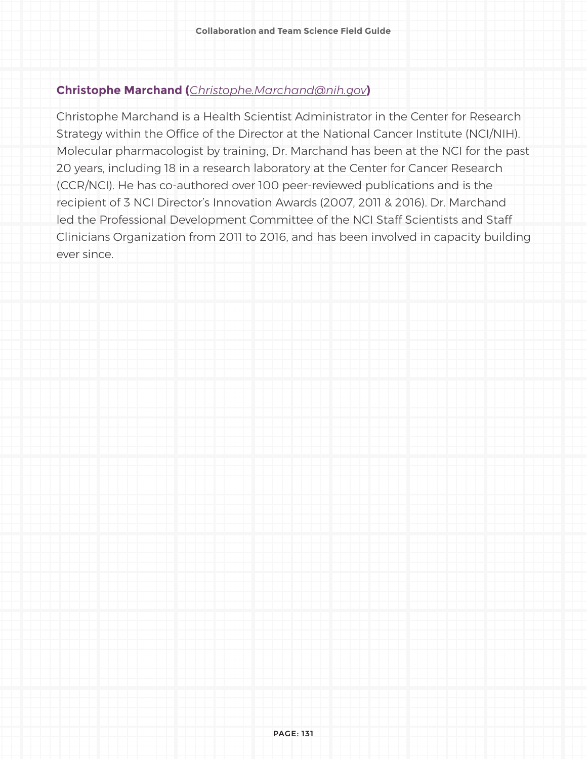#### **Christophe Marchand (***[Christophe.Marchand@nih.gov](mailto:Christophe.Marchand%40nih.gov?subject=)***)**

Christophe Marchand is a Health Scientist Administrator in the Center for Research Strategy within the Office of the Director at the National Cancer Institute (NCI/NIH). Molecular pharmacologist by training, Dr. Marchand has been at the NCI for the past 20 years, including 18 in a research laboratory at the Center for Cancer Research (CCR/NCI). He has co-authored over 100 peer-reviewed publications and is the recipient of 3 NCI Director's Innovation Awards (2007, 2011 & 2016). Dr. Marchand led the Professional Development Committee of the NCI Staff Scientists and Staff Clinicians Organization from 2011 to 2016, and has been involved in capacity building ever since.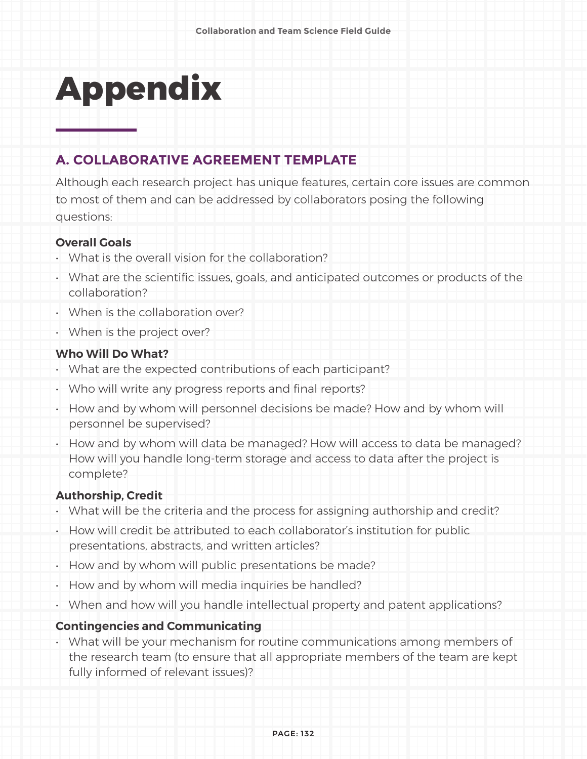# **Appendix**

#### **A. COLLABORATIVE AGREEMENT TEMPLATE**

Although each research project has unique features, certain core issues are common to most of them and can be addressed by collaborators posing the following questions:

#### **Overall Goals**

- What is the overall vision for the collaboration?
- What are the scientific issues, goals, and anticipated outcomes or products of the collaboration?
- When is the collaboration over?
- When is the project over?

#### **Who Will Do What?**

- What are the expected contributions of each participant?
- Who will write any progress reports and final reports?
- How and by whom will personnel decisions be made? How and by whom will personnel be supervised?
- How and by whom will data be managed? How will access to data be managed? How will you handle long-term storage and access to data after the project is complete?

#### **Authorship, Credit**

- What will be the criteria and the process for assigning authorship and credit?
- How will credit be attributed to each collaborator's institution for public presentations, abstracts, and written articles?
- How and by whom will public presentations be made?
- How and by whom will media inquiries be handled?
- When and how will you handle intellectual property and patent applications?

#### **Contingencies and Communicating**

• What will be your mechanism for routine communications among members of the research team (to ensure that all appropriate members of the team are kept fully informed of relevant issues)?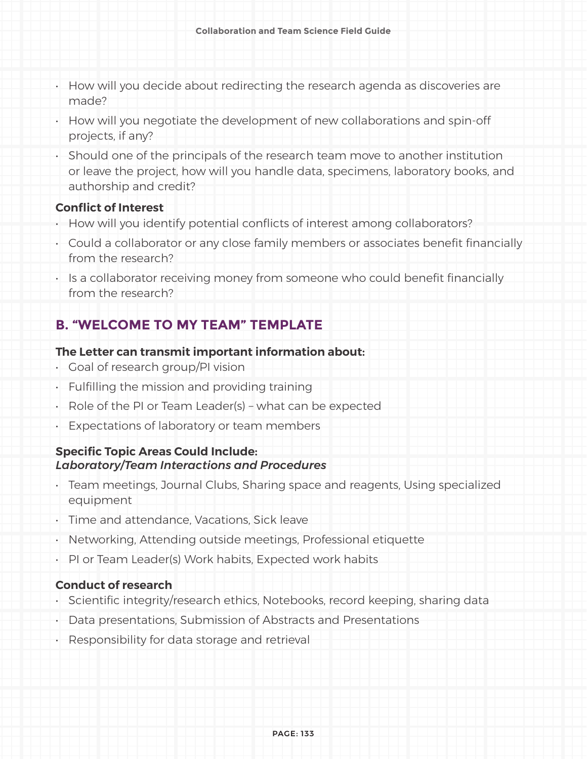- How will you decide about redirecting the research agenda as discoveries are made?
- How will you negotiate the development of new collaborations and spin-off projects, if any?
- Should one of the principals of the research team move to another institution or leave the project, how will you handle data, specimens, laboratory books, and authorship and credit?

#### **Conflict of Interest**

- How will you identify potential conflicts of interest among collaborators?
- Could a collaborator or any close family members or associates benefit financially from the research?
- Is a collaborator receiving money from someone who could benefit financially from the research?

#### **B. "WELCOME TO MY TEAM" TEMPLATE**

#### **The Letter can transmit important information about:**

- Goal of research group/PI vision
- Fulfilling the mission and providing training
- Role of the PI or Team Leader(s) what can be expected
- Expectations of laboratory or team members

#### **Specific Topic Areas Could Include:**  *Laboratory/Team Interactions and Procedures*

- Team meetings, Journal Clubs, Sharing space and reagents, Using specialized equipment
- Time and attendance, Vacations, Sick leave
- Networking, Attending outside meetings, Professional etiquette
- PI or Team Leader(s) Work habits, Expected work habits

#### **Conduct of research**

- Scientific integrity/research ethics, Notebooks, record keeping, sharing data
- Data presentations, Submission of Abstracts and Presentations
- Responsibility for data storage and retrieval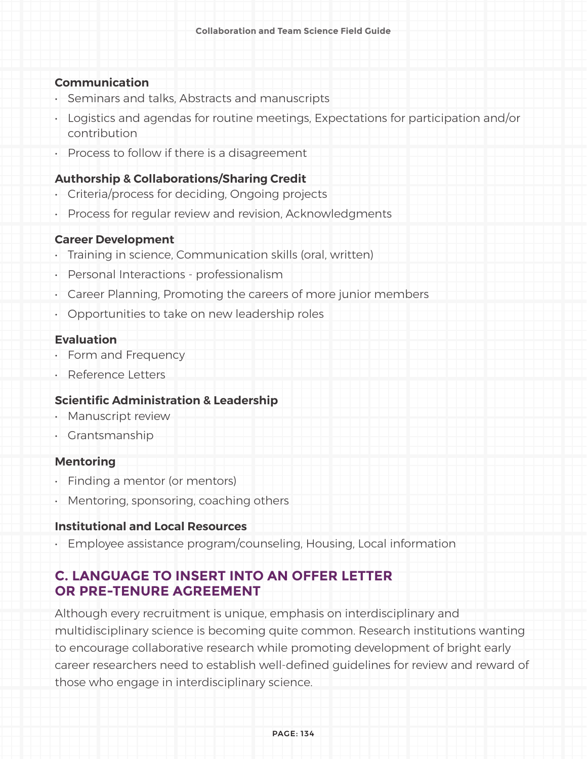#### **Communication**

- Seminars and talks, Abstracts and manuscripts
- Logistics and agendas for routine meetings, Expectations for participation and/or contribution
- Process to follow if there is a disagreement

#### **Authorship & Collaborations/Sharing Credit**

- Criteria/process for deciding, Ongoing projects
- Process for regular review and revision, Acknowledgments

#### **Career Development**

- Training in science, Communication skills (oral, written)
- Personal Interactions professionalism
- Career Planning, Promoting the careers of more junior members
- Opportunities to take on new leadership roles

#### **Evaluation**

- Form and Frequency
- Reference Letters

#### **Scientific Administration & Leadership**

- Manuscript review
- Grantsmanship

#### **Mentoring**

- Finding a mentor (or mentors)
- Mentoring, sponsoring, coaching others

#### **Institutional and Local Resources**

• Employee assistance program/counseling, Housing, Local information

#### **C. LANGUAGE TO INSERT INTO AN OFFER LETTER OR PRE-TENURE AGREEMENT**

Although every recruitment is unique, emphasis on interdisciplinary and multidisciplinary science is becoming quite common. Research institutions wanting to encourage collaborative research while promoting development of bright early career researchers need to establish well-defined guidelines for review and reward of those who engage in interdisciplinary science.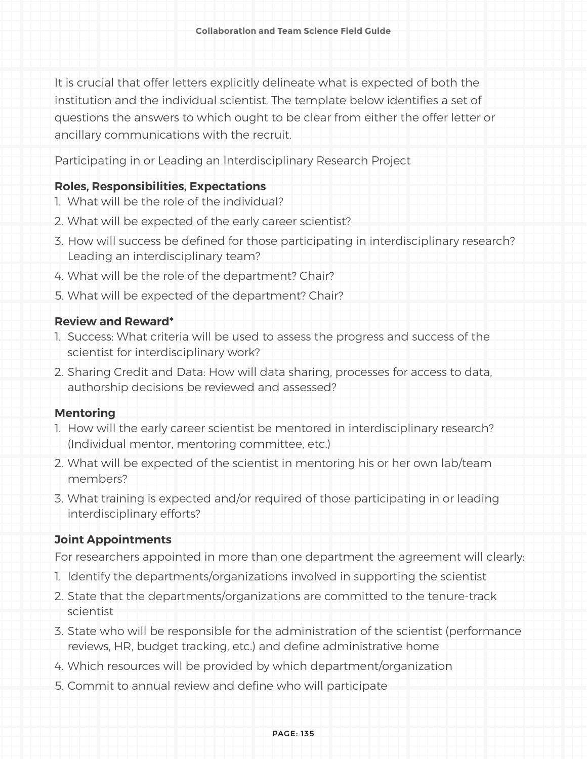It is crucial that offer letters explicitly delineate what is expected of both the institution and the individual scientist. The template below identifies a set of questions the answers to which ought to be clear from either the offer letter or ancillary communications with the recruit.

Participating in or Leading an Interdisciplinary Research Project

#### **Roles, Responsibilities, Expectations**

- 1. What will be the role of the individual?
- 2. What will be expected of the early career scientist?
- 3. How will success be defined for those participating in interdisciplinary research? Leading an interdisciplinary team?
- 4. What will be the role of the department? Chair?
- 5. What will be expected of the department? Chair?

#### **Review and Reward\***

- 1. Success: What criteria will be used to assess the progress and success of the scientist for interdisciplinary work?
- 2. Sharing Credit and Data: How will data sharing, processes for access to data, authorship decisions be reviewed and assessed?

#### **Mentoring**

- 1. How will the early career scientist be mentored in interdisciplinary research? (Individual mentor, mentoring committee, etc.)
- 2. What will be expected of the scientist in mentoring his or her own lab/team members?
- 3. What training is expected and/or required of those participating in or leading interdisciplinary efforts?

#### **Joint Appointments**

For researchers appointed in more than one department the agreement will clearly:

- 1. Identify the departments/organizations involved in supporting the scientist
- 2. State that the departments/organizations are committed to the tenure-track scientist
- 3. State who will be responsible for the administration of the scientist (performance reviews, HR, budget tracking, etc.) and define administrative home
- 4. Which resources will be provided by which department/organization
- 5. Commit to annual review and define who will participate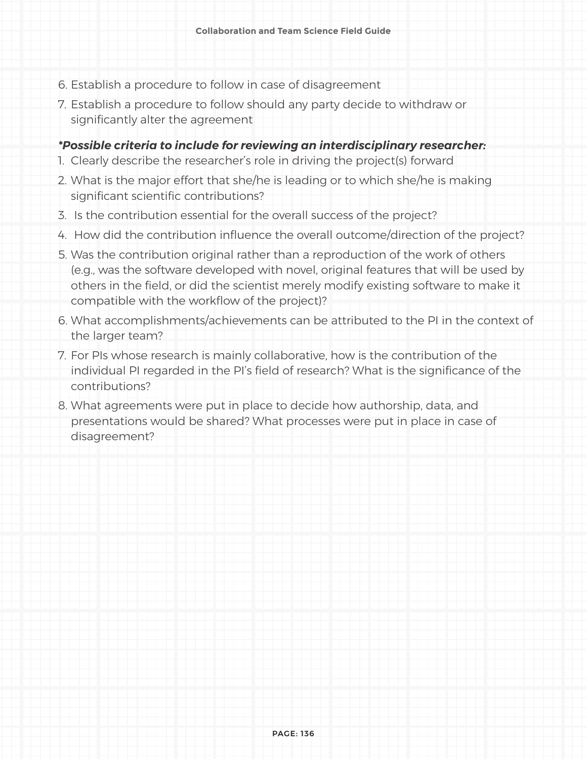- 6. Establish a procedure to follow in case of disagreement
- 7. Establish a procedure to follow should any party decide to withdraw or significantly alter the agreement

#### *\*Possible criteria to include for reviewing an interdisciplinary researcher:*

- 1. Clearly describe the researcher's role in driving the project(s) forward
- 2. What is the major effort that she/he is leading or to which she/he is making significant scientific contributions?
- 3. Is the contribution essential for the overall success of the project?
- 4. How did the contribution influence the overall outcome/direction of the project?
- 5. Was the contribution original rather than a reproduction of the work of others (e.g., was the software developed with novel, original features that will be used by others in the field, or did the scientist merely modify existing software to make it compatible with the workflow of the project)?
- 6. What accomplishments/achievements can be attributed to the PI in the context of the larger team?
- 7. For PIs whose research is mainly collaborative, how is the contribution of the individual PI regarded in the PI's field of research? What is the significance of the contributions?
- 8. What agreements were put in place to decide how authorship, data, and presentations would be shared? What processes were put in place in case of disagreement?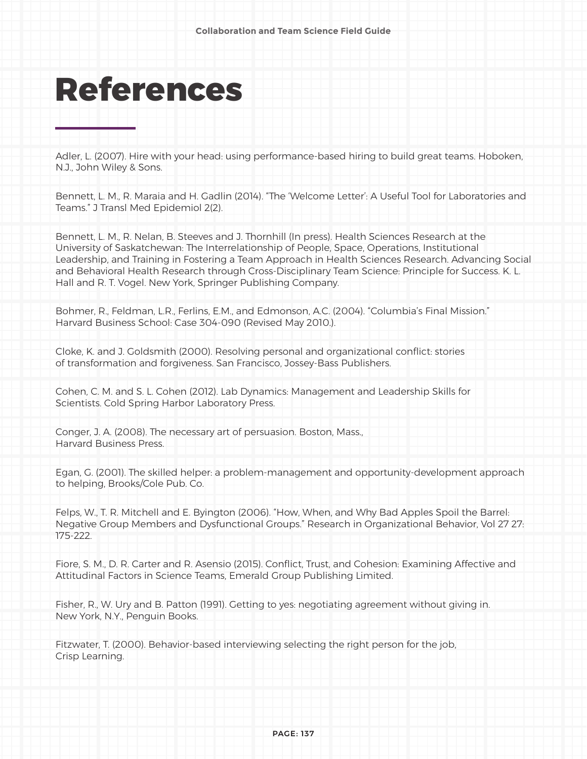# **References**

Adler, L. (2007). Hire with your head: using performance-based hiring to build great teams. Hoboken, N.J., John Wiley & Sons.

Bennett, L. M., R. Maraia and H. Gadlin (2014). "The 'Welcome Letter': A Useful Tool for Laboratories and Teams." J Transl Med Epidemiol 2(2).

Bennett, L. M., R. Nelan, B. Steeves and J. Thornhill (In press). Health Sciences Research at the University of Saskatchewan: The Interrelationship of People, Space, Operations, Institutional Leadership, and Training in Fostering a Team Approach in Health Sciences Research. Advancing Social and Behavioral Health Research through Cross-Disciplinary Team Science: Principle for Success. K. L. Hall and R. T. Vogel. New York, Springer Publishing Company.

Bohmer, R., Feldman, L.R., Ferlins, E.M., and Edmonson, A.C. (2004). "Columbia's Final Mission." Harvard Business School: Case 304-090 (Revised May 2010.).

Cloke, K. and J. Goldsmith (2000). Resolving personal and organizational conflict: stories of transformation and forgiveness. San Francisco, Jossey-Bass Publishers.

Cohen, C. M. and S. L. Cohen (2012). Lab Dynamics: Management and Leadership Skills for Scientists. Cold Spring Harbor Laboratory Press.

Conger, J. A. (2008). The necessary art of persuasion. Boston, Mass., Harvard Business Press.

Egan, G. (2001). The skilled helper: a problem-management and opportunity-development approach to helping, Brooks/Cole Pub. Co.

Felps, W., T. R. Mitchell and E. Byington (2006). "How, When, and Why Bad Apples Spoil the Barrel: Negative Group Members and Dysfunctional Groups." Research in Organizational Behavior, Vol 27 27: 175-222.

Fiore, S. M., D. R. Carter and R. Asensio (2015). Conflict, Trust, and Cohesion: Examining Affective and Attitudinal Factors in Science Teams, Emerald Group Publishing Limited.

Fisher, R., W. Ury and B. Patton (1991). Getting to yes: negotiating agreement without giving in. New York, N.Y., Penguin Books.

Fitzwater, T. (2000). Behavior-based interviewing selecting the right person for the job, Crisp Learning.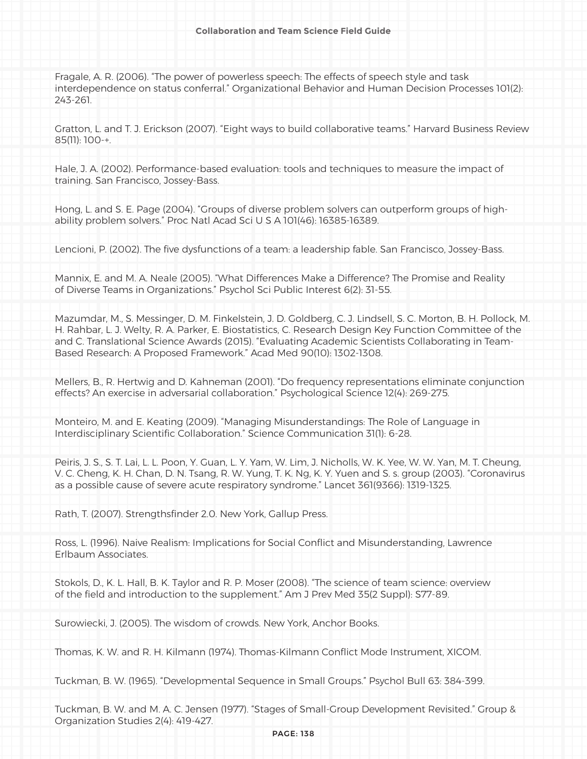Fragale, A. R. (2006). "The power of powerless speech: The effects of speech style and task interdependence on status conferral." Organizational Behavior and Human Decision Processes 101(2): 243-261.

Gratton, L. and T. J. Erickson (2007). "Eight ways to build collaborative teams." Harvard Business Review 85(11): 100-+.

Hale, J. A. (2002). Performance-based evaluation: tools and techniques to measure the impact of training. San Francisco, Jossey-Bass.

Hong, L. and S. E. Page (2004). "Groups of diverse problem solvers can outperform groups of highability problem solvers." Proc Natl Acad Sci U S A 101(46): 16385-16389.

Lencioni, P. (2002). The five dysfunctions of a team: a leadership fable. San Francisco, Jossey-Bass.

Mannix, E. and M. A. Neale (2005). "What Differences Make a Difference? The Promise and Reality of Diverse Teams in Organizations." Psychol Sci Public Interest 6(2): 31-55.

Mazumdar, M., S. Messinger, D. M. Finkelstein, J. D. Goldberg, C. J. Lindsell, S. C. Morton, B. H. Pollock, M. H. Rahbar, L. J. Welty, R. A. Parker, E. Biostatistics, C. Research Design Key Function Committee of the and C. Translational Science Awards (2015). "Evaluating Academic Scientists Collaborating in Team-Based Research: A Proposed Framework." Acad Med 90(10): 1302-1308.

Mellers, B., R. Hertwig and D. Kahneman (2001). "Do frequency representations eliminate conjunction effects? An exercise in adversarial collaboration." Psychological Science 12(4): 269-275.

Monteiro, M. and E. Keating (2009). "Managing Misunderstandings: The Role of Language in Interdisciplinary Scientific Collaboration." Science Communication 31(1): 6-28.

Peiris, J. S., S. T. Lai, L. L. Poon, Y. Guan, L. Y. Yam, W. Lim, J. Nicholls, W. K. Yee, W. W. Yan, M. T. Cheung, V. C. Cheng, K. H. Chan, D. N. Tsang, R. W. Yung, T. K. Ng, K. Y. Yuen and S. s. group (2003). "Coronavirus as a possible cause of severe acute respiratory syndrome." Lancet 361(9366): 1319-1325.

Rath, T. (2007). Strengthsfinder 2.0. New York, Gallup Press.

Ross, L. (1996). Naive Realism: Implications for Social Conflict and Misunderstanding, Lawrence Erlbaum Associates.

Stokols, D., K. L. Hall, B. K. Taylor and R. P. Moser (2008). "The science of team science: overview of the field and introduction to the supplement." Am J Prev Med 35(2 Suppl): S77-89.

Surowiecki, J. (2005). The wisdom of crowds. New York, Anchor Books.

Thomas, K. W. and R. H. Kilmann (1974). Thomas-Kilmann Conflict Mode Instrument, XICOM.

Tuckman, B. W. (1965). "Developmental Sequence in Small Groups." Psychol Bull 63: 384-399.

Tuckman, B. W. and M. A. C. Jensen (1977). "Stages of Small-Group Development Revisited." Group & Organization Studies 2(4): 419-427.